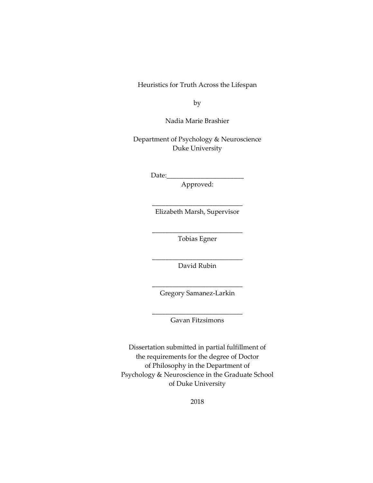Heuristics for Truth Across the Lifespan

by

Nadia Marie Brashier

Department of Psychology & Neuroscience Duke University

 $Date:$ 

Approved:

\_\_\_\_\_\_\_\_\_\_\_\_\_\_\_\_\_\_\_\_\_\_\_\_\_\_\_ Elizabeth Marsh, Supervisor

\_\_\_\_\_\_\_\_\_\_\_\_\_\_\_\_\_\_\_\_\_\_\_\_\_\_\_ Tobias Egner

\_\_\_\_\_\_\_\_\_\_\_\_\_\_\_\_\_\_\_\_\_\_\_\_\_\_\_ David Rubin

\_\_\_\_\_\_\_\_\_\_\_\_\_\_\_\_\_\_\_\_\_\_\_\_\_\_\_ Gregory Samanez-Larkin

\_\_\_\_\_\_\_\_\_\_\_\_\_\_\_\_\_\_\_\_\_\_\_\_\_\_\_ Gavan Fitzsimons

Dissertation submitted in partial fulfillment of the requirements for the degree of Doctor of Philosophy in the Department of Psychology & Neuroscience in the Graduate School of Duke University

2018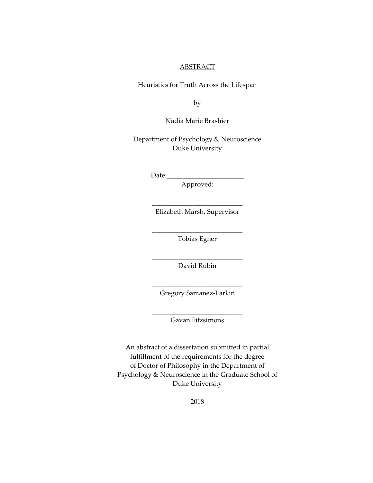### **ABSTRACT**

Heuristics for Truth Across the Lifespan

by

Nadia Marie Brashier

Department of Psychology & Neuroscience Duke University

 $Date:$ 

Approved:

\_\_\_\_\_\_\_\_\_\_\_\_\_\_\_\_\_\_\_\_\_\_\_\_\_\_\_ Elizabeth Marsh, Supervisor

\_\_\_\_\_\_\_\_\_\_\_\_\_\_\_\_\_\_\_\_\_\_\_\_\_\_\_ Tobias Egner

\_\_\_\_\_\_\_\_\_\_\_\_\_\_\_\_\_\_\_\_\_\_\_\_\_\_\_ David Rubin

\_\_\_\_\_\_\_\_\_\_\_\_\_\_\_\_\_\_\_\_\_\_\_\_\_\_\_ Gregory Samanez-Larkin

\_\_\_\_\_\_\_\_\_\_\_\_\_\_\_\_\_\_\_\_\_\_\_\_\_\_\_ Gavan Fitzsimons

An abstract of a dissertation submitted in partial fulfillment of the requirements for the degree of Doctor of Philosophy in the Department of Psychology & Neuroscience in the Graduate School of Duke University

2018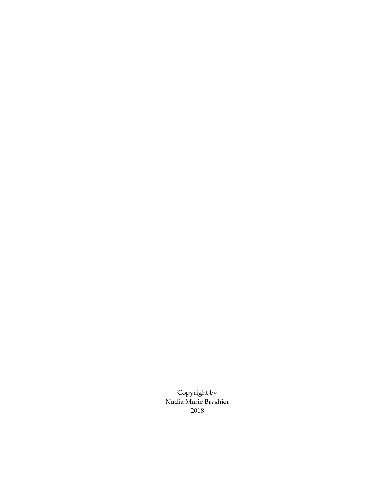Copyright by Nadia Marie Brashier 2018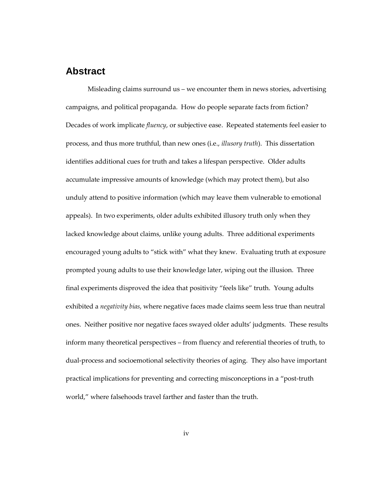# <span id="page-3-0"></span>**Abstract**

Misleading claims surround us – we encounter them in news stories, advertising campaigns, and political propaganda. How do people separate facts from fiction? Decades of work implicate *fluency*, or subjective ease. Repeated statements feel easier to process, and thus more truthful, than new ones (i.e., *illusory truth*). This dissertation identifies additional cues for truth and takes a lifespan perspective. Older adults accumulate impressive amounts of knowledge (which may protect them), but also unduly attend to positive information (which may leave them vulnerable to emotional appeals). In two experiments, older adults exhibited illusory truth only when they lacked knowledge about claims, unlike young adults. Three additional experiments encouraged young adults to "stick with" what they knew. Evaluating truth at exposure prompted young adults to use their knowledge later, wiping out the illusion. Three final experiments disproved the idea that positivity "feels like" truth. Young adults exhibited a *negativity bias*, where negative faces made claims seem less true than neutral ones. Neither positive nor negative faces swayed older adults' judgments. These results inform many theoretical perspectives – from fluency and referential theories of truth, to dual-process and socioemotional selectivity theories of aging. They also have important practical implications for preventing and correcting misconceptions in a "post-truth world," where falsehoods travel farther and faster than the truth.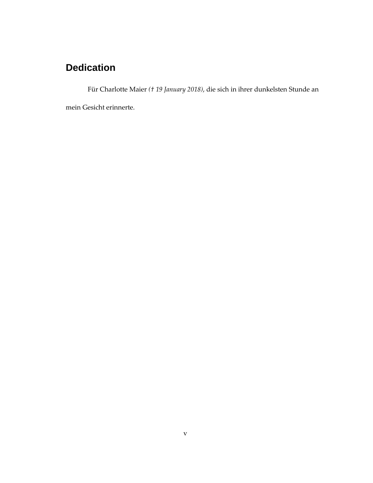# **Dedication**

Für Charlotte Maier *(† 19 January 2018)*, die sich in ihrer dunkelsten Stunde an

mein Gesicht erinnerte.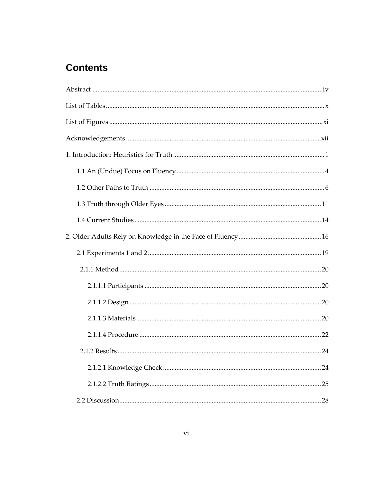# **Contents**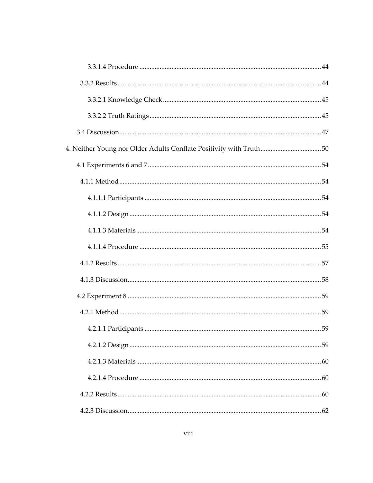| 4. Neither Young nor Older Adults Conflate Positivity with Truth50 |  |
|--------------------------------------------------------------------|--|
|                                                                    |  |
|                                                                    |  |
|                                                                    |  |
|                                                                    |  |
|                                                                    |  |
|                                                                    |  |
|                                                                    |  |
|                                                                    |  |
|                                                                    |  |
|                                                                    |  |
|                                                                    |  |
|                                                                    |  |
|                                                                    |  |
|                                                                    |  |
|                                                                    |  |
|                                                                    |  |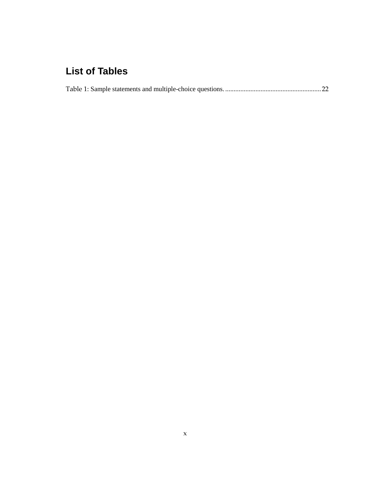# <span id="page-9-0"></span>**List of Tables**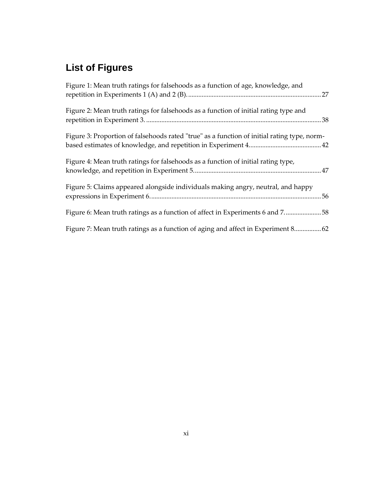# <span id="page-10-0"></span>**List of Figures**

| Figure 1: Mean truth ratings for falsehoods as a function of age, knowledge, and            |
|---------------------------------------------------------------------------------------------|
| Figure 2: Mean truth ratings for falsehoods as a function of initial rating type and        |
| Figure 3: Proportion of falsehoods rated "true" as a function of initial rating type, norm- |
| Figure 4: Mean truth ratings for falsehoods as a function of initial rating type,           |
| Figure 5: Claims appeared alongside individuals making angry, neutral, and happy            |
| Figure 6: Mean truth ratings as a function of affect in Experiments 6 and 758               |
| Figure 7: Mean truth ratings as a function of aging and affect in Experiment 8 62           |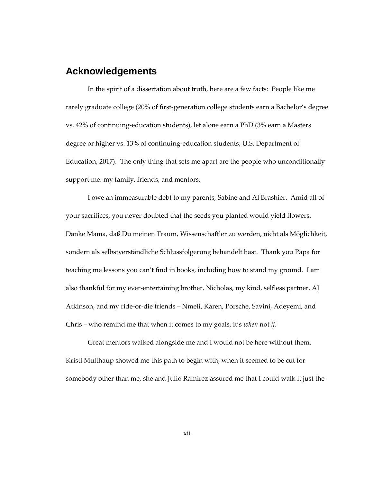# <span id="page-11-0"></span>**Acknowledgements**

In the spirit of a dissertation about truth, here are a few facts: People like me rarely graduate college (20% of first-generation college students earn a Bachelor's degree vs. 42% of continuing-education students), let alone earn a PhD (3% earn a Masters degree or higher vs. 13% of continuing-education students; U.S. Department of Education, 2017). The only thing that sets me apart are the people who unconditionally support me: my family, friends, and mentors.

I owe an immeasurable debt to my parents, Sabine and Al Brashier. Amid all of your sacrifices, you never doubted that the seeds you planted would yield flowers. Danke Mama, daß Du meinen Traum, Wissenschaftler zu werden, nicht als Möglichkeit, sondern als selbstverständliche Schlussfolgerung behandelt hast. Thank you Papa for teaching me lessons you can't find in books, including how to stand my ground. I am also thankful for my ever-entertaining brother, Nicholas, my kind, selfless partner, AJ Atkinson, and my ride-or-die friends – Nmeli, Karen, Porsche, Savini, Adeyemi, and Chris – who remind me that when it comes to my goals, it's *when* not *if*.

Great mentors walked alongside me and I would not be here without them. Kristi Multhaup showed me this path to begin with; when it seemed to be cut for somebody other than me, she and Julio Ramirez assured me that I could walk it just the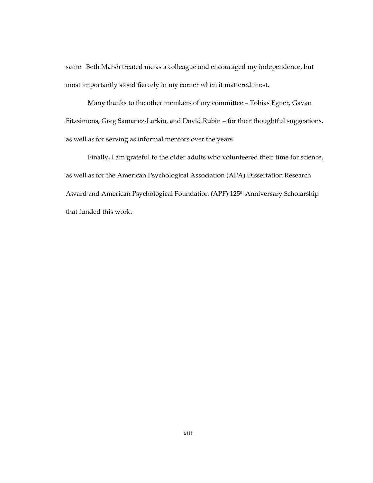same. Beth Marsh treated me as a colleague and encouraged my independence, but most importantly stood fiercely in my corner when it mattered most.

Many thanks to the other members of my committee – Tobias Egner, Gavan Fitzsimons, Greg Samanez-Larkin, and David Rubin – for their thoughtful suggestions, as well as for serving as informal mentors over the years.

Finally, I am grateful to the older adults who volunteered their time for science, as well as for the American Psychological Association (APA) Dissertation Research Award and American Psychological Foundation (APF) 125<sup>th</sup> Anniversary Scholarship that funded this work.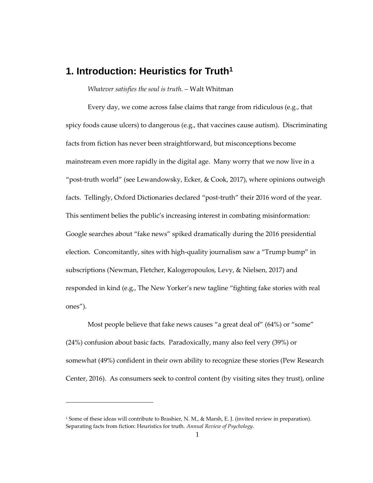# <span id="page-13-0"></span>**1. Introduction: Heuristics for Truth<sup>1</sup>**

*Whatever satisfies the soul is truth.* – Walt Whitman

Every day, we come across false claims that range from ridiculous (e.g., that spicy foods cause ulcers) to dangerous (e.g., that vaccines cause autism). Discriminating facts from fiction has never been straightforward, but misconceptions become mainstream even more rapidly in the digital age. Many worry that we now live in a "post-truth world" (see Lewandowsky, Ecker, & Cook, 2017), where opinions outweigh facts. Tellingly, Oxford Dictionaries declared "post-truth" their 2016 word of the year. This sentiment belies the public's increasing interest in combating misinformation: Google searches about "fake news" spiked dramatically during the 2016 presidential election. Concomitantly, sites with high-quality journalism saw a "Trump bump" in subscriptions (Newman, Fletcher, Kalogeropoulos, Levy, & Nielsen, 2017) and responded in kind (e.g., The New Yorker's new tagline "fighting fake stories with real ones").

Most people believe that fake news causes "a great deal of" (64%) or "some" (24%) confusion about basic facts. Paradoxically, many also feel very (39%) or somewhat (49%) confident in their own ability to recognize these stories (Pew Research Center, 2016). As consumers seek to control content (by visiting sites they trust), online

1

<sup>&</sup>lt;sup>1</sup> Some of these ideas will contribute to Brashier, N. M., & Marsh, E. J. (invited review in preparation). Separating facts from fiction: Heuristics for truth. *Annual Review of Psychology*.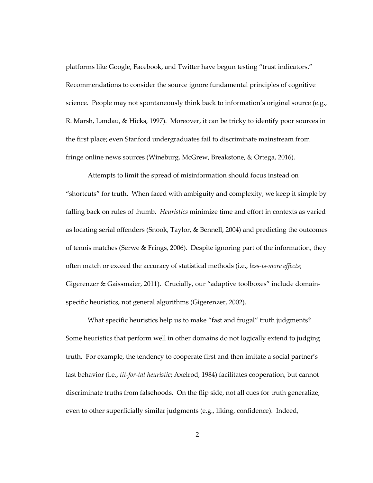platforms like Google, Facebook, and Twitter have begun testing "trust indicators." Recommendations to consider the source ignore fundamental principles of cognitive science. People may not spontaneously think back to information's original source (e.g., R. Marsh, Landau, & Hicks, 1997). Moreover, it can be tricky to identify poor sources in the first place; even Stanford undergraduates fail to discriminate mainstream from fringe online news sources (Wineburg, McGrew, Breakstone, & Ortega, 2016).

Attempts to limit the spread of misinformation should focus instead on "shortcuts" for truth. When faced with ambiguity and complexity, we keep it simple by falling back on rules of thumb. *Heuristics* minimize time and effort in contexts as varied as locating serial offenders (Snook, Taylor, & Bennell, 2004) and predicting the outcomes of tennis matches (Serwe & Frings, 2006). Despite ignoring part of the information, they often match or exceed the accuracy of statistical methods (i.e., *less-is-more effects*; Gigerenzer & Gaissmaier, 2011). Crucially, our "adaptive toolboxes" include domainspecific heuristics, not general algorithms (Gigerenzer, 2002).

What specific heuristics help us to make "fast and frugal" truth judgments? Some heuristics that perform well in other domains do not logically extend to judging truth. For example, the tendency to cooperate first and then imitate a social partner's last behavior (i.e., *tit-for-tat heuristic*; Axelrod, 1984) facilitates cooperation, but cannot discriminate truths from falsehoods. On the flip side, not all cues for truth generalize, even to other superficially similar judgments (e.g., liking, confidence). Indeed,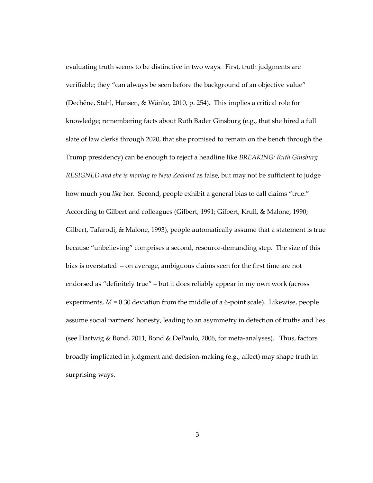evaluating truth seems to be distinctive in two ways. First, truth judgments are verifiable; they "can always be seen before the background of an objective value" (Dechêne, Stahl, Hansen, & Wänke, 2010, p. 254). This implies a critical role for knowledge; remembering facts about Ruth Bader Ginsburg (e.g., that she hired a full slate of law clerks through 2020, that she promised to remain on the bench through the Trump presidency) can be enough to reject a headline like *BREAKING: Ruth Ginsburg RESIGNED and she is moving to New Zealand* as false, but may not be sufficient to judge how much you *like* her. Second, people exhibit a general bias to call claims "true." According to Gilbert and colleagues (Gilbert, 1991; Gilbert, Krull, & Malone, 1990; Gilbert, Tafarodi, & Malone, 1993), people automatically assume that a statement is true because "unbelieving" comprises a second, resource-demanding step. The size of this bias is overstated – on average, ambiguous claims seen for the first time are not endorsed as "definitely true" – but it does reliably appear in my own work (across experiments, *M* = 0.30 deviation from the middle of a 6-point scale). Likewise, people assume social partners' honesty, leading to an asymmetry in detection of truths and lies (see Hartwig & Bond, 2011, Bond & DePaulo, 2006, for meta-analyses). Thus, factors broadly implicated in judgment and decision-making (e.g., affect) may shape truth in surprising ways.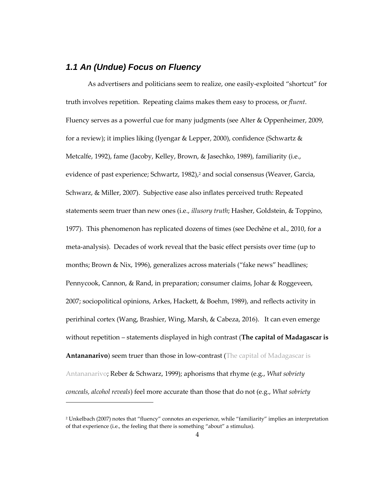## <span id="page-16-0"></span>*1.1 An (Undue) Focus on Fluency*

1

As advertisers and politicians seem to realize, one easily-exploited "shortcut" for truth involves repetition. Repeating claims makes them easy to process, or *fluent*. Fluency serves as a powerful cue for many judgments (see Alter & Oppenheimer, 2009, for a review); it implies liking (Iyengar & Lepper, 2000), confidence (Schwartz & Metcalfe, 1992), fame (Jacoby, Kelley, Brown, & Jasechko, 1989), familiarity (i.e., evidence of past experience; Schwartz, 1982), <sup>2</sup> and social consensus (Weaver, Garcia, Schwarz, & Miller, 2007). Subjective ease also inflates perceived truth: Repeated statements seem truer than new ones (i.e., *illusory truth*; Hasher, Goldstein, & Toppino, 1977). This phenomenon has replicated dozens of times (see Dechêne et al., 2010, for a meta-analysis). Decades of work reveal that the basic effect persists over time (up to months; Brown & Nix, 1996), generalizes across materials ("fake news" headlines; Pennycook, Cannon, & Rand, in preparation; consumer claims, Johar & Roggeveen, 2007; sociopolitical opinions, Arkes, Hackett, & Boehm, 1989), and reflects activity in perirhinal cortex (Wang, Brashier, Wing, Marsh, & Cabeza, 2016). It can even emerge without repetition – statements displayed in high contrast (**The capital of Madagascar is Antananarivo**) seem truer than those in low-contrast (The capital of Madagascar is Antananarivo; Reber & Schwarz, 1999); aphorisms that rhyme (e.g., *What sobriety conceals, alcohol reveals*) feel more accurate than those that do not (e.g., *What sobriety* 

<sup>2</sup> Unkelbach (2007) notes that "fluency" connotes an experience, while "familiarity" implies an interpretation of that experience (i.e., the feeling that there is something "about" a stimulus).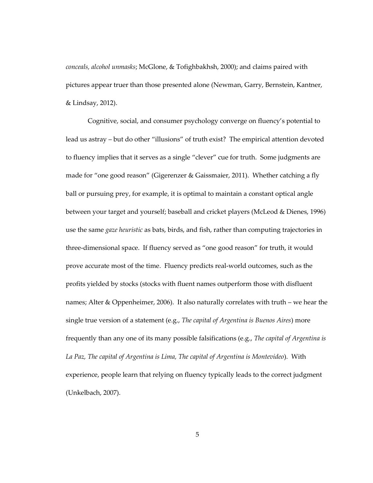*conceals, alcohol unmasks*; McGlone, & Tofighbakhsh, 2000); and claims paired with pictures appear truer than those presented alone (Newman, Garry, Bernstein, Kantner, & Lindsay, 2012).

Cognitive, social, and consumer psychology converge on fluency's potential to lead us astray – but do other "illusions" of truth exist? The empirical attention devoted to fluency implies that it serves as a single "clever" cue for truth. Some judgments are made for "one good reason" (Gigerenzer & Gaissmaier, 2011). Whether catching a fly ball or pursuing prey, for example, it is optimal to maintain a constant optical angle between your target and yourself; baseball and cricket players (McLeod & Dienes, 1996) use the same *gaze heuristic* as bats, birds, and fish, rather than computing trajectories in three-dimensional space. If fluency served as "one good reason" for truth, it would prove accurate most of the time. Fluency predicts real-world outcomes, such as the profits yielded by stocks (stocks with fluent names outperform those with disfluent names; Alter & Oppenheimer, 2006). It also naturally correlates with truth – we hear the single true version of a statement (e.g., *The capital of Argentina is Buenos Aires*) more frequently than any one of its many possible falsifications (e.g., *The capital of Argentina is La Paz, The capital of Argentina is Lima, The capital of Argentina is Montevideo*). With experience, people learn that relying on fluency typically leads to the correct judgment (Unkelbach, 2007).

5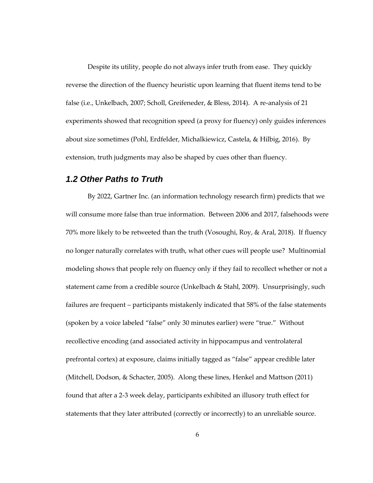Despite its utility, people do not always infer truth from ease. They quickly reverse the direction of the fluency heuristic upon learning that fluent items tend to be false (i.e., Unkelbach, 2007; Scholl, Greifeneder, & Bless, 2014). A re-analysis of 21 experiments showed that recognition speed (a proxy for fluency) only guides inferences about size sometimes (Pohl, Erdfelder, Michalkiewicz, Castela, & Hilbig, 2016). By extension, truth judgments may also be shaped by cues other than fluency.

## <span id="page-18-0"></span>*1.2 Other Paths to Truth*

By 2022, Gartner Inc. (an information technology research firm) predicts that we will consume more false than true information. Between 2006 and 2017, falsehoods were 70% more likely to be retweeted than the truth (Vosoughi, Roy, & Aral, 2018). If fluency no longer naturally correlates with truth, what other cues will people use? Multinomial modeling shows that people rely on fluency only if they fail to recollect whether or not a statement came from a credible source (Unkelbach & Stahl, 2009). Unsurprisingly, such failures are frequent – participants mistakenly indicated that 58% of the false statements (spoken by a voice labeled "false" only 30 minutes earlier) were "true." Without recollective encoding (and associated activity in hippocampus and ventrolateral prefrontal cortex) at exposure, claims initially tagged as "false" appear credible later (Mitchell, Dodson, & Schacter, 2005). Along these lines, Henkel and Mattson (2011) found that after a 2-3 week delay, participants exhibited an illusory truth effect for statements that they later attributed (correctly or incorrectly) to an unreliable source.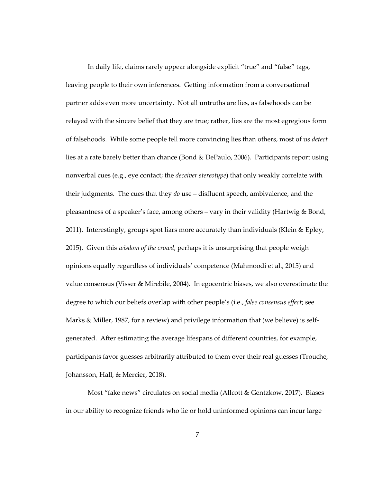In daily life, claims rarely appear alongside explicit "true" and "false" tags, leaving people to their own inferences. Getting information from a conversational partner adds even more uncertainty. Not all untruths are lies, as falsehoods can be relayed with the sincere belief that they are true; rather, lies are the most egregious form of falsehoods. While some people tell more convincing lies than others, most of us *detect* lies at a rate barely better than chance (Bond & DePaulo, 2006). Participants report using nonverbal cues (e.g., eye contact; the *deceiver stereotype*) that only weakly correlate with their judgments. The cues that they *do* use – disfluent speech, ambivalence, and the pleasantness of a speaker's face, among others – vary in their validity (Hartwig & Bond, 2011). Interestingly, groups spot liars more accurately than individuals (Klein & Epley, 2015). Given this *wisdom of the crowd*, perhaps it is unsurprising that people weigh opinions equally regardless of individuals' competence (Mahmoodi et al., 2015) and value consensus (Visser & Mirebile, 2004). In egocentric biases, we also overestimate the degree to which our beliefs overlap with other people's (i.e., *false consensus effect*; see Marks & Miller, 1987, for a review) and privilege information that (we believe) is selfgenerated. After estimating the average lifespans of different countries, for example, participants favor guesses arbitrarily attributed to them over their real guesses (Trouche, Johansson, Hall, & Mercier, 2018).

Most "fake news" circulates on social media (Allcott & Gentzkow, 2017). Biases in our ability to recognize friends who lie or hold uninformed opinions can incur large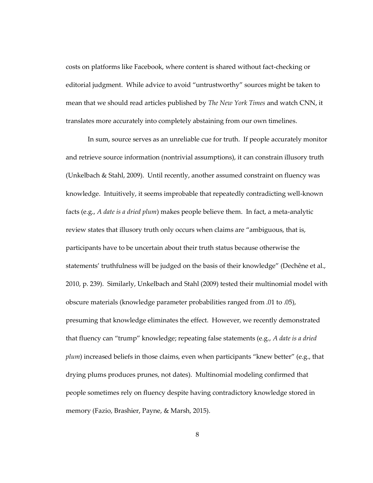costs on platforms like Facebook, where content is shared without fact-checking or editorial judgment. While advice to avoid "untrustworthy" sources might be taken to mean that we should read articles published by *The New York Times* and watch CNN, it translates more accurately into completely abstaining from our own timelines.

In sum, source serves as an unreliable cue for truth. If people accurately monitor and retrieve source information (nontrivial assumptions), it can constrain illusory truth (Unkelbach & Stahl, 2009). Until recently, another assumed constraint on fluency was knowledge. Intuitively, it seems improbable that repeatedly contradicting well-known facts (e.g., *A date is a dried plum*) makes people believe them. In fact, a meta-analytic review states that illusory truth only occurs when claims are "ambiguous, that is, participants have to be uncertain about their truth status because otherwise the statements' truthfulness will be judged on the basis of their knowledge" (Dechêne et al., 2010, p. 239). Similarly, Unkelbach and Stahl (2009) tested their multinomial model with obscure materials (knowledge parameter probabilities ranged from .01 to .05), presuming that knowledge eliminates the effect. However, we recently demonstrated that fluency can "trump" knowledge; repeating false statements (e.g., *A date is a dried plum*) increased beliefs in those claims, even when participants "knew better" (e.g., that drying plums produces prunes, not dates). Multinomial modeling confirmed that people sometimes rely on fluency despite having contradictory knowledge stored in memory (Fazio, Brashier, Payne, & Marsh, 2015).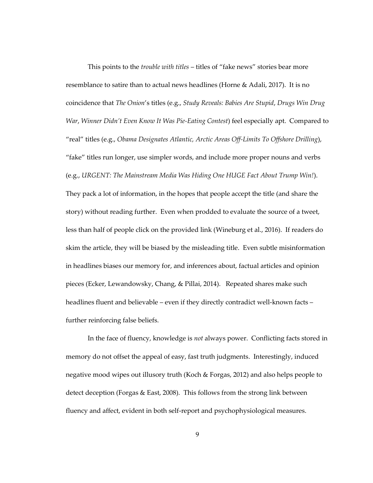This points to the *trouble with titles* – titles of "fake news" stories bear more resemblance to satire than to actual news headlines (Horne & Adali, 2017). It is no coincidence that *The Onion*'s titles (e.g., *Study Reveals: Babies Are Stupid*, *Drugs Win Drug War*, *Winner Didn't Even Know It Was Pie-Eating Contest*) feel especially apt. Compared to "real" titles (e.g., *Obama Designates Atlantic, Arctic Areas Off-Limits To Offshore Drilling*), "fake" titles run longer, use simpler words, and include more proper nouns and verbs (e.g., *URGENT: The Mainstream Media Was Hiding One HUGE Fact About Trump Win!*). They pack a lot of information, in the hopes that people accept the title (and share the story) without reading further. Even when prodded to evaluate the source of a tweet, less than half of people click on the provided link (Wineburg et al., 2016). If readers do skim the article, they will be biased by the misleading title. Even subtle misinformation in headlines biases our memory for, and inferences about, factual articles and opinion pieces (Ecker, Lewandowsky, Chang, & Pillai, 2014). Repeated shares make such headlines fluent and believable – even if they directly contradict well-known facts – further reinforcing false beliefs.

In the face of fluency, knowledge is *not* always power. Conflicting facts stored in memory do not offset the appeal of easy, fast truth judgments. Interestingly, induced negative mood wipes out illusory truth (Koch & Forgas, 2012) and also helps people to detect deception (Forgas & East, 2008). This follows from the strong link between fluency and affect, evident in both self-report and psychophysiological measures.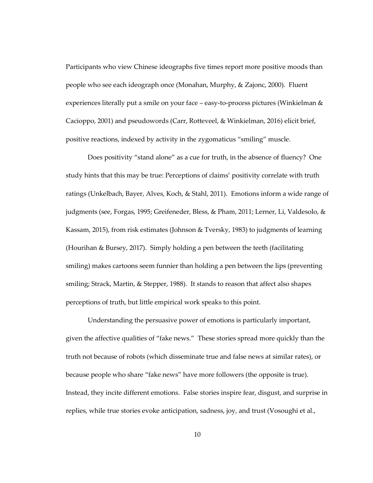Participants who view Chinese ideographs five times report more positive moods than people who see each ideograph once (Monahan, Murphy, & Zajonc, 2000). Fluent experiences literally put a smile on your face – easy-to-process pictures (Winkielman & Cacioppo, 2001) and pseudowords (Carr, Rotteveel, & Winkielman, 2016) elicit brief, positive reactions, indexed by activity in the zygomaticus "smiling" muscle.

Does positivity "stand alone" as a cue for truth, in the absence of fluency? One study hints that this may be true: Perceptions of claims' positivity correlate with truth ratings (Unkelbach, Bayer, Alves, Koch, & Stahl, 2011). Emotions inform a wide range of judgments (see, Forgas, 1995; Greifeneder, Bless, & Pham, 2011; Lerner, Li, Valdesolo, & Kassam, 2015), from risk estimates (Johnson & Tversky, 1983) to judgments of learning (Hourihan & Bursey, 2017). Simply holding a pen between the teeth (facilitating smiling) makes cartoons seem funnier than holding a pen between the lips (preventing smiling; Strack, Martin, & Stepper, 1988). It stands to reason that affect also shapes perceptions of truth, but little empirical work speaks to this point.

Understanding the persuasive power of emotions is particularly important, given the affective qualities of "fake news." These stories spread more quickly than the truth not because of robots (which disseminate true and false news at similar rates), or because people who share "fake news" have more followers (the opposite is true). Instead, they incite different emotions. False stories inspire fear, disgust, and surprise in replies, while true stories evoke anticipation, sadness, joy, and trust (Vosoughi et al.,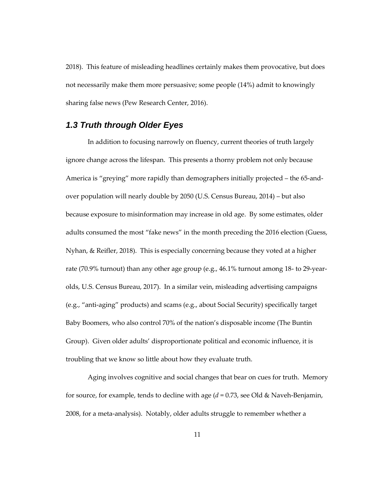2018). This feature of misleading headlines certainly makes them provocative, but does not necessarily make them more persuasive; some people (14%) admit to knowingly sharing false news (Pew Research Center, 2016).

## <span id="page-23-0"></span>*1.3 Truth through Older Eyes*

In addition to focusing narrowly on fluency, current theories of truth largely ignore change across the lifespan. This presents a thorny problem not only because America is "greying" more rapidly than demographers initially projected – the 65-andover population will nearly double by 2050 (U.S. Census Bureau, 2014) – but also because exposure to misinformation may increase in old age. By some estimates, older adults consumed the most "fake news" in the month preceding the 2016 election (Guess, Nyhan, & Reifler, 2018). This is especially concerning because they voted at a higher rate (70.9% turnout) than any other age group (e.g., 46.1% turnout among 18- to 29-yearolds, U.S. Census Bureau, 2017). In a similar vein, misleading advertising campaigns (e.g., "anti-aging" products) and scams (e.g., about Social Security) specifically target Baby Boomers, who also control 70% of the nation's disposable income (The Buntin Group). Given older adults' disproportionate political and economic influence, it is troubling that we know so little about how they evaluate truth.

Aging involves cognitive and social changes that bear on cues for truth. Memory for source, for example, tends to decline with age (*d* = 0.73, see Old & Naveh-Benjamin, 2008, for a meta-analysis). Notably, older adults struggle to remember whether a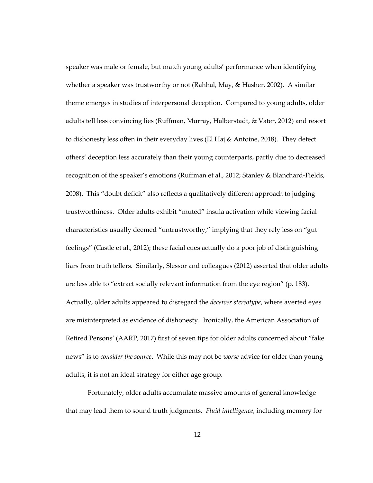speaker was male or female, but match young adults' performance when identifying whether a speaker was trustworthy or not (Rahhal, May, & Hasher, 2002). A similar theme emerges in studies of interpersonal deception. Compared to young adults, older adults tell less convincing lies (Ruffman, Murray, Halberstadt, & Vater, 2012) and resort to dishonesty less often in their everyday lives (El Haj & Antoine, 2018). They detect others' deception less accurately than their young counterparts, partly due to decreased recognition of the speaker's emotions (Ruffman et al., 2012; Stanley & Blanchard-Fields, 2008). This "doubt deficit" also reflects a qualitatively different approach to judging trustworthiness. Older adults exhibit "muted" insula activation while viewing facial characteristics usually deemed "untrustworthy," implying that they rely less on "gut feelings" (Castle et al., 2012); these facial cues actually do a poor job of distinguishing liars from truth tellers. Similarly, Slessor and colleagues (2012) asserted that older adults are less able to "extract socially relevant information from the eye region" (p. 183). Actually, older adults appeared to disregard the *deceiver stereotype*, where averted eyes are misinterpreted as evidence of dishonesty. Ironically, the American Association of Retired Persons' (AARP, 2017) first of seven tips for older adults concerned about "fake news" is to *consider the source*. While this may not be *worse* advice for older than young adults, it is not an ideal strategy for either age group.

Fortunately, older adults accumulate massive amounts of general knowledge that may lead them to sound truth judgments. *Fluid intelligence*, including memory for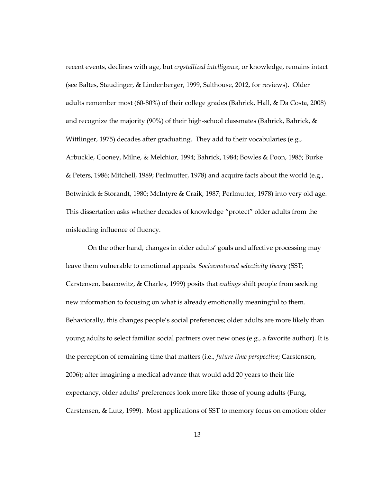recent events, declines with age, but *crystallized intelligence*, or knowledge, remains intact (see Baltes, Staudinger, & Lindenberger, 1999, Salthouse, 2012, for reviews). Older adults remember most (60-80%) of their college grades (Bahrick, Hall, & Da Costa, 2008) and recognize the majority (90%) of their high-school classmates (Bahrick, Bahrick,  $\&$ Wittlinger, 1975) decades after graduating. They add to their vocabularies (e.g., Arbuckle, Cooney, Milne, & Melchior, 1994; Bahrick, 1984; Bowles & Poon, 1985; Burke & Peters, 1986; Mitchell, 1989; Perlmutter, 1978) and acquire facts about the world (e.g., Botwinick & Storandt, 1980; McIntyre & Craik, 1987; Perlmutter, 1978) into very old age. This dissertation asks whether decades of knowledge "protect" older adults from the misleading influence of fluency.

On the other hand, changes in older adults' goals and affective processing may leave them vulnerable to emotional appeals. *Socioemotional selectivity theory* (SST; Carstensen, Isaacowitz, & Charles, 1999) posits that *endings* shift people from seeking new information to focusing on what is already emotionally meaningful to them. Behaviorally, this changes people's social preferences; older adults are more likely than young adults to select familiar social partners over new ones (e.g., a favorite author). It is the perception of remaining time that matters (i.e., *future time perspective*; Carstensen, 2006); after imagining a medical advance that would add 20 years to their life expectancy, older adults' preferences look more like those of young adults (Fung, Carstensen, & Lutz, 1999). Most applications of SST to memory focus on emotion: older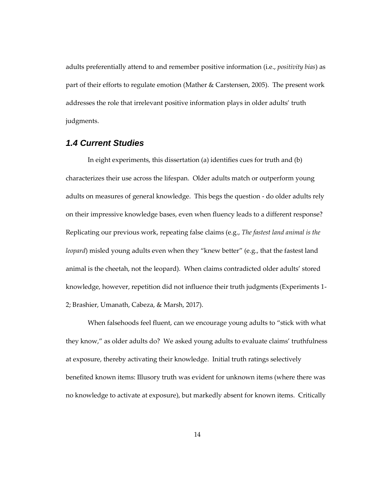adults preferentially attend to and remember positive information (i.e., *positivity bias*) as part of their efforts to regulate emotion (Mather & Carstensen, 2005). The present work addresses the role that irrelevant positive information plays in older adults' truth judgments.

## <span id="page-26-0"></span>*1.4 Current Studies*

In eight experiments, this dissertation (a) identifies cues for truth and (b) characterizes their use across the lifespan. Older adults match or outperform young adults on measures of general knowledge. This begs the question - do older adults rely on their impressive knowledge bases, even when fluency leads to a different response? Replicating our previous work, repeating false claims (e.g., *The fastest land animal is the leopard*) misled young adults even when they "knew better" (e.g., that the fastest land animal is the cheetah, not the leopard). When claims contradicted older adults' stored knowledge, however, repetition did not influence their truth judgments (Experiments 1- 2; Brashier, Umanath, Cabeza, & Marsh, 2017).

When falsehoods feel fluent, can we encourage young adults to "stick with what they know," as older adults do? We asked young adults to evaluate claims' truthfulness at exposure, thereby activating their knowledge. Initial truth ratings selectively benefited known items: Illusory truth was evident for unknown items (where there was no knowledge to activate at exposure), but markedly absent for known items. Critically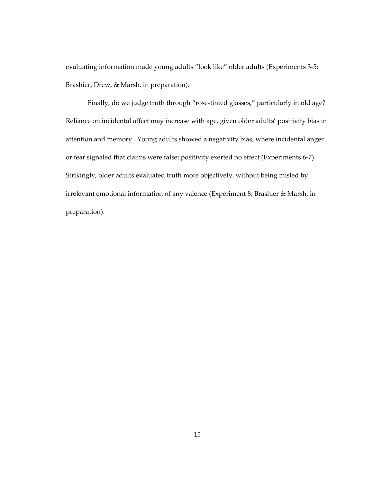evaluating information made young adults "look like" older adults (Experiments 3-5; Brashier, Drew, & Marsh, in preparation).

Finally, do we judge truth through "rose-tinted glasses," particularly in old age? Reliance on incidental affect may increase with age, given older adults' positivity bias in attention and memory. Young adults showed a negativity bias, where incidental anger or fear signaled that claims were false; positivity exerted no effect (Experiments 6-7). Strikingly, older adults evaluated truth more objectively, without being misled by irrelevant emotional information of any valence (Experiment 8; Brashier & Marsh, in preparation).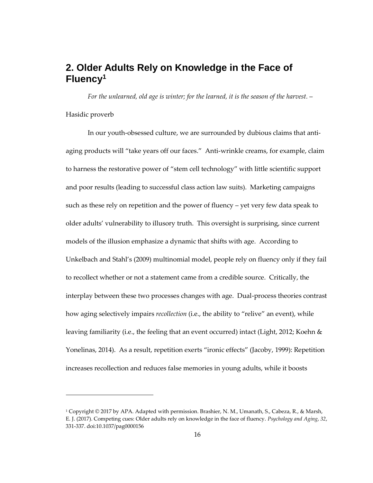# <span id="page-28-0"></span>**2. Older Adults Rely on Knowledge in the Face of Fluency<sup>1</sup>**

*For the unlearned, old age is winter; for the learned, it is the season of the harvest.* –

#### Hasidic proverb

 $\overline{a}$ 

In our youth-obsessed culture, we are surrounded by dubious claims that antiaging products will "take years off our faces." Anti-wrinkle creams, for example, claim to harness the restorative power of "stem cell technology" with little scientific support and poor results (leading to successful class action law suits). Marketing campaigns such as these rely on repetition and the power of fluency – yet very few data speak to older adults' vulnerability to illusory truth. This oversight is surprising, since current models of the illusion emphasize a dynamic that shifts with age. According to Unkelbach and Stahl's (2009) multinomial model, people rely on fluency only if they fail to recollect whether or not a statement came from a credible source. Critically, the interplay between these two processes changes with age. Dual-process theories contrast how aging selectively impairs *recollection* (i.e., the ability to "relive" an event), while leaving familiarity (i.e., the feeling that an event occurred) intact (Light, 2012; Koehn & Yonelinas, 2014). As a result, repetition exerts "ironic effects" (Jacoby, 1999): Repetition increases recollection and reduces false memories in young adults, while it boosts

<sup>1</sup> Copyright © 2017 by APA. Adapted with permission. Brashier, N. M., Umanath, S., Cabeza, R., & Marsh, E. J. (2017). Competing cues: Older adults rely on knowledge in the face of fluency. *Psychology and Aging*, *32*, 331-337. doi:10.1037/pag0000156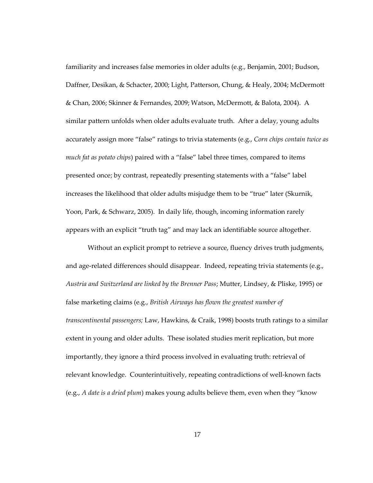familiarity and increases false memories in older adults (e.g., Benjamin, 2001; Budson, Daffner, Desikan, & Schacter, 2000; Light, Patterson, Chung, & Healy, 2004; McDermott & Chan, 2006; Skinner & Fernandes, 2009; Watson, McDermott, & Balota, 2004). A similar pattern unfolds when older adults evaluate truth. After a delay, young adults accurately assign more "false" ratings to trivia statements (e.g., *Corn chips contain twice as much fat as potato chips*) paired with a "false" label three times, compared to items presented once; by contrast, repeatedly presenting statements with a "false" label increases the likelihood that older adults misjudge them to be "true" later (Skurnik, Yoon, Park, & Schwarz, 2005). In daily life, though, incoming information rarely appears with an explicit "truth tag" and may lack an identifiable source altogether.

Without an explicit prompt to retrieve a source, fluency drives truth judgments, and age-related differences should disappear. Indeed, repeating trivia statements (e.g., *Austria and Switzerland are linked by the Brenner Pass*; Mutter, Lindsey, & Pliske, 1995) or false marketing claims (e.g., *British Airways has flown the greatest number of transcontinental passengers;* Law, Hawkins, & Craik, 1998) boosts truth ratings to a similar extent in young and older adults. These isolated studies merit replication, but more importantly, they ignore a third process involved in evaluating truth: retrieval of relevant knowledge. Counterintuitively, repeating contradictions of well-known facts (e.g., *A date is a dried plum*) makes young adults believe them, even when they "know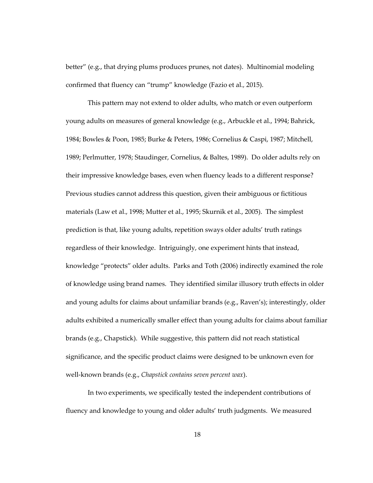better" (e.g., that drying plums produces prunes, not dates). Multinomial modeling confirmed that fluency can "trump" knowledge (Fazio et al., 2015).

This pattern may not extend to older adults, who match or even outperform young adults on measures of general knowledge (e.g., Arbuckle et al., 1994; Bahrick, 1984; Bowles & Poon, 1985; Burke & Peters, 1986; Cornelius & Caspi, 1987; Mitchell, 1989; Perlmutter, 1978; Staudinger, Cornelius, & Baltes, 1989). Do older adults rely on their impressive knowledge bases, even when fluency leads to a different response? Previous studies cannot address this question, given their ambiguous or fictitious materials (Law et al., 1998; Mutter et al., 1995; Skurnik et al., 2005). The simplest prediction is that, like young adults, repetition sways older adults' truth ratings regardless of their knowledge. Intriguingly, one experiment hints that instead, knowledge "protects" older adults. Parks and Toth (2006) indirectly examined the role of knowledge using brand names. They identified similar illusory truth effects in older and young adults for claims about unfamiliar brands (e.g., Raven's); interestingly, older adults exhibited a numerically smaller effect than young adults for claims about familiar brands (e.g., Chapstick). While suggestive, this pattern did not reach statistical significance, and the specific product claims were designed to be unknown even for well-known brands (e.g., *Chapstick contains seven percent wax*).

In two experiments, we specifically tested the independent contributions of fluency and knowledge to young and older adults' truth judgments. We measured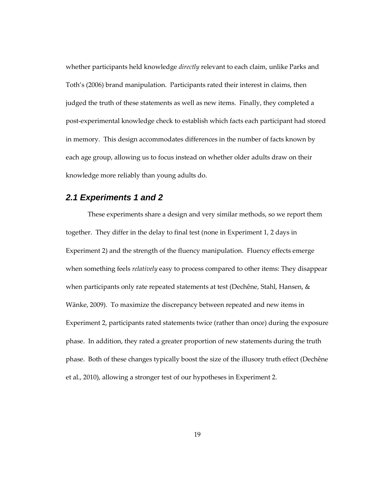whether participants held knowledge *directly* relevant to each claim, unlike Parks and Toth's (2006) brand manipulation. Participants rated their interest in claims, then judged the truth of these statements as well as new items. Finally, they completed a post-experimental knowledge check to establish which facts each participant had stored in memory. This design accommodates differences in the number of facts known by each age group, allowing us to focus instead on whether older adults draw on their knowledge more reliably than young adults do.

### <span id="page-31-0"></span>*2.1 Experiments 1 and 2*

These experiments share a design and very similar methods, so we report them together. They differ in the delay to final test (none in Experiment 1, 2 days in Experiment 2) and the strength of the fluency manipulation. Fluency effects emerge when something feels *relatively* easy to process compared to other items: They disappear when participants only rate repeated statements at test (Dechêne, Stahl, Hansen, & Wänke, 2009). To maximize the discrepancy between repeated and new items in Experiment 2, participants rated statements twice (rather than once) during the exposure phase. In addition, they rated a greater proportion of new statements during the truth phase. Both of these changes typically boost the size of the illusory truth effect (Dechêne et al., 2010), allowing a stronger test of our hypotheses in Experiment 2.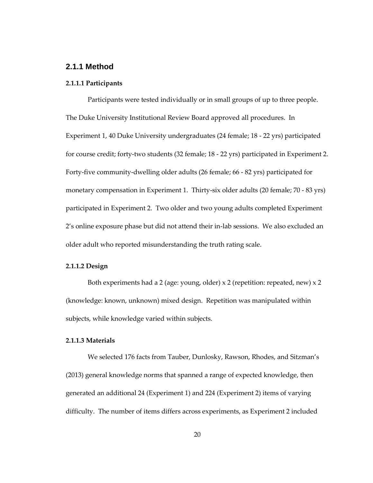#### <span id="page-32-0"></span>**2.1.1 Method**

#### <span id="page-32-1"></span>**2.1.1.1 Participants**

Participants were tested individually or in small groups of up to three people. The Duke University Institutional Review Board approved all procedures. In Experiment 1, 40 Duke University undergraduates (24 female; 18 - 22 yrs) participated for course credit; forty-two students (32 female; 18 - 22 yrs) participated in Experiment 2. Forty-five community-dwelling older adults (26 female; 66 - 82 yrs) participated for monetary compensation in Experiment 1. Thirty-six older adults (20 female; 70 - 83 yrs) participated in Experiment 2. Two older and two young adults completed Experiment 2's online exposure phase but did not attend their in-lab sessions. We also excluded an older adult who reported misunderstanding the truth rating scale.

#### <span id="page-32-2"></span>**2.1.1.2 Design**

Both experiments had a 2 (age: young, older)  $\times$  2 (repetition: repeated, new)  $\times$  2 (knowledge: known, unknown) mixed design. Repetition was manipulated within subjects, while knowledge varied within subjects.

#### <span id="page-32-3"></span>**2.1.1.3 Materials**

We selected 176 facts from Tauber, Dunlosky, Rawson, Rhodes, and Sitzman's (2013) general knowledge norms that spanned a range of expected knowledge, then generated an additional 24 (Experiment 1) and 224 (Experiment 2) items of varying difficulty. The number of items differs across experiments, as Experiment 2 included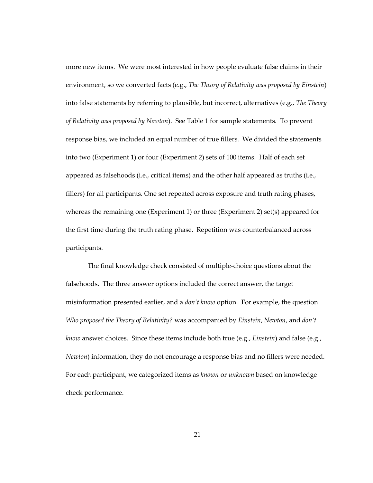more new items. We were most interested in how people evaluate false claims in their environment, so we converted facts (e.g., *The Theory of Relativity was proposed by Einstein*) into false statements by referring to plausible, but incorrect, alternatives (e.g., *The Theory of Relativity was proposed by Newton*). See Table 1 for sample statements.To prevent response bias, we included an equal number of true fillers. We divided the statements into two (Experiment 1) or four (Experiment 2) sets of 100 items. Half of each set appeared as falsehoods (i.e., critical items) and the other half appeared as truths (i.e., fillers) for all participants. One set repeated across exposure and truth rating phases, whereas the remaining one (Experiment 1) or three (Experiment 2) set(s) appeared for the first time during the truth rating phase. Repetition was counterbalanced across participants.

The final knowledge check consisted of multiple-choice questions about the falsehoods. The three answer options included the correct answer, the target misinformation presented earlier, and a *don't know* option. For example, the question *Who proposed the Theory of Relativity?* was accompanied by *Einstein*, *Newton*, and *don't know* answer choices. Since these items include both true (e.g., *Einstein*) and false (e.g., *Newton*) information, they do not encourage a response bias and no fillers were needed. For each participant, we categorized items as *known* or *unknown* based on knowledge check performance.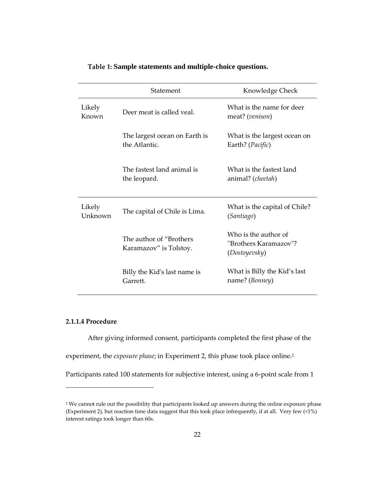<span id="page-34-1"></span>

|                   | Statement                                          | Knowledge Check                                                |
|-------------------|----------------------------------------------------|----------------------------------------------------------------|
| Likely<br>Known   | Deer meat is called yeal.                          | What is the name for deer<br>meat? (venison)                   |
|                   | The largest ocean on Earth is<br>the Atlantic.     | What is the largest ocean on<br>Earth? ( <i>Pacific</i> )      |
|                   | The fastest land animal is<br>the leopard.         | What is the fastest land<br>animal? (cheetah)                  |
| Likely<br>Unknown | The capital of Chile is Lima.                      | What is the capital of Chile?<br>(Santiago)                    |
|                   | The author of "Brothers"<br>Karamazov" is Tolstoy. | Who is the author of<br>"Brothers Karamazov"?<br>(Dostoyevsky) |
|                   | Billy the Kid's last name is<br>Garrett.           | What is Billy the Kid's last<br>name? (Bonney)                 |

#### **Table 1: Sample statements and multiple-choice questions.**

### <span id="page-34-0"></span>**2.1.1.4 Procedure**

1

After giving informed consent, participants completed the first phase of the

experiment, the *exposure phase*; in Experiment 2, this phase took place online.<sup>2</sup>

Participants rated 100 statements for subjective interest, using a 6-point scale from 1

<sup>&</sup>lt;sup>2</sup> We cannot rule out the possibility that participants looked up answers during the online exposure phase (Experiment 2), but reaction time data suggest that this took place infrequently, if at all. Very few (<1%) interest ratings took longer than 60s.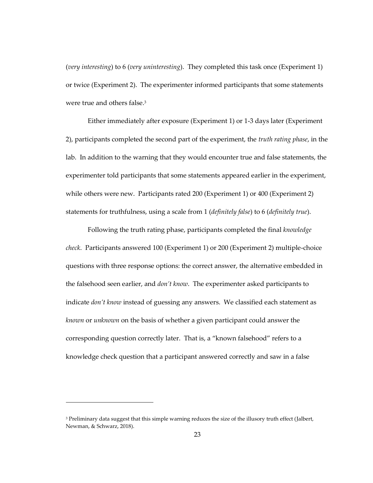(*very interesting*) to 6 (*very uninteresting*). They completed this task once (Experiment 1) or twice (Experiment 2). The experimenter informed participants that some statements were true and others false.<sup>3</sup>

Either immediately after exposure (Experiment 1) or 1-3 days later (Experiment 2), participants completed the second part of the experiment, the *truth rating phase*, in the lab. In addition to the warning that they would encounter true and false statements, the experimenter told participants that some statements appeared earlier in the experiment, while others were new. Participants rated 200 (Experiment 1) or 400 (Experiment 2) statements for truthfulness, using a scale from 1 (*definitely false*) to 6 (*definitely true*).

Following the truth rating phase, participants completed the final *knowledge check*. Participants answered 100 (Experiment 1) or 200 (Experiment 2) multiple-choice questions with three response options: the correct answer, the alternative embedded in the falsehood seen earlier, and *don't know*. The experimenter asked participants to indicate *don't know* instead of guessing any answers. We classified each statement as *known* or *unknown* on the basis of whether a given participant could answer the corresponding question correctly later. That is, a "known falsehood" refers to a knowledge check question that a participant answered correctly and saw in a false

1

<sup>&</sup>lt;sup>3</sup> Preliminary data suggest that this simple warning reduces the size of the illusory truth effect (Jalbert, Newman, & Schwarz, 2018).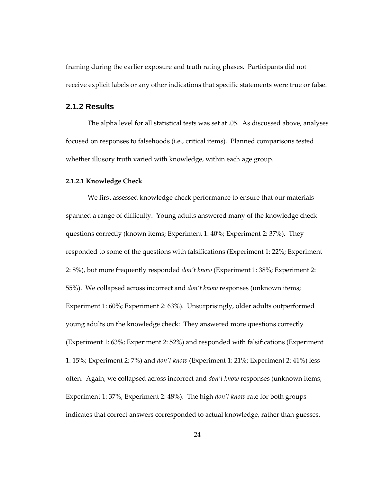framing during the earlier exposure and truth rating phases. Participants did not receive explicit labels or any other indications that specific statements were true or false.

#### **2.1.2 Results**

The alpha level for all statistical tests was set at .05. As discussed above, analyses focused on responses to falsehoods (i.e., critical items). Planned comparisons tested whether illusory truth varied with knowledge, within each age group.

#### **2.1.2.1 Knowledge Check**

We first assessed knowledge check performance to ensure that our materials spanned a range of difficulty. Young adults answered many of the knowledge check questions correctly (known items; Experiment 1: 40%; Experiment 2: 37%). They responded to some of the questions with falsifications (Experiment 1: 22%; Experiment 2: 8%), but more frequently responded *don't know* (Experiment 1: 38%; Experiment 2: 55%). We collapsed across incorrect and *don't know* responses (unknown items; Experiment 1: 60%; Experiment 2: 63%). Unsurprisingly, older adults outperformed young adults on the knowledge check: They answered more questions correctly (Experiment 1: 63%; Experiment 2: 52%) and responded with falsifications (Experiment 1: 15%; Experiment 2: 7%) and *don't know* (Experiment 1: 21%; Experiment 2: 41%) less often. Again, we collapsed across incorrect and *don't know* responses (unknown items; Experiment 1: 37%; Experiment 2: 48%). The high *don't know* rate for both groups indicates that correct answers corresponded to actual knowledge, rather than guesses.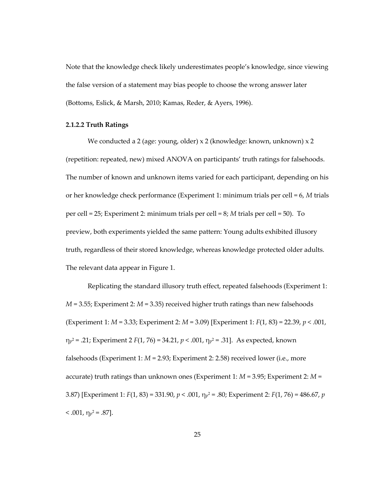Note that the knowledge check likely underestimates people's knowledge, since viewing the false version of a statement may bias people to choose the wrong answer later (Bottoms, Eslick, & Marsh, 2010; Kamas, Reder, & Ayers, 1996).

#### **2.1.2.2 Truth Ratings**

We conducted a 2 (age: young, older) x 2 (knowledge: known, unknown) x 2 (repetition: repeated, new) mixed ANOVA on participants' truth ratings for falsehoods. The number of known and unknown items varied for each participant, depending on his or her knowledge check performance (Experiment 1: minimum trials per cell = 6, *M* trials per cell = 25; Experiment 2: minimum trials per cell = 8; *M* trials per cell = 50). To preview, both experiments yielded the same pattern: Young adults exhibited illusory truth, regardless of their stored knowledge, whereas knowledge protected older adults. The relevant data appear in Figure 1.

Replicating the standard illusory truth effect, repeated falsehoods (Experiment 1: *M* = 3.55; Experiment 2: *M* = 3.35) received higher truth ratings than new falsehoods (Experiment 1: *M* = 3.33; Experiment 2: *M* = 3.09) [Experiment 1: *F*(1, 83) = 22.39, *p* < .001, ηp <sup>2</sup> = .21; Experiment 2 *F*(1, 76) = 34.21, *p* < .001, η<sup>p</sup> <sup>2</sup> = .31]. As expected, known falsehoods (Experiment 1: *M* = 2.93; Experiment 2: 2.58) received lower (i.e., more accurate) truth ratings than unknown ones (Experiment 1: *M* = 3.95; Experiment 2: *M* = 3.87) [Experiment 1: *F*(1, 83) = 331.90, *p* < .001, η<sup>p</sup> <sup>2</sup> = .80; Experiment 2: *F*(1, 76) = 486.67, *p*   $<$  .001,  $\eta_{\rm p}^2$  = .87].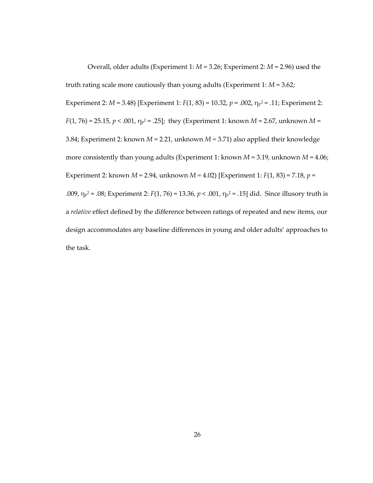Overall, older adults (Experiment 1: *M* = 3.26; Experiment 2: *M* = 2.96) used the truth rating scale more cautiously than young adults (Experiment 1: *M* = 3.62; Experiment 2: *M* = 3.48) [Experiment 1: *F*(1, 83) = 10.32, *p* = .002, η<sup>p</sup> <sup>2</sup> = .11; Experiment 2: *F*(1, 76) = 25.15, *p* < .001, η<sup>p</sup> <sup>2</sup> = .25]; they (Experiment 1: known *M* = 2.67, unknown *M* = 3.84; Experiment 2: known *M* = 2.21, unknown *M =* 3.71) also applied their knowledge more consistently than young adults (Experiment 1: known *M* = 3.19, unknown *M* = 4.06; Experiment 2: known *M* = 2.94, unknown *M =* 4.02) [Experiment 1: *F*(1, 83) = 7.18, *p* = .009, η<sup>p</sup> <sup>2</sup> = .08; Experiment 2: *F*(1, 76) = 13.36, *p* < .001, η<sup>p</sup> <sup>2</sup> = .15] did. Since illusory truth is a *relative* effect defined by the difference between ratings of repeated and new items, our design accommodates any baseline differences in young and older adults' approaches to the task.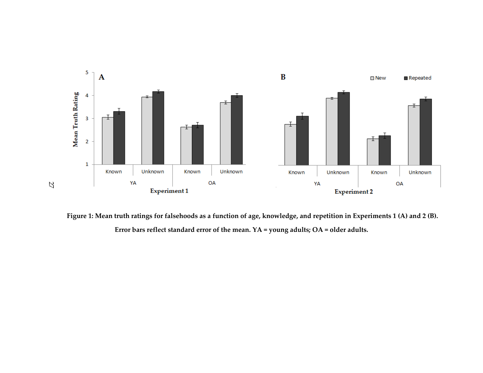

**Figure 1: Mean truth ratings for falsehoods as a function of age, knowledge, and repetition in Experiments 1 (A) and 2 (B). Error bars reflect standard error of the mean. YA = young adults; OA = older adults.**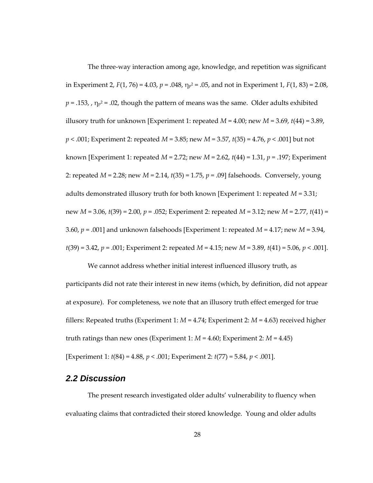The three-way interaction among age, knowledge, and repetition was significant in Experiment 2, *F*(1, 76) = 4.03, *p* = .048, η<sup>p</sup> <sup>2</sup> = .05, and not in Experiment 1, *F*(1, 83) = 2.08,  $p = .153$ , ,  $\eta_{p}$ <sup>2</sup> = .02, though the pattern of means was the same. Older adults exhibited illusory truth for unknown [Experiment 1: repeated  $M = 4.00$ ; new  $M = 3.69$ ,  $t(44) = 3.89$ , *p* < .001; Experiment 2: repeated *M* = 3.85; new *M* = 3.57, *t*(35) = 4.76, *p* < .001] but not known [Experiment 1: repeated *M* = 2.72; new *M* = 2.62, *t*(44) = 1.31, *p* = .197; Experiment 2: repeated *M* = 2.28; new *M* = 2.14, *t*(35) = 1.75, *p* = .09] falsehoods. Conversely, young adults demonstrated illusory truth for both known [Experiment 1: repeated *M* = 3.31; new *M* = 3.06, *t*(39) = 2.00, *p* = .052; Experiment 2: repeated *M* = 3.12; new *M* = 2.77, *t*(41) = 3.60, *p* = .001] and unknown falsehoods [Experiment 1: repeated *M* = 4.17; new *M* = 3.94, *t*(39) = 3.42, *p* = .001; Experiment 2: repeated *M* = 4.15; new *M* = 3.89, *t*(41) = 5.06, *p* < .001].

We cannot address whether initial interest influenced illusory truth, as participants did not rate their interest in new items (which, by definition, did not appear at exposure). For completeness, we note that an illusory truth effect emerged for true fillers: Repeated truths (Experiment 1: *M* = 4.74; Experiment 2: *M* = 4.63) received higher truth ratings than new ones (Experiment 1: *M* = 4.60; Experiment 2: *M* = 4.45) [Experiment 1: *t*(84) = 4.88, *p* < .001; Experiment 2: *t*(77) = 5.84, *p* < .001].

## *2.2 Discussion*

The present research investigated older adults' vulnerability to fluency when evaluating claims that contradicted their stored knowledge. Young and older adults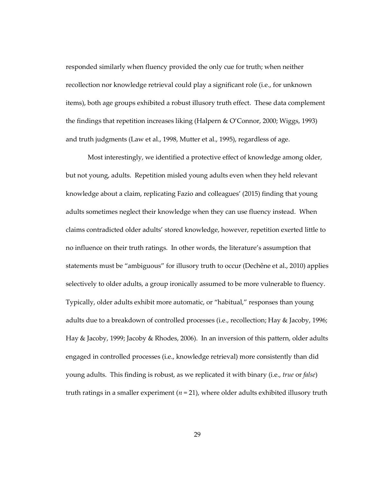responded similarly when fluency provided the only cue for truth; when neither recollection nor knowledge retrieval could play a significant role (i.e., for unknown items), both age groups exhibited a robust illusory truth effect. These data complement the findings that repetition increases liking (Halpern & O'Connor, 2000; Wiggs, 1993) and truth judgments (Law et al., 1998, Mutter et al., 1995), regardless of age.

Most interestingly, we identified a protective effect of knowledge among older, but not young, adults. Repetition misled young adults even when they held relevant knowledge about a claim, replicating Fazio and colleagues' (2015) finding that young adults sometimes neglect their knowledge when they can use fluency instead. When claims contradicted older adults' stored knowledge, however, repetition exerted little to no influence on their truth ratings. In other words, the literature's assumption that statements must be "ambiguous" for illusory truth to occur (Dechêne et al., 2010) applies selectively to older adults, a group ironically assumed to be more vulnerable to fluency. Typically, older adults exhibit more automatic, or "habitual," responses than young adults due to a breakdown of controlled processes (i.e., recollection; Hay & Jacoby, 1996; Hay & Jacoby, 1999; Jacoby & Rhodes, 2006). In an inversion of this pattern, older adults engaged in controlled processes (i.e., knowledge retrieval) more consistently than did young adults. This finding is robust, as we replicated it with binary (i.e., *true* or *false*) truth ratings in a smaller experiment  $(n = 21)$ , where older adults exhibited illusory truth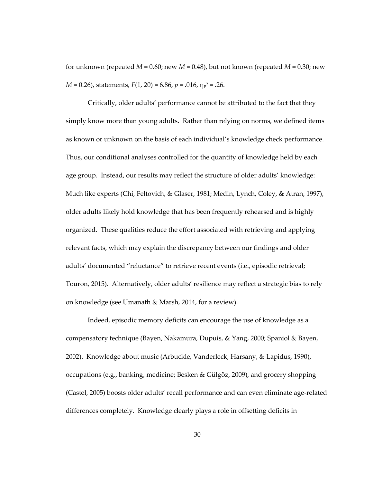for unknown (repeated  $M = 0.60$ ; new  $M = 0.48$ ), but not known (repeated  $M = 0.30$ ; new *M* = 0.26), statements, *F*(1, 20) = 6.86, *p* = .016, η<sup>p</sup> <sup>2</sup> = .26.

Critically, older adults' performance cannot be attributed to the fact that they simply know more than young adults. Rather than relying on norms, we defined items as known or unknown on the basis of each individual's knowledge check performance. Thus, our conditional analyses controlled for the quantity of knowledge held by each age group. Instead, our results may reflect the structure of older adults' knowledge: Much like experts (Chi, Feltovich, & Glaser, 1981; Medin, Lynch, Coley, & Atran, 1997), older adults likely hold knowledge that has been frequently rehearsed and is highly organized. These qualities reduce the effort associated with retrieving and applying relevant facts, which may explain the discrepancy between our findings and older adults' documented "reluctance" to retrieve recent events (i.e., episodic retrieval; Touron, 2015). Alternatively, older adults' resilience may reflect a strategic bias to rely on knowledge (see Umanath & Marsh, 2014, for a review).

Indeed, episodic memory deficits can encourage the use of knowledge as a compensatory technique (Bayen, Nakamura, Dupuis, & Yang, 2000; Spaniol & Bayen, 2002). Knowledge about music (Arbuckle, Vanderleck, Harsany, & Lapidus, 1990), occupations (e.g., banking, medicine; Besken & Gülgöz, 2009), and grocery shopping (Castel, 2005) boosts older adults' recall performance and can even eliminate age-related differences completely. Knowledge clearly plays a role in offsetting deficits in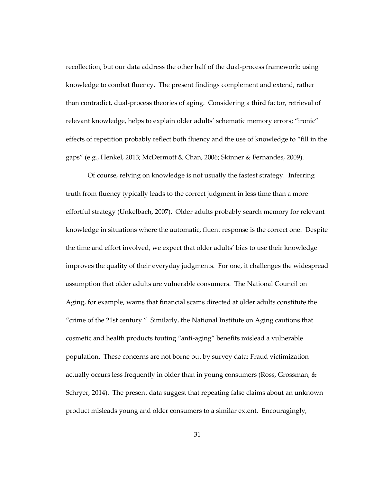recollection, but our data address the other half of the dual-process framework: using knowledge to combat fluency. The present findings complement and extend, rather than contradict, dual-process theories of aging. Considering a third factor, retrieval of relevant knowledge, helps to explain older adults' schematic memory errors; "ironic" effects of repetition probably reflect both fluency and the use of knowledge to "fill in the gaps" (e.g., Henkel, 2013; McDermott & Chan, 2006; Skinner & Fernandes, 2009).

Of course, relying on knowledge is not usually the fastest strategy. Inferring truth from fluency typically leads to the correct judgment in less time than a more effortful strategy (Unkelbach, 2007). Older adults probably search memory for relevant knowledge in situations where the automatic, fluent response is the correct one. Despite the time and effort involved, we expect that older adults' bias to use their knowledge improves the quality of their everyday judgments. For one, it challenges the widespread assumption that older adults are vulnerable consumers. The National Council on Aging, for example, warns that financial scams directed at older adults constitute the "crime of the 21st century." Similarly, the National Institute on Aging cautions that cosmetic and health products touting "anti-aging" benefits mislead a vulnerable population. These concerns are not borne out by survey data: Fraud victimization actually occurs less frequently in older than in young consumers (Ross, Grossman, & Schryer, 2014). The present data suggest that repeating false claims about an unknown product misleads young and older consumers to a similar extent. Encouragingly,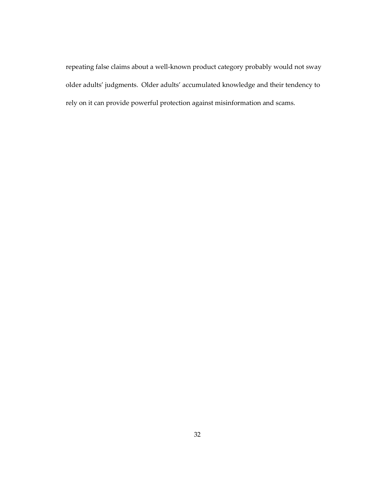repeating false claims about a well-known product category probably would not sway older adults' judgments. Older adults' accumulated knowledge and their tendency to rely on it can provide powerful protection against misinformation and scams.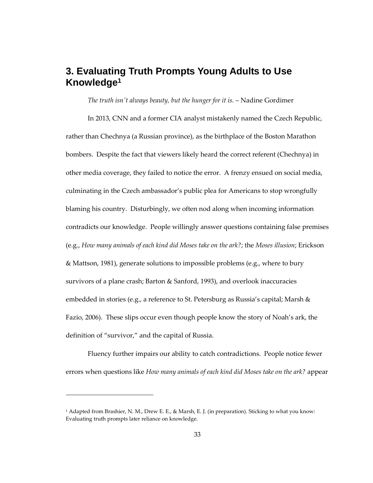# **3. Evaluating Truth Prompts Young Adults to Use Knowledge<sup>1</sup>**

*The truth isn't always beauty, but the hunger for it is.* – Nadine Gordimer

In 2013, CNN and a former CIA analyst mistakenly named the Czech Republic, rather than Chechnya (a Russian province), as the birthplace of the Boston Marathon bombers. Despite the fact that viewers likely heard the correct referent (Chechnya) in other media coverage, they failed to notice the error. A frenzy ensued on social media, culminating in the Czech ambassador's public plea for Americans to stop wrongfully blaming his country. Disturbingly, we often nod along when incoming information contradicts our knowledge.People willingly answer questions containing false premises (e.g., *How many animals of each kind did Moses take on the ark?*; the *Moses illusion*; Erickson & Mattson, 1981), generate solutions to impossible problems (e.g., where to bury survivors of a plane crash; Barton & Sanford, 1993), and overlook inaccuracies embedded in stories (e.g., a reference to St. Petersburg as Russia's capital; Marsh & Fazio, 2006). These slips occur even though people know the story of Noah's ark, the definition of "survivor," and the capital of Russia.

Fluency further impairs our ability to catch contradictions. People notice fewer errors when questions like *How many animals of each kind did Moses take on the ark?* appear

 $\overline{a}$ 

<sup>1</sup> Adapted from Brashier, N. M., Drew E. E., & Marsh, E. J. (in preparation). Sticking to what you know: Evaluating truth prompts later reliance on knowledge.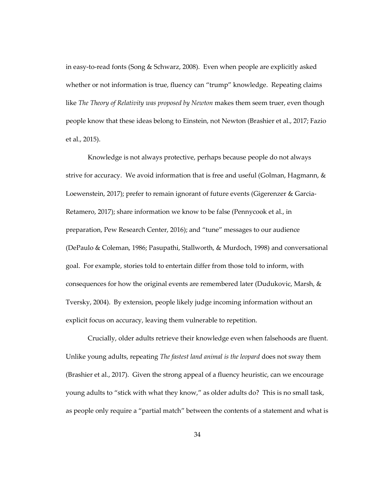in easy-to-read fonts (Song & Schwarz, 2008). Even when people are explicitly asked whether or not information is true, fluency can "trump" knowledge. Repeating claims like *The Theory of Relativity was proposed by Newton* makes them seem truer, even though people know that these ideas belong to Einstein, not Newton (Brashier et al., 2017; Fazio et al., 2015).

Knowledge is not always protective, perhaps because people do not always strive for accuracy. We avoid information that is free and useful (Golman, Hagmann, & Loewenstein, 2017); prefer to remain ignorant of future events (Gigerenzer & Garcia-Retamero, 2017); share information we know to be false (Pennycook et al., in preparation, Pew Research Center, 2016); and "tune" messages to our audience (DePaulo & Coleman, 1986; Pasupathi, Stallworth, & Murdoch, 1998) and conversational goal. For example, stories told to entertain differ from those told to inform, with consequences for how the original events are remembered later (Dudukovic, Marsh, & Tversky, 2004). By extension, people likely judge incoming information without an explicit focus on accuracy, leaving them vulnerable to repetition.

Crucially, older adults retrieve their knowledge even when falsehoods are fluent. Unlike young adults, repeating *The fastest land animal is the leopard* does not sway them (Brashier et al., 2017). Given the strong appeal of a fluency heuristic, can we encourage young adults to "stick with what they know," as older adults do? This is no small task, as people only require a "partial match" between the contents of a statement and what is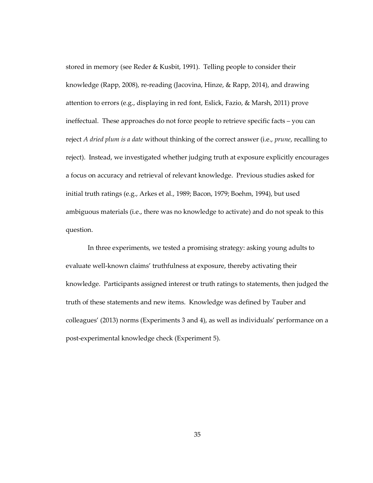stored in memory (see Reder & Kusbit, 1991). Telling people to consider their knowledge (Rapp, 2008), re-reading (Jacovina, Hinze, & Rapp, 2014), and drawing attention to errors (e.g., displaying in red font, Eslick, Fazio, & Marsh, 2011) prove ineffectual. These approaches do not force people to retrieve specific facts – you can reject *A dried plum is a date* without thinking of the correct answer (i.e., *prune*, recalling to reject). Instead, we investigated whether judging truth at exposure explicitly encourages a focus on accuracy and retrieval of relevant knowledge. Previous studies asked for initial truth ratings (e.g., Arkes et al., 1989; Bacon, 1979; Boehm, 1994), but used ambiguous materials (i.e., there was no knowledge to activate) and do not speak to this question.

In three experiments, we tested a promising strategy: asking young adults to evaluate well-known claims' truthfulness at exposure, thereby activating their knowledge. Participants assigned interest or truth ratings to statements, then judged the truth of these statements and new items. Knowledge was defined by Tauber and colleagues' (2013) norms (Experiments 3 and 4), as well as individuals' performance on a post-experimental knowledge check (Experiment 5).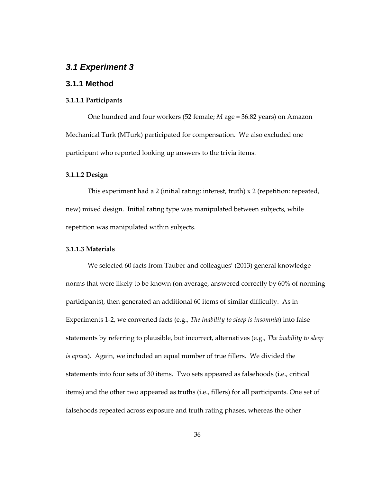## *3.1 Experiment 3*

## **3.1.1 Method**

### **3.1.1.1 Participants**

One hundred and four workers (52 female; *M* age = 36.82 years) on Amazon Mechanical Turk (MTurk) participated for compensation. We also excluded one participant who reported looking up answers to the trivia items.

#### **3.1.1.2 Design**

This experiment had a 2 (initial rating: interest, truth)  $\times$  2 (repetition: repeated, new) mixed design. Initial rating type was manipulated between subjects, while repetition was manipulated within subjects.

#### **3.1.1.3 Materials**

We selected 60 facts from Tauber and colleagues' (2013) general knowledge norms that were likely to be known (on average, answered correctly by 60% of norming participants), then generated an additional 60 items of similar difficulty. As in Experiments 1-2, we converted facts (e.g., *The inability to sleep is insomnia*) into false statements by referring to plausible, but incorrect, alternatives (e.g., *The inability to sleep is apnea*). Again, we included an equal number of true fillers. We divided the statements into four sets of 30 items. Two sets appeared as falsehoods (i.e., critical items) and the other two appeared as truths (i.e., fillers) for all participants. One set of falsehoods repeated across exposure and truth rating phases, whereas the other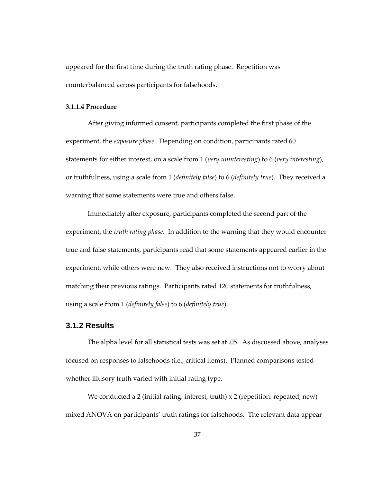appeared for the first time during the truth rating phase. Repetition was counterbalanced across participants for falsehoods.

#### **3.1.1.4 Procedure**

After giving informed consent, participants completed the first phase of the experiment, the *exposure phase*. Depending on condition, participants rated 60 statements for either interest, on a scale from 1 (*very uninteresting*) to 6 (*very interesting*), or truthfulness, using a scale from 1 (*definitely false*) to 6 (*definitely true*). They received a warning that some statements were true and others false.

Immediately after exposure, participants completed the second part of the experiment, the *truth rating phase*. In addition to the warning that they would encounter true and false statements, participants read that some statements appeared earlier in the experiment, while others were new. They also received instructions not to worry about matching their previous ratings. Participants rated 120 statements for truthfulness, using a scale from 1 (*definitely false*) to 6 (*definitely true*).

## **3.1.2 Results**

The alpha level for all statistical tests was set at .05. As discussed above, analyses focused on responses to falsehoods (i.e., critical items). Planned comparisons tested whether illusory truth varied with initial rating type.

We conducted a 2 (initial rating: interest, truth)  $x$  2 (repetition: repeated, new) mixed ANOVA on participants' truth ratings for falsehoods. The relevant data appear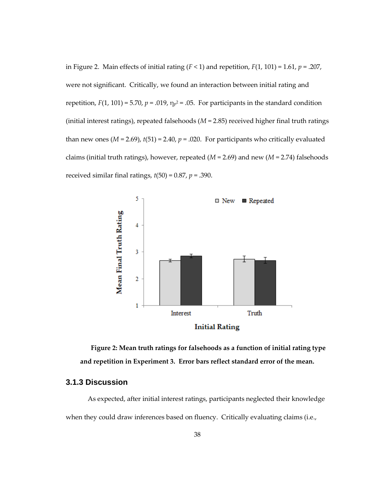in Figure 2. Main effects of initial rating (*F* < 1) and repetition, *F*(1, 101) = 1.61, *p* = .207, were not significant. Critically, we found an interaction between initial rating and repetition,  $F(1, 101) = 5.70$ ,  $p = .019$ ,  $\eta_{p}^2 = .05$ . For participants in the standard condition (initial interest ratings), repeated falsehoods (*M* = 2.85) received higher final truth ratings than new ones  $(M = 2.69)$ ,  $t(51) = 2.40$ ,  $p = .020$ . For participants who critically evaluated claims (initial truth ratings), however, repeated (*M* = 2.69) and new (*M* = 2.74) falsehoods received similar final ratings,  $t(50) = 0.87$ ,  $p = .390$ .



**Figure 2: Mean truth ratings for falsehoods as a function of initial rating type and repetition in Experiment 3. Error bars reflect standard error of the mean.**

## **3.1.3 Discussion**

As expected, after initial interest ratings, participants neglected their knowledge when they could draw inferences based on fluency. Critically evaluating claims (i.e.,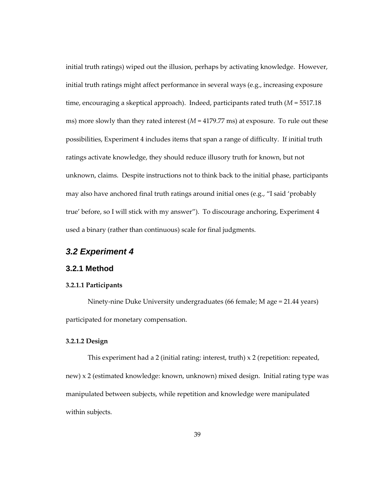initial truth ratings) wiped out the illusion, perhaps by activating knowledge. However, initial truth ratings might affect performance in several ways (e.g., increasing exposure time, encouraging a skeptical approach). Indeed, participants rated truth (*M* = 5517.18 ms) more slowly than they rated interest ( $M = 4179.77$  ms) at exposure. To rule out these possibilities, Experiment 4 includes items that span a range of difficulty. If initial truth ratings activate knowledge, they should reduce illusory truth for known, but not unknown, claims. Despite instructions not to think back to the initial phase, participants may also have anchored final truth ratings around initial ones (e.g., "I said 'probably true' before, so I will stick with my answer"). To discourage anchoring, Experiment 4 used a binary (rather than continuous) scale for final judgments.

## *3.2 Experiment 4*

## **3.2.1 Method**

#### **3.2.1.1 Participants**

Ninety-nine Duke University undergraduates (66 female; M age = 21.44 years) participated for monetary compensation.

#### **3.2.1.2 Design**

This experiment had a 2 (initial rating: interest, truth)  $\times$  2 (repetition: repeated, new) x 2 (estimated knowledge: known, unknown) mixed design. Initial rating type was manipulated between subjects, while repetition and knowledge were manipulated within subjects.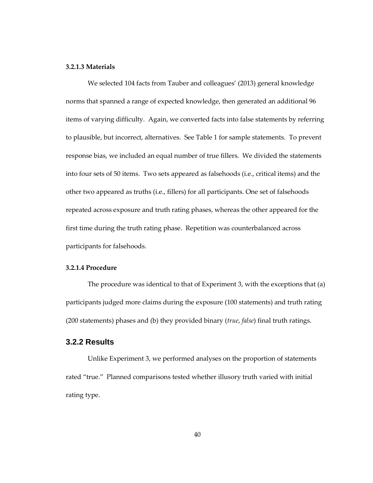#### **3.2.1.3 Materials**

We selected 104 facts from Tauber and colleagues' (2013) general knowledge norms that spanned a range of expected knowledge, then generated an additional 96 items of varying difficulty. Again, we converted facts into false statements by referring to plausible, but incorrect, alternatives. See Table 1 for sample statements.To prevent response bias, we included an equal number of true fillers. We divided the statements into four sets of 50 items. Two sets appeared as falsehoods (i.e., critical items) and the other two appeared as truths (i.e., fillers) for all participants. One set of falsehoods repeated across exposure and truth rating phases, whereas the other appeared for the first time during the truth rating phase. Repetition was counterbalanced across participants for falsehoods.

#### **3.2.1.4 Procedure**

The procedure was identical to that of Experiment 3, with the exceptions that (a) participants judged more claims during the exposure (100 statements) and truth rating (200 statements) phases and (b) they provided binary (*true*, *false*) final truth ratings.

## **3.2.2 Results**

Unlike Experiment 3, we performed analyses on the proportion of statements rated "true." Planned comparisons tested whether illusory truth varied with initial rating type.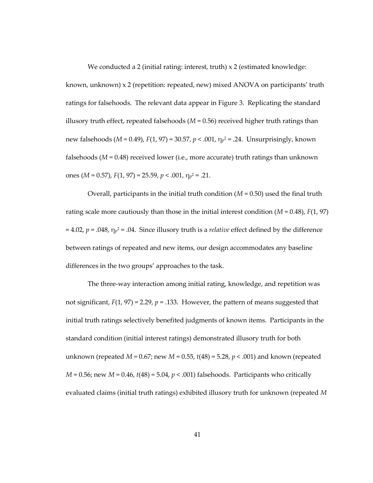We conducted a 2 (initial rating: interest, truth) x 2 (estimated knowledge: known, unknown) x 2 (repetition: repeated, new) mixed ANOVA on participants' truth ratings for falsehoods. The relevant data appear in Figure 3. Replicating the standard illusory truth effect, repeated falsehoods  $(M = 0.56)$  received higher truth ratings than new falsehoods (*M* = 0.49), *F*(1, 97) = 30.57, *p* < .001, η<sup>p</sup> <sup>2</sup> = .24. Unsurprisingly, known falsehoods (*M* = 0.48) received lower (i.e., more accurate) truth ratings than unknown ones (*M* = 0.57), *F*(1, 97) = 25.59, *p* < .001, η<sup>p</sup> <sup>2</sup> = .21.

Overall, participants in the initial truth condition  $(M = 0.50)$  used the final truth rating scale more cautiously than those in the initial interest condition  $(M = 0.48)$ ,  $F(1, 97)$ = 4.02, *p* = .048, η<sup>p</sup> <sup>2</sup> = .04. Since illusory truth is a *relative* effect defined by the difference between ratings of repeated and new items, our design accommodates any baseline differences in the two groups' approaches to the task.

The three-way interaction among initial rating, knowledge, and repetition was not significant,  $F(1, 97) = 2.29$ ,  $p = .133$ . However, the pattern of means suggested that initial truth ratings selectively benefited judgments of known items. Participants in the standard condition (initial interest ratings) demonstrated illusory truth for both unknown (repeated *M* = 0.67; new *M* = 0.55, *t*(48) = 5.28, *p* < .001) and known (repeated *M* = 0.56; new *M* = 0.46, *t*(48) = 5.04, *p* < .001) falsehoods. Participants who critically evaluated claims (initial truth ratings) exhibited illusory truth for unknown (repeated *M*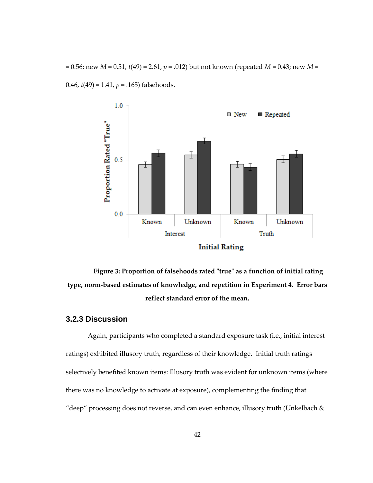= 0.56; new *M* = 0.51, *t*(49) = 2.61, *p* = .012) but not known (repeated *M* = 0.43; new *M* = 0.46, *t*(49) = 1.41, *p* = .165) falsehoods.



**Figure 3: Proportion of falsehoods rated "true" as a function of initial rating type, norm-based estimates of knowledge, and repetition in Experiment 4. Error bars reflect standard error of the mean.**

## **3.2.3 Discussion**

Again, participants who completed a standard exposure task (i.e., initial interest ratings) exhibited illusory truth, regardless of their knowledge. Initial truth ratings selectively benefited known items: Illusory truth was evident for unknown items (where there was no knowledge to activate at exposure), complementing the finding that "deep" processing does not reverse, and can even enhance, illusory truth (Unkelbach &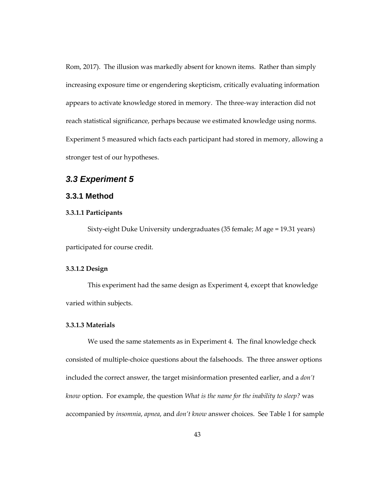Rom, 2017). The illusion was markedly absent for known items. Rather than simply increasing exposure time or engendering skepticism, critically evaluating information appears to activate knowledge stored in memory. The three-way interaction did not reach statistical significance, perhaps because we estimated knowledge using norms. Experiment 5 measured which facts each participant had stored in memory, allowing a stronger test of our hypotheses.

## *3.3 Experiment 5*

## **3.3.1 Method**

#### **3.3.1.1 Participants**

Sixty-eight Duke University undergraduates (35 female; *M* age = 19.31 years) participated for course credit.

#### **3.3.1.2 Design**

This experiment had the same design as Experiment 4, except that knowledge varied within subjects.

### **3.3.1.3 Materials**

We used the same statements as in Experiment 4. The final knowledge check consisted of multiple-choice questions about the falsehoods. The three answer options included the correct answer, the target misinformation presented earlier, and a *don't know* option. For example, the question *What is the name for the inability to sleep?* was accompanied by *insomnia*, *apnea*, and *don't know* answer choices. See Table 1 for sample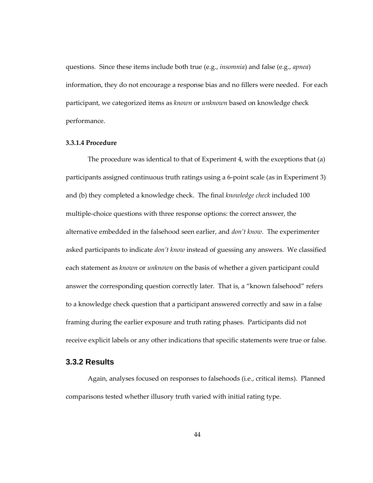questions. Since these items include both true (e.g., *insomnia*) and false (e.g., *apnea*) information, they do not encourage a response bias and no fillers were needed. For each participant, we categorized items as *known* or *unknown* based on knowledge check performance.

#### **3.3.1.4 Procedure**

The procedure was identical to that of Experiment 4, with the exceptions that (a) participants assigned continuous truth ratings using a 6-point scale (as in Experiment 3) and (b) they completed a knowledge check. The final *knowledge check* included 100 multiple-choice questions with three response options: the correct answer, the alternative embedded in the falsehood seen earlier, and *don't know*. The experimenter asked participants to indicate *don't know* instead of guessing any answers. We classified each statement as *known* or *unknown* on the basis of whether a given participant could answer the corresponding question correctly later. That is, a "known falsehood" refers to a knowledge check question that a participant answered correctly and saw in a false framing during the earlier exposure and truth rating phases. Participants did not receive explicit labels or any other indications that specific statements were true or false.

## **3.3.2 Results**

Again, analyses focused on responses to falsehoods (i.e., critical items). Planned comparisons tested whether illusory truth varied with initial rating type.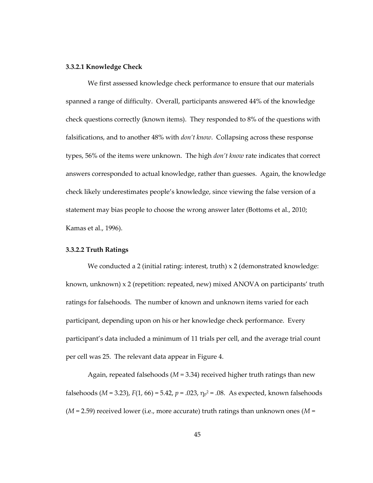#### **3.3.2.1 Knowledge Check**

We first assessed knowledge check performance to ensure that our materials spanned a range of difficulty. Overall, participants answered 44% of the knowledge check questions correctly (known items). They responded to 8% of the questions with falsifications, and to another 48% with *don't know*. Collapsing across these response types, 56% of the items were unknown. The high *don't know* rate indicates that correct answers corresponded to actual knowledge, rather than guesses. Again, the knowledge check likely underestimates people's knowledge, since viewing the false version of a statement may bias people to choose the wrong answer later (Bottoms et al., 2010; Kamas et al., 1996).

#### **3.3.2.2 Truth Ratings**

We conducted a 2 (initial rating: interest, truth)  $x$  2 (demonstrated knowledge: known, unknown) x 2 (repetition: repeated, new) mixed ANOVA on participants' truth ratings for falsehoods. The number of known and unknown items varied for each participant, depending upon on his or her knowledge check performance. Every participant's data included a minimum of 11 trials per cell, and the average trial count per cell was 25. The relevant data appear in Figure 4.

Again, repeated falsehoods  $(M = 3.34)$  received higher truth ratings than new falsehoods (*M* = 3.23), *F*(1, 66) = 5.42, *p* = .023, η<sup>p</sup> <sup>2</sup> = .08. As expected, known falsehoods  $(M = 2.59)$  received lower (i.e., more accurate) truth ratings than unknown ones  $(M = 2.59)$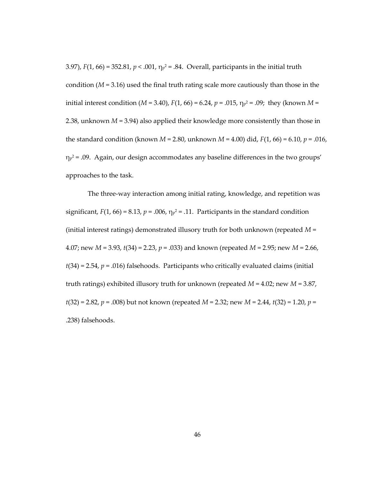3.97),  $F(1, 66) = 352.81$ ,  $p < .001$ ,  $\eta_{p^2} = .84$ . Overall, participants in the initial truth condition  $(M = 3.16)$  used the final truth rating scale more cautiously than those in the initial interest condition (*M* = 3.40), *F*(1, 66) = 6.24, *p* = .015, η<sup>p</sup> <sup>2</sup> = .09; they (known *M* = 2.38, unknown *M* = 3.94) also applied their knowledge more consistently than those in the standard condition (known *M* = 2.80, unknown *M* = 4.00) did, *F*(1, 66) = 6.10, *p* = .016,  $\eta_{p}$ <sup>2</sup> = .09. Again, our design accommodates any baseline differences in the two groups' approaches to the task.

The three-way interaction among initial rating, knowledge, and repetition was significant,  $F(1, 66) = 8.13$ ,  $p = .006$ ,  $\eta_p^2 = .11$ . Participants in the standard condition (initial interest ratings) demonstrated illusory truth for both unknown (repeated *M* = 4.07; new *M* = 3.93, *t*(34) = 2.23, *p* = .033) and known (repeated *M* = 2.95; new *M* = 2.66,  $t(34) = 2.54$ ,  $p = .016$ ) falsehoods. Participants who critically evaluated claims (initial truth ratings) exhibited illusory truth for unknown (repeated *M* = 4.02; new *M* = 3.87, *t*(32) = 2.82, *p* = .008) but not known (repeated *M* = 2.32; new *M* = 2.44, *t*(32) = 1.20, *p* = .238) falsehoods.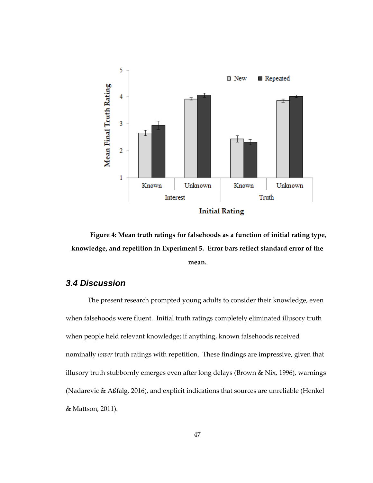

**Figure 4: Mean truth ratings for falsehoods as a function of initial rating type, knowledge, and repetition in Experiment 5. Error bars reflect standard error of the mean.**

## *3.4 Discussion*

The present research prompted young adults to consider their knowledge, even when falsehoods were fluent. Initial truth ratings completely eliminated illusory truth when people held relevant knowledge; if anything, known falsehoods received nominally *lower* truth ratings with repetition. These findings are impressive, given that illusory truth stubbornly emerges even after long delays (Brown & Nix, 1996), warnings (Nadarevic & Aßfalg, 2016), and explicit indications that sources are unreliable (Henkel & Mattson, 2011).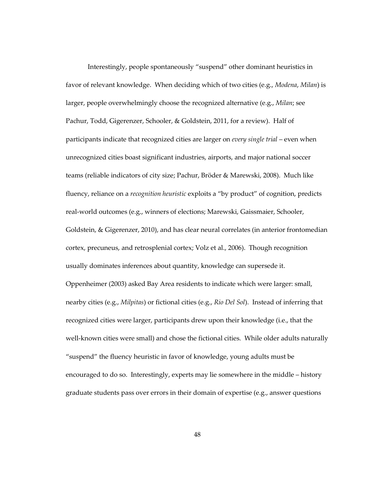Interestingly, people spontaneously "suspend" other dominant heuristics in favor of relevant knowledge. When deciding which of two cities (e.g., *Modena*, *Milan*) is larger, people overwhelmingly choose the recognized alternative (e.g., *Milan*; see Pachur, Todd, Gigerenzer, Schooler, & Goldstein, 2011, for a review). Half of participants indicate that recognized cities are larger on *every single trial* – even when unrecognized cities boast significant industries, airports, and major national soccer teams (reliable indicators of city size; Pachur, Bröder & Marewski, 2008). Much like fluency, reliance on a *recognition heuristic* exploits a "by product" of cognition, predicts real-world outcomes (e.g., winners of elections; Marewski, Gaissmaier, Schooler, Goldstein, & Gigerenzer, 2010), and has clear neural correlates (in anterior frontomedian cortex, precuneus, and retrosplenial cortex; Volz et al., 2006). Though recognition usually dominates inferences about quantity, knowledge can supersede it. Oppenheimer (2003) asked Bay Area residents to indicate which were larger: small, nearby cities (e.g., *Milpitas*) or fictional cities (e.g., *Rio Del Sol*). Instead of inferring that recognized cities were larger, participants drew upon their knowledge (i.e., that the well-known cities were small) and chose the fictional cities. While older adults naturally "suspend" the fluency heuristic in favor of knowledge, young adults must be encouraged to do so. Interestingly, experts may lie somewhere in the middle – history graduate students pass over errors in their domain of expertise (e.g., answer questions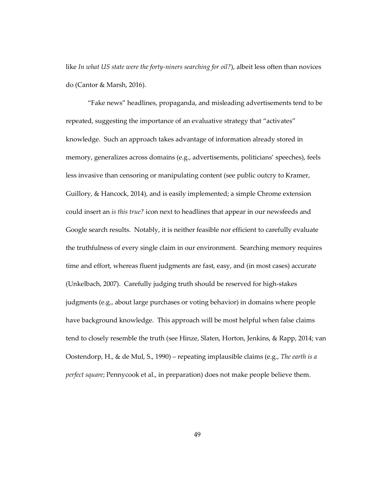like *In what US state were the forty-niners searching for oil?*), albeit less often than novices do (Cantor & Marsh, 2016).

"Fake news" headlines, propaganda, and misleading advertisements tend to be repeated, suggesting the importance of an evaluative strategy that "activates" knowledge. Such an approach takes advantage of information already stored in memory, generalizes across domains (e.g., advertisements, politicians' speeches), feels less invasive than censoring or manipulating content (see public outcry to Kramer, Guillory, & Hancock, 2014), and is easily implemented; a simple Chrome extension could insert an *is this true?* icon next to headlines that appear in our newsfeeds and Google search results. Notably, it is neither feasible nor efficient to carefully evaluate the truthfulness of every single claim in our environment. Searching memory requires time and effort, whereas fluent judgments are fast, easy, and (in most cases) accurate (Unkelbach, 2007). Carefully judging truth should be reserved for high-stakes judgments (e.g., about large purchases or voting behavior) in domains where people have background knowledge. This approach will be most helpful when false claims tend to closely resemble the truth (see Hinze, Slaten, Horton, Jenkins, & Rapp, 2014; van Oostendorp, H., & de Mul, S., 1990) – repeating implausible claims (e.g., *The earth is a perfect square*; Pennycook et al., in preparation) does not make people believe them.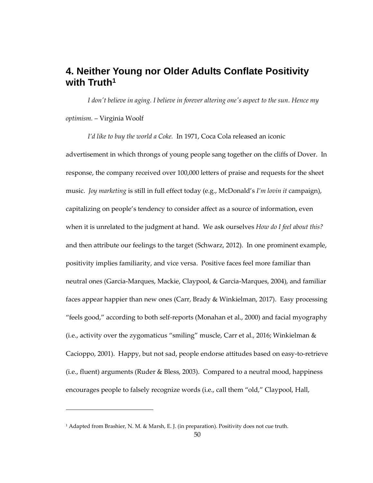# **4. Neither Young nor Older Adults Conflate Positivity with Truth<sup>1</sup>**

*I don't believe in aging. I believe in forever altering one's aspect to the sun. Hence my optimism.* – Virginia Woolf

*I'd like to buy the world a Coke.* In 1971, Coca Cola released an iconic advertisement in which throngs of young people sang together on the cliffs of Dover. In response, the company received over 100,000 letters of praise and requests for the sheet music. *Joy marketing* is still in full effect today (e.g., McDonald's *I'm lovin it* campaign), capitalizing on people's tendency to consider affect as a source of information, even when it is unrelated to the judgment at hand. We ask ourselves *How do I feel about this?*  and then attribute our feelings to the target (Schwarz, 2012). In one prominent example, positivity implies familiarity, and vice versa. Positive faces feel more familiar than neutral ones (Garcia-Marques, Mackie, Claypool, & Garcia-Marques, 2004), and familiar faces appear happier than new ones (Carr, Brady & Winkielman, 2017). Easy processing "feels good," according to both self-reports (Monahan et al., 2000) and facial myography (i.e., activity over the zygomaticus "smiling" muscle, Carr et al., 2016; Winkielman & Cacioppo, 2001). Happy, but not sad, people endorse attitudes based on easy-to-retrieve (i.e., fluent) arguments (Ruder & Bless, 2003). Compared to a neutral mood, happiness encourages people to falsely recognize words (i.e., call them "old," Claypool, Hall,

1

<sup>&</sup>lt;sup>1</sup> Adapted from Brashier, N. M. & Marsh, E. J. (in preparation). Positivity does not cue truth.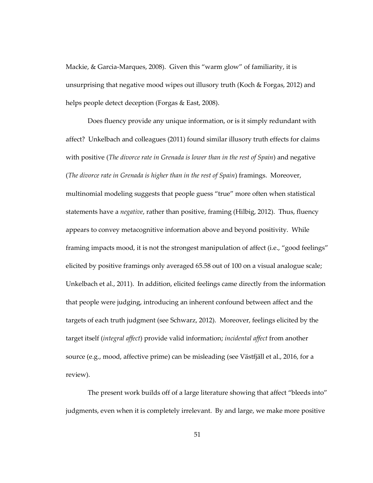Mackie, & Garcia-Marques, 2008). Given this "warm glow" of familiarity, it is unsurprising that negative mood wipes out illusory truth (Koch & Forgas, 2012) and helps people detect deception (Forgas & East, 2008).

Does fluency provide any unique information, or is it simply redundant with affect? Unkelbach and colleagues (2011) found similar illusory truth effects for claims with positive (*The divorce rate in Grenada is lower than in the rest of Spain*) and negative (*The divorce rate in Grenada is higher than in the rest of Spain*) framings. Moreover, multinomial modeling suggests that people guess "true" more often when statistical statements have a *negative*, rather than positive, framing (Hilbig, 2012). Thus, fluency appears to convey metacognitive information above and beyond positivity. While framing impacts mood, it is not the strongest manipulation of affect (i.e., "good feelings" elicited by positive framings only averaged 65.58 out of 100 on a visual analogue scale; Unkelbach et al., 2011). In addition, elicited feelings came directly from the information that people were judging, introducing an inherent confound between affect and the targets of each truth judgment (see Schwarz, 2012). Moreover, feelings elicited by the target itself (*integral affect*) provide valid information; *incidental affect* from another source (e.g., mood, affective prime) can be misleading (see Västfjäll et al., 2016, for a review).

The present work builds off of a large literature showing that affect "bleeds into" judgments, even when it is completely irrelevant. By and large, we make more positive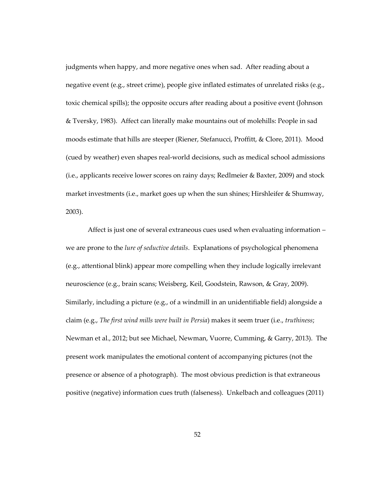judgments when happy, and more negative ones when sad. After reading about a negative event (e.g., street crime), people give inflated estimates of unrelated risks (e.g., toxic chemical spills); the opposite occurs after reading about a positive event (Johnson & Tversky, 1983). Affect can literally make mountains out of molehills: People in sad moods estimate that hills are steeper (Riener, Stefanucci, Proffitt, & Clore, 2011). Mood (cued by weather) even shapes real-world decisions, such as medical school admissions (i.e., applicants receive lower scores on rainy days; Redlmeier & Baxter, 2009) and stock market investments (i.e., market goes up when the sun shines; Hirshleifer & Shumway, 2003).

Affect is just one of several extraneous cues used when evaluating information – we are prone to the *lure of seductive details*. Explanations of psychological phenomena (e.g., attentional blink) appear more compelling when they include logically irrelevant neuroscience (e.g., brain scans; Weisberg, Keil, Goodstein, Rawson, & Gray, 2009). Similarly, including a picture (e.g., of a windmill in an unidentifiable field) alongside a claim (e.g., *The first wind mills were built in Persia*) makes it seem truer (i.e., *truthiness*; Newman et al., 2012; but see Michael, Newman, Vuorre, Cumming, & Garry, 2013). The present work manipulates the emotional content of accompanying pictures (not the presence or absence of a photograph). The most obvious prediction is that extraneous positive (negative) information cues truth (falseness). Unkelbach and colleagues (2011)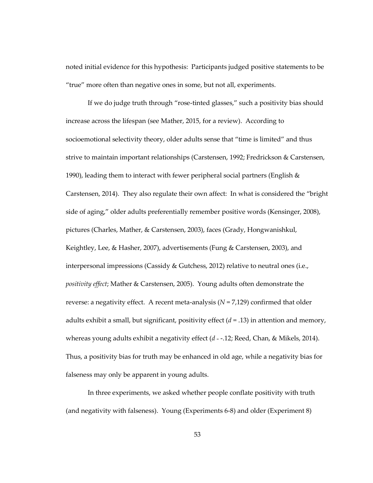noted initial evidence for this hypothesis: Participants judged positive statements to be "true" more often than negative ones in some, but not all, experiments.

If we do judge truth through "rose-tinted glasses," such a positivity bias should increase across the lifespan (see Mather, 2015, for a review). According to socioemotional selectivity theory, older adults sense that "time is limited" and thus strive to maintain important relationships (Carstensen, 1992; Fredrickson & Carstensen, 1990), leading them to interact with fewer peripheral social partners (English  $\&$ Carstensen, 2014). They also regulate their own affect: In what is considered the "bright side of aging," older adults preferentially remember positive words (Kensinger, 2008), pictures (Charles, Mather, & Carstensen, 2003), faces (Grady, Hongwanishkul, Keightley, Lee, & Hasher, 2007), advertisements (Fung & Carstensen, 2003), and interpersonal impressions (Cassidy & Gutchess, 2012) relative to neutral ones (i.e., *positivity effect*; Mather & Carstensen, 2005). Young adults often demonstrate the reverse: a negativity effect. A recent meta-analysis (*N* = 7,129) confirmed that older adults exhibit a small, but significant, positivity effect (*d* = .13) in attention and memory, whereas young adults exhibit a negativity effect (*d* <sup>=</sup> -.12; Reed, Chan, & Mikels, 2014). Thus, a positivity bias for truth may be enhanced in old age, while a negativity bias for falseness may only be apparent in young adults.

In three experiments, we asked whether people conflate positivity with truth (and negativity with falseness). Young (Experiments 6-8) and older (Experiment 8)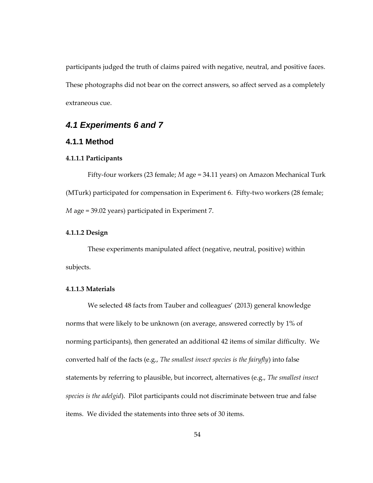participants judged the truth of claims paired with negative, neutral, and positive faces. These photographs did not bear on the correct answers, so affect served as a completely extraneous cue.

## *4.1 Experiments 6 and 7*

## **4.1.1 Method**

## **4.1.1.1 Participants**

Fifty-four workers (23 female; *M* age = 34.11 years) on Amazon Mechanical Turk (MTurk) participated for compensation in Experiment 6. Fifty-two workers (28 female; *M* age = 39.02 years) participated in Experiment 7.

#### **4.1.1.2 Design**

These experiments manipulated affect (negative, neutral, positive) within subjects.

#### **4.1.1.3 Materials**

We selected 48 facts from Tauber and colleagues' (2013) general knowledge norms that were likely to be unknown (on average, answered correctly by 1% of norming participants), then generated an additional 42 items of similar difficulty. We converted half of the facts (e.g., *The smallest insect species is the fairyfly*) into false statements by referring to plausible, but incorrect, alternatives (e.g., *The smallest insect species is the adelgid*). Pilot participants could not discriminate between true and false items. We divided the statements into three sets of 30 items.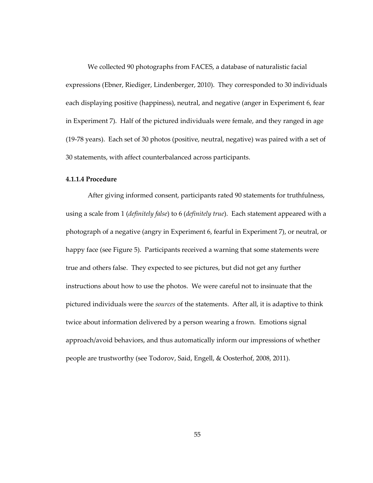We collected 90 photographs from FACES, a database of naturalistic facial expressions (Ebner, Riediger, Lindenberger, 2010). They corresponded to 30 individuals each displaying positive (happiness), neutral, and negative (anger in Experiment 6, fear in Experiment 7). Half of the pictured individuals were female, and they ranged in age (19-78 years). Each set of 30 photos (positive, neutral, negative) was paired with a set of 30 statements, with affect counterbalanced across participants.

#### **4.1.1.4 Procedure**

After giving informed consent, participants rated 90 statements for truthfulness, using a scale from 1 (*definitely false*) to 6 (*definitely true*). Each statement appeared with a photograph of a negative (angry in Experiment 6, fearful in Experiment 7), or neutral, or happy face (see Figure 5). Participants received a warning that some statements were true and others false. They expected to see pictures, but did not get any further instructions about how to use the photos. We were careful not to insinuate that the pictured individuals were the *sources* of the statements. After all, it is adaptive to think twice about information delivered by a person wearing a frown. Emotions signal approach/avoid behaviors, and thus automatically inform our impressions of whether people are trustworthy (see Todorov, Said, Engell, & Oosterhof, 2008, 2011).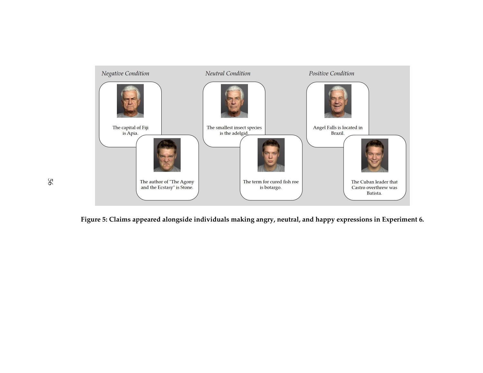

**Figure 5: Claims appeared alongside individuals making angry, neutral, and happy expressions in Experiment 6.**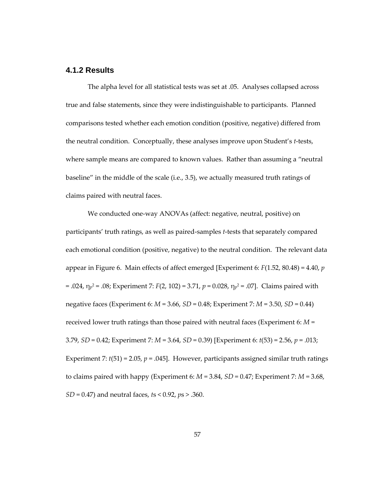## **4.1.2 Results**

The alpha level for all statistical tests was set at .05. Analyses collapsed across true and false statements, since they were indistinguishable to participants. Planned comparisons tested whether each emotion condition (positive, negative) differed from the neutral condition. Conceptually, these analyses improve upon Student's *t*-tests, where sample means are compared to known values. Rather than assuming a "neutral baseline" in the middle of the scale (i.e., 3.5), we actually measured truth ratings of claims paired with neutral faces.

We conducted one-way ANOVAs (affect: negative, neutral, positive) on participants' truth ratings, as well as paired-samples *t*-tests that separately compared each emotional condition (positive, negative) to the neutral condition. The relevant data appear in Figure 6. Main effects of affect emerged [Experiment 6: *F*(1.52, 80.48) = 4.40, *p*  = .024, η<sup>p</sup> <sup>2</sup> = .08; Experiment 7: *F*(2, 102) = 3.71, *p* = 0.028, η<sup>p</sup> <sup>2</sup> = .07]. Claims paired with negative faces (Experiment 6: *M* = 3.66, *SD* = 0.48; Experiment 7: *M* = 3.50, *SD* = 0.44) received lower truth ratings than those paired with neutral faces (Experiment 6: *M* = 3.79, *SD* = 0.42; Experiment 7: *M* = 3.64, *SD* = 0.39) [Experiment 6: *t*(53) = 2.56, *p* = .013; Experiment 7:  $t(51) = 2.05$ ,  $p = .045$ ]. However, participants assigned similar truth ratings to claims paired with happy (Experiment 6:  $M = 3.84$ ,  $SD = 0.47$ ; Experiment 7:  $M = 3.68$ , *SD* = 0.47) and neutral faces, *t*s < 0.92, *p*s > .360.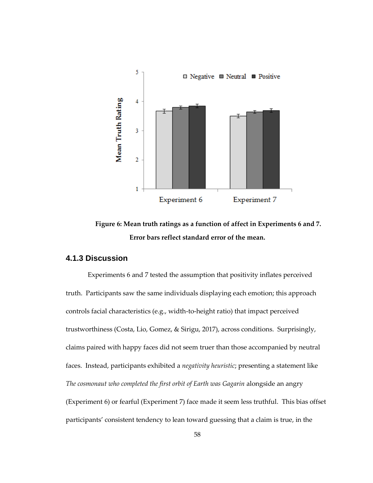

**Figure 6: Mean truth ratings as a function of affect in Experiments 6 and 7. Error bars reflect standard error of the mean.**

## **4.1.3 Discussion**

Experiments 6 and 7 tested the assumption that positivity inflates perceived truth. Participants saw the same individuals displaying each emotion; this approach controls facial characteristics (e.g., width-to-height ratio) that impact perceived trustworthiness (Costa, Lio, Gomez, & Sirigu, 2017), across conditions. Surprisingly, claims paired with happy faces did not seem truer than those accompanied by neutral faces. Instead, participants exhibited a *negativity heuristic*; presenting a statement like *The cosmonaut who completed the first orbit of Earth was Gagarin* alongside an angry (Experiment 6) or fearful (Experiment 7) face made it seem less truthful. This bias offset participants' consistent tendency to lean toward guessing that a claim is true, in the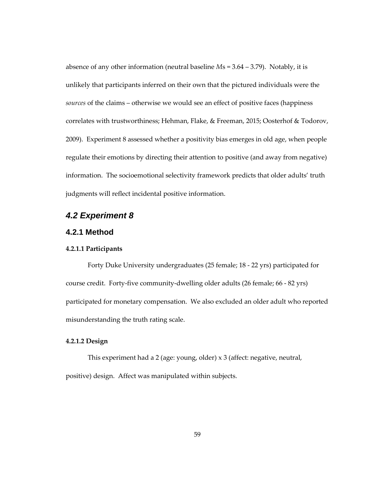absence of any other information (neutral baseline *M*s = 3.64 – 3.79). Notably, it is unlikely that participants inferred on their own that the pictured individuals were the *sources* of the claims – otherwise we would see an effect of positive faces (happiness correlates with trustworthiness; Hehman, Flake, & Freeman, 2015; Oosterhof & Todorov, 2009). Experiment 8 assessed whether a positivity bias emerges in old age, when people regulate their emotions by directing their attention to positive (and away from negative) information. The socioemotional selectivity framework predicts that older adults' truth judgments will reflect incidental positive information.

## *4.2 Experiment 8*

## **4.2.1 Method**

### **4.2.1.1 Participants**

Forty Duke University undergraduates (25 female; 18 - 22 yrs) participated for course credit. Forty-five community-dwelling older adults (26 female; 66 - 82 yrs) participated for monetary compensation. We also excluded an older adult who reported misunderstanding the truth rating scale.

#### **4.2.1.2 Design**

This experiment had a 2 (age: young, older) x 3 (affect: negative, neutral, positive) design. Affect was manipulated within subjects.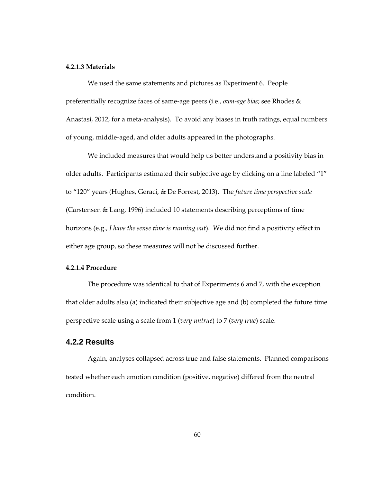#### **4.2.1.3 Materials**

We used the same statements and pictures as Experiment 6. People preferentially recognize faces of same-age peers (i.e., *own-age bias*; see Rhodes & Anastasi, 2012, for a meta-analysis). To avoid any biases in truth ratings, equal numbers of young, middle-aged, and older adults appeared in the photographs.

We included measures that would help us better understand a positivity bias in older adults. Participants estimated their subjective age by clicking on a line labeled "1" to "120" years (Hughes, Geraci, & De Forrest, 2013). The *future time perspective scale* (Carstensen & Lang, 1996) included 10 statements describing perceptions of time horizons (e.g., *I have the sense time is running out*). We did not find a positivity effect in either age group, so these measures will not be discussed further.

#### **4.2.1.4 Procedure**

The procedure was identical to that of Experiments 6 and 7, with the exception that older adults also (a) indicated their subjective age and (b) completed the future time perspective scale using a scale from 1 (*very untrue*) to 7 (*very true*) scale.

### **4.2.2 Results**

Again, analyses collapsed across true and false statements. Planned comparisons tested whether each emotion condition (positive, negative) differed from the neutral condition.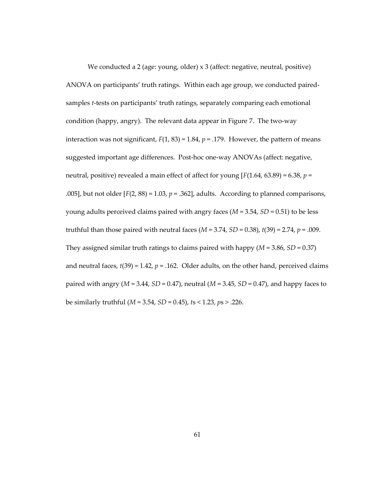We conducted a 2 (age: young, older) x 3 (affect: negative, neutral, positive) ANOVA on participants' truth ratings. Within each age group, we conducted pairedsamples *t*-tests on participants' truth ratings, separately comparing each emotional condition (happy, angry). The relevant data appear in Figure 7. The two-way interaction was not significant,  $F(1, 83) = 1.84$ ,  $p = .179$ . However, the pattern of means suggested important age differences. Post-hoc one-way ANOVAs (affect: negative, neutral, positive) revealed a main effect of affect for young [*F*(1.64, 63.89) = 6.38, *p* = .005], but not older  $[F(2, 88) = 1.03, p = .362]$ , adults. According to planned comparisons, young adults perceived claims paired with angry faces (*M* = 3.54, *SD* = 0.51) to be less truthful than those paired with neutral faces (*M* = 3.74, *SD* = 0.38), *t*(39) = 2.74, *p* = .009. They assigned similar truth ratings to claims paired with happy (*M* = 3.86, *SD* = 0.37) and neutral faces,  $t(39) = 1.42$ ,  $p = .162$ . Older adults, on the other hand, perceived claims paired with angry (*M* = 3.44, *SD* = 0.47), neutral (*M* = 3.45, *SD* = 0.47), and happy faces to be similarly truthful (*M* = 3.54, *SD* = 0.45), *t*s < 1.23, *p*s > .226.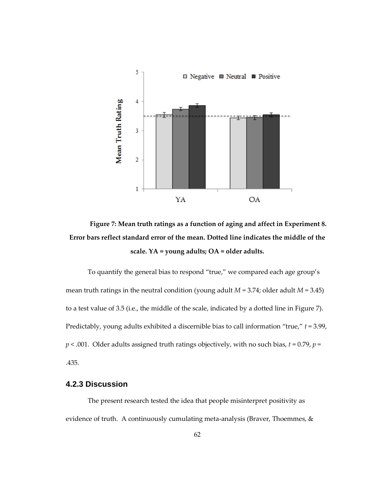

**Figure 7: Mean truth ratings as a function of aging and affect in Experiment 8. Error bars reflect standard error of the mean. Dotted line indicates the middle of the scale. YA = young adults; OA = older adults.**

To quantify the general bias to respond "true," we compared each age group's mean truth ratings in the neutral condition (young adult *M* = 3.74; older adult *M* = 3.45) to a test value of 3.5 (i.e., the middle of the scale, indicated by a dotted line in Figure 7). Predictably, young adults exhibited a discernible bias to call information "true," *t* = 3.99,  $p < .001$ . Older adults assigned truth ratings objectively, with no such bias,  $t = 0.79$ ,  $p =$ .435.

#### **4.2.3 Discussion**

The present research tested the idea that people misinterpret positivity as evidence of truth. A continuously cumulating meta-analysis (Braver, Thoemmes, &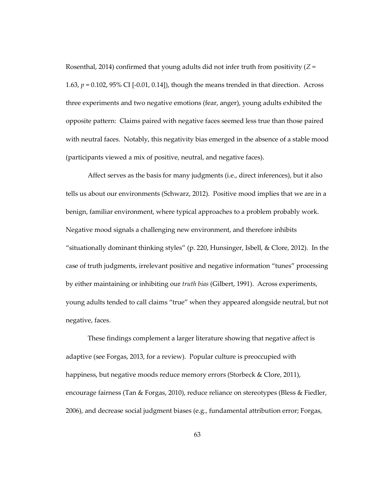Rosenthal, 2014) confirmed that young adults did not infer truth from positivity (*Z* = 1.63, *p* = 0.102, 95% CI [-0.01, 0.14]), though the means trended in that direction. Across three experiments and two negative emotions (fear, anger), young adults exhibited the opposite pattern: Claims paired with negative faces seemed less true than those paired with neutral faces. Notably, this negativity bias emerged in the absence of a stable mood (participants viewed a mix of positive, neutral, and negative faces).

Affect serves as the basis for many judgments (i.e., direct inferences), but it also tells us about our environments (Schwarz, 2012). Positive mood implies that we are in a benign, familiar environment, where typical approaches to a problem probably work. Negative mood signals a challenging new environment, and therefore inhibits "situationally dominant thinking styles" (p. 220, Hunsinger, Isbell, & Clore, 2012). In the case of truth judgments, irrelevant positive and negative information "tunes" processing by either maintaining or inhibiting our *truth bias* (Gilbert, 1991). Across experiments, young adults tended to call claims "true" when they appeared alongside neutral, but not negative, faces.

These findings complement a larger literature showing that negative affect is adaptive (see Forgas, 2013, for a review). Popular culture is preoccupied with happiness, but negative moods reduce memory errors (Storbeck & Clore, 2011), encourage fairness (Tan & Forgas, 2010), reduce reliance on stereotypes (Bless & Fiedler, 2006), and decrease social judgment biases (e.g., fundamental attribution error; Forgas,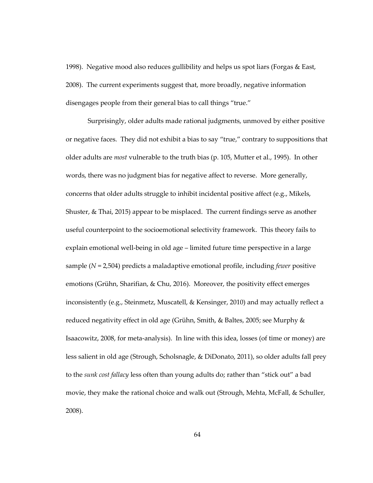1998). Negative mood also reduces gullibility and helps us spot liars (Forgas & East, 2008). The current experiments suggest that, more broadly, negative information disengages people from their general bias to call things "true."

Surprisingly, older adults made rational judgments, unmoved by either positive or negative faces. They did not exhibit a bias to say "true," contrary to suppositions that older adults are *most* vulnerable to the truth bias (p. 105, Mutter et al., 1995). In other words, there was no judgment bias for negative affect to reverse. More generally, concerns that older adults struggle to inhibit incidental positive affect (e.g., Mikels, Shuster, & Thai, 2015) appear to be misplaced. The current findings serve as another useful counterpoint to the socioemotional selectivity framework. This theory fails to explain emotional well-being in old age – limited future time perspective in a large sample (*N* = 2,504) predicts a maladaptive emotional profile, including *fewer* positive emotions (Grühn, Sharifian, & Chu, 2016). Moreover, the positivity effect emerges inconsistently (e.g., Steinmetz, Muscatell, & Kensinger, 2010) and may actually reflect a reduced negativity effect in old age (Grühn, Smith, & Baltes, 2005; see Murphy & Isaacowitz, 2008, for meta-analysis). In line with this idea, losses (of time or money) are less salient in old age (Strough, Scholsnagle, & DiDonato, 2011), so older adults fall prey to the *sunk cost fallacy* less often than young adults do; rather than "stick out" a bad movie, they make the rational choice and walk out (Strough, Mehta, McFall, & Schuller, 2008).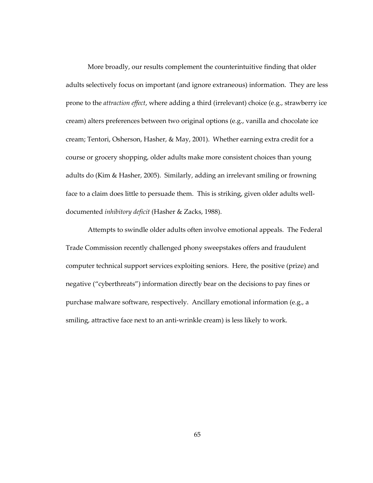More broadly, our results complement the counterintuitive finding that older adults selectively focus on important (and ignore extraneous) information. They are less prone to the *attraction effect*, where adding a third (irrelevant) choice (e.g., strawberry ice cream) alters preferences between two original options (e.g., vanilla and chocolate ice cream; Tentori, Osherson, Hasher, & May, 2001). Whether earning extra credit for a course or grocery shopping, older adults make more consistent choices than young adults do (Kim & Hasher, 2005). Similarly, adding an irrelevant smiling or frowning face to a claim does little to persuade them. This is striking, given older adults welldocumented *inhibitory deficit* (Hasher & Zacks, 1988).

Attempts to swindle older adults often involve emotional appeals. The Federal Trade Commission recently challenged phony sweepstakes offers and fraudulent computer technical support services exploiting seniors. Here, the positive (prize) and negative ("cyberthreats") information directly bear on the decisions to pay fines or purchase malware software, respectively. Ancillary emotional information (e.g., a smiling, attractive face next to an anti-wrinkle cream) is less likely to work.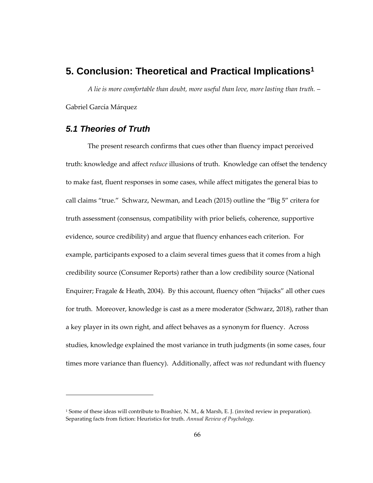# **5. Conclusion: Theoretical and Practical Implications<sup>1</sup>**

*A lie is more comfortable than doubt, more useful than love, more lasting than truth.* – Gabriel García Márquez

### *5.1 Theories of Truth*

 $\overline{a}$ 

The present research confirms that cues other than fluency impact perceived truth: knowledge and affect *reduce* illusions of truth. Knowledge can offset the tendency to make fast, fluent responses in some cases, while affect mitigates the general bias to call claims "true." Schwarz, Newman, and Leach (2015) outline the "Big 5" critera for truth assessment (consensus, compatibility with prior beliefs, coherence, supportive evidence, source credibility) and argue that fluency enhances each criterion. For example, participants exposed to a claim several times guess that it comes from a high credibility source (Consumer Reports) rather than a low credibility source (National Enquirer; Fragale & Heath, 2004). By this account, fluency often "hijacks" all other cues for truth. Moreover, knowledge is cast as a mere moderator (Schwarz, 2018), rather than a key player in its own right, and affect behaves as a synonym for fluency. Across studies, knowledge explained the most variance in truth judgments (in some cases, four times more variance than fluency). Additionally, affect was *not* redundant with fluency

<sup>&</sup>lt;sup>1</sup> Some of these ideas will contribute to Brashier, N. M., & Marsh, E. J. (invited review in preparation). Separating facts from fiction: Heuristics for truth. *Annual Review of Psychology*.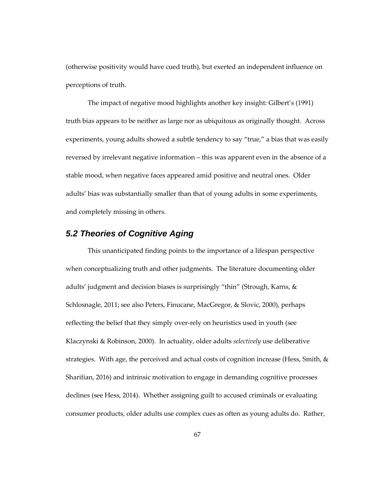(otherwise positivity would have cued truth), but exerted an independent influence on perceptions of truth.

The impact of negative mood highlights another key insight: Gilbert's (1991) truth bias appears to be neither as large nor as ubiquitous as originally thought. Across experiments, young adults showed a subtle tendency to say "true," a bias that was easily reversed by irrelevant negative information – this was apparent even in the absence of a stable mood, when negative faces appeared amid positive and neutral ones. Older adults' bias was substantially smaller than that of young adults in some experiments, and completely missing in others.

## *5.2 Theories of Cognitive Aging*

This unanticipated finding points to the importance of a lifespan perspective when conceptualizing truth and other judgments. The literature documenting older adults' judgment and decision biases is surprisingly "thin" (Strough, Karns, & Schlosnagle, 2011; see also Peters, Finucane, MacGregor, & Slovic, 2000), perhaps reflecting the belief that they simply over-rely on heuristics used in youth (see Klaczynski & Robinson, 2000). In actuality, older adults *selectively* use deliberative strategies. With age, the perceived and actual costs of cognition increase (Hess, Smith, & Sharifian, 2016) and intrinsic motivation to engage in demanding cognitive processes declines (see Hess, 2014). Whether assigning guilt to accused criminals or evaluating consumer products, older adults use complex cues as often as young adults do. Rather,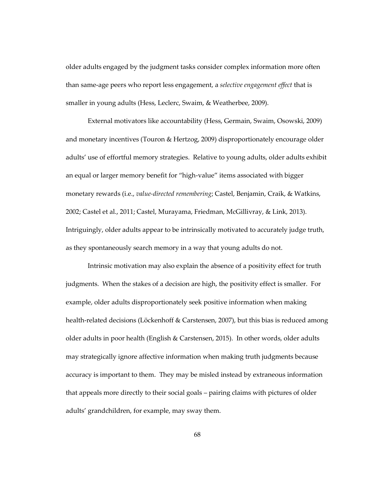older adults engaged by the judgment tasks consider complex information more often than same-age peers who report less engagement, a *selective engagement effect* that is smaller in young adults (Hess, Leclerc, Swaim, & Weatherbee, 2009).

External motivators like accountability (Hess, Germain, Swaim, Osowski, 2009) and monetary incentives (Touron & Hertzog, 2009) disproportionately encourage older adults' use of effortful memory strategies. Relative to young adults, older adults exhibit an equal or larger memory benefit for "high-value" items associated with bigger monetary rewards (i.e., *value-directed remembering*; Castel, Benjamin, Craik, & Watkins, 2002; Castel et al., 2011; Castel, Murayama, Friedman, McGillivray, & Link, 2013). Intriguingly, older adults appear to be intrinsically motivated to accurately judge truth, as they spontaneously search memory in a way that young adults do not.

Intrinsic motivation may also explain the absence of a positivity effect for truth judgments. When the stakes of a decision are high, the positivity effect is smaller. For example, older adults disproportionately seek positive information when making health-related decisions (Löckenhoff & Carstensen, 2007), but this bias is reduced among older adults in poor health (English & Carstensen, 2015). In other words, older adults may strategically ignore affective information when making truth judgments because accuracy is important to them. They may be misled instead by extraneous information that appeals more directly to their social goals – pairing claims with pictures of older adults' grandchildren, for example, may sway them.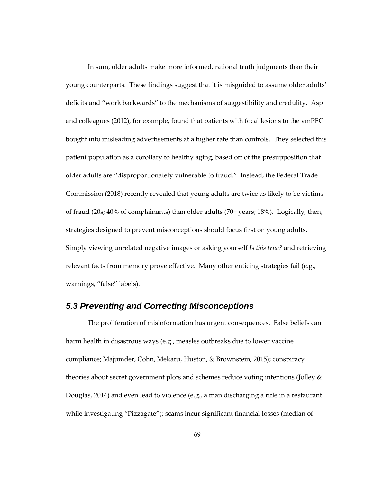In sum, older adults make more informed, rational truth judgments than their young counterparts. These findings suggest that it is misguided to assume older adults' deficits and "work backwards" to the mechanisms of suggestibility and credulity. Asp and colleagues (2012), for example, found that patients with focal lesions to the vmPFC bought into misleading advertisements at a higher rate than controls. They selected this patient population as a corollary to healthy aging, based off of the presupposition that older adults are "disproportionately vulnerable to fraud." Instead, the Federal Trade Commission (2018) recently revealed that young adults are twice as likely to be victims of fraud (20s; 40% of complainants) than older adults (70+ years; 18%). Logically, then, strategies designed to prevent misconceptions should focus first on young adults. Simply viewing unrelated negative images or asking yourself *Is this true?* and retrieving relevant facts from memory prove effective. Many other enticing strategies fail (e.g., warnings, "false" labels).

#### *5.3 Preventing and Correcting Misconceptions*

The proliferation of misinformation has urgent consequences. False beliefs can harm health in disastrous ways (e.g., measles outbreaks due to lower vaccine compliance; Majumder, Cohn, Mekaru, Huston, & Brownstein, 2015); conspiracy theories about secret government plots and schemes reduce voting intentions (Jolley & Douglas, 2014) and even lead to violence (e.g., a man discharging a rifle in a restaurant while investigating "Pizzagate"); scams incur significant financial losses (median of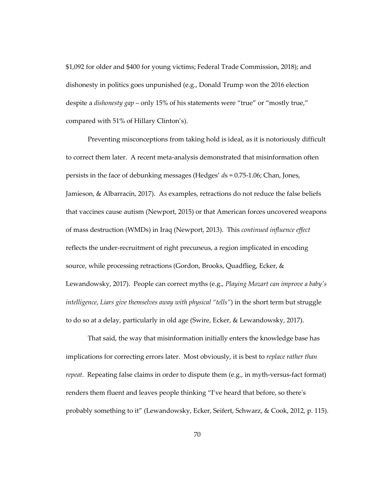\$1,092 for older and \$400 for young victims; Federal Trade Commission, 2018); and dishonesty in politics goes unpunished (e.g., Donald Trump won the 2016 election despite a *dishonesty gap* – only 15% of his statements were "true" or "mostly true," compared with 51% of Hillary Clinton's).

Preventing misconceptions from taking hold is ideal, as it is notoriously difficult to correct them later. A recent meta-analysis demonstrated that misinformation often persists in the face of debunking messages (Hedges' *d*s = 0.75-1.06; Chan, Jones, Jamieson, & Albarracín, 2017). As examples, retractions do not reduce the false beliefs that vaccines cause autism (Newport, 2015) or that American forces uncovered weapons of mass destruction (WMDs) in Iraq (Newport, 2013). This *continued influence effect* reflects the under-recruitment of right precuneus, a region implicated in encoding source, while processing retractions (Gordon, Brooks, Quadflieg, Ecker, & Lewandowsky, 2017). People can correct myths (e.g., *Playing Mozart can improve a baby's intelligence*, *Liars give themselves away with physical "tells"*) in the short term but struggle to do so at a delay, particularly in old age (Swire, Ecker, & Lewandowsky, 2017).

That said, the way that misinformation initially enters the knowledge base has implications for correcting errors later. Most obviously, it is best to *replace rather than repeat*. Repeating false claims in order to dispute them (e.g., in myth-versus-fact format) renders them fluent and leaves people thinking "I've heard that before, so there's probably something to it" (Lewandowsky, Ecker, Seifert, Schwarz, & Cook, 2012, p. 115).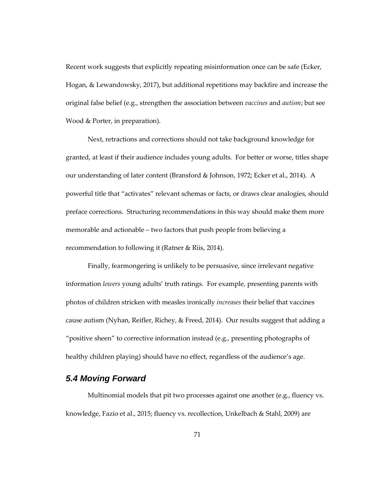Recent work suggests that explicitly repeating misinformation once can be safe (Ecker, Hogan, & Lewandowsky, 2017), but additional repetitions may backfire and increase the original false belief (e.g., strengthen the association between *vaccines* and *autism*; but see Wood & Porter, in preparation).

Next, retractions and corrections should not take background knowledge for granted, at least if their audience includes young adults. For better or worse, titles shape our understanding of later content (Bransford & Johnson, 1972; Ecker et al., 2014). A powerful title that "activates" relevant schemas or facts, or draws clear analogies, should preface corrections. Structuring recommendations in this way should make them more memorable and actionable – two factors that push people from believing a recommendation to following it (Ratner & Riis, 2014).

Finally, fearmongering is unlikely to be persuasive, since irrelevant negative information *lowers* young adults' truth ratings. For example, presenting parents with photos of children stricken with measles ironically *increases* their belief that vaccines cause autism (Nyhan, Reifler, Richey, & Freed, 2014). Our results suggest that adding a "positive sheen" to corrective information instead (e.g., presenting photographs of healthy children playing) should have no effect, regardless of the audience's age.

### *5.4 Moving Forward*

Multinomial models that pit two processes against one another (e.g., fluency vs. knowledge, Fazio et al., 2015; fluency vs. recollection, Unkelbach & Stahl, 2009) are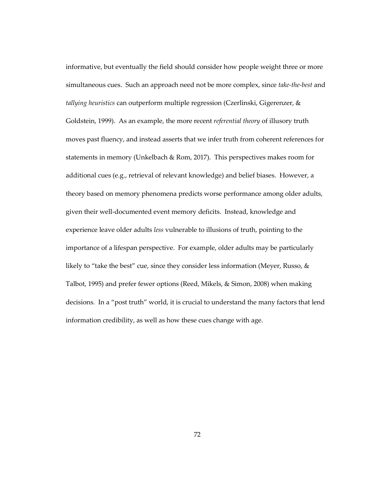informative, but eventually the field should consider how people weight three or more simultaneous cues. Such an approach need not be more complex, since *take-the-best* and *tallying heuristics* can outperform multiple regression (Czerlinski, Gigerenzer, & Goldstein, 1999). As an example, the more recent *referential theory* of illusory truth moves past fluency, and instead asserts that we infer truth from coherent references for statements in memory (Unkelbach & Rom, 2017). This perspectives makes room for additional cues (e.g., retrieval of relevant knowledge) and belief biases. However, a theory based on memory phenomena predicts worse performance among older adults, given their well-documented event memory deficits. Instead, knowledge and experience leave older adults *less* vulnerable to illusions of truth, pointing to the importance of a lifespan perspective. For example, older adults may be particularly likely to "take the best" cue, since they consider less information (Meyer, Russo, & Talbot, 1995) and prefer fewer options (Reed, Mikels, & Simon, 2008) when making decisions. In a "post truth" world, it is crucial to understand the many factors that lend information credibility, as well as how these cues change with age.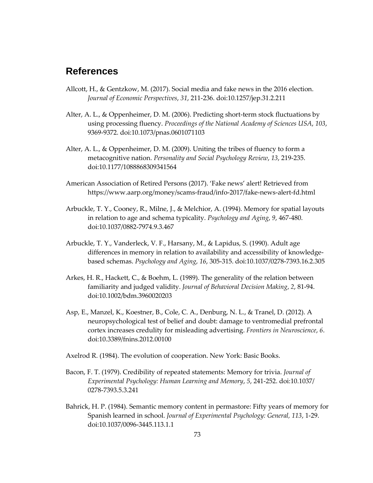## **References**

- Allcott, H., & Gentzkow, M. (2017). Social media and fake news in the 2016 election. *Journal of Economic Perspectives*, *31*, 211-236. doi:10.1257/jep.31.2.211
- Alter, A. L., & Oppenheimer, D. M. (2006). Predicting short-term stock fluctuations by using processing fluency. *Proceedings of the National Academy of Sciences USA*, *103*, 9369-9372. doi:10.1073/pnas.0601071103
- Alter, A. L., & Oppenheimer, D. M. (2009). Uniting the tribes of fluency to form a metacognitive nation. *Personality and Social Psychology Review*, *13*, 219-235. doi:10.1177/1088868309341564
- American Association of Retired Persons (2017). 'Fake news' alert! Retrieved from https://www.aarp.org/money/scams-fraud/info-2017/fake-news-alert-fd.html
- Arbuckle, T. Y., Cooney, R., Milne, J., & Melchior, A. (1994). Memory for spatial layouts in relation to age and schema typicality. *Psychology and Aging*, *9*, 467-480. doi:10.1037/0882-7974.9.3.467
- Arbuckle, T. Y., Vanderleck, V. F., Harsany, M., & Lapidus, S. (1990). Adult age differences in memory in relation to availability and accessibility of knowledgebased schemas. *Psychology and Aging*, *16*, 305-315. doi:10.1037/0278-7393.16.2.305
- Arkes, H. R., Hackett, C., & Boehm, L. (1989). The generality of the relation between familiarity and judged validity. *Journal of Behavioral Decision Making*, *2*, 81-94. doi:10.1002/bdm.3960020203
- Asp, E., Manzel, K., Koestner, B., Cole, C. A., Denburg, N. L., & Tranel, D. (2012). A neuropsychological test of belief and doubt: damage to ventromedial prefrontal cortex increases credulity for misleading advertising. *Frontiers in Neuroscience*, *6*. doi:10.3389/fnins.2012.00100
- Axelrod R. (1984). The evolution of cooperation. New York: Basic Books.
- Bacon, F. T. (1979). Credibility of repeated statements: Memory for trivia. *Journal of Experimental Psychology: Human Learning and Memory*, *5*, 241-252. doi:10.1037/ 0278-7393.5.3.241
- Bahrick, H. P. (1984). Semantic memory content in permastore: Fifty years of memory for Spanish learned in school. *Journal of Experimental Psychology: General, 113*, 1-29. doi:10.1037/0096-3445.113.1.1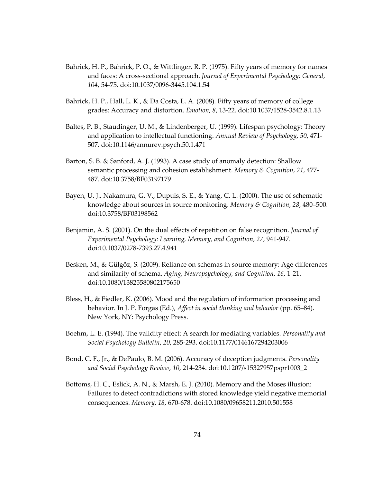- Bahrick, H. P., Bahrick, P. O., & Wittlinger, R. P. (1975). Fifty years of memory for names and faces: A cross-sectional approach. *Journal of Experimental Psychology: General*, *104*, 54-75. doi:10.1037/0096-3445.104.1.54
- Bahrick, H. P., Hall, L. K., & Da Costa, L. A. (2008). Fifty years of memory of college grades: Accuracy and distortion. *Emotion, 8*, 13-22. doi:10.1037/1528-3542.8.1.13
- Baltes, P. B., Staudinger, U. M., & Lindenberger, U. (1999). Lifespan psychology: Theory and application to intellectual functioning. *Annual Review of Psychology*, *50*, 471- 507. doi:10.1146/annurev.psych.50.1.471
- Barton, S. B. & Sanford, A. J. (1993). A case study of anomaly detection: Shallow semantic processing and cohesion establishment. *Memory & Cognition*, *21*, 477- 487. doi:10.3758/BF03197179
- Bayen, U. J., Nakamura, G. V., Dupuis, S. E., & Yang, C. L. (2000). The use of schematic knowledge about sources in source monitoring. *Memory & Cognition*, *28*, 480–500. doi:10.3758/BF03198562
- Benjamin, A. S. (2001). On the dual effects of repetition on false recognition. *Journal of Experimental Psychology: Learning, Memory, and Cognition*, *27*, 941-947. doi:10.1037/0278-7393.27.4.941
- Besken, M., & Gülgöz, S. (2009). Reliance on schemas in source memory: Age differences and similarity of schema. *Aging, Neuropsychology, and Cognition*, *16*, 1-21. doi:10.1080/13825580802175650
- Bless, H., & Fiedler, K. (2006). Mood and the regulation of information processing and behavior. In J. P. Forgas (Ed.), *Affect in social thinking and behavior* (pp. 65–84). New York, NY: Psychology Press.
- Boehm, L. E. (1994). The validity effect: A search for mediating variables. *Personality and Social Psychology Bulletin*, *20*, 285-293. doi:10.1177/0146167294203006
- Bond, C. F., Jr., & DePaulo, B. M. (2006). Accuracy of deception judgments. *Personality and Social Psychology Review*, *10*, 214-234. doi:10.1207/s15327957pspr1003\_2
- Bottoms, H. C., Eslick, A. N., & Marsh, E. J. (2010). Memory and the Moses illusion: Failures to detect contradictions with stored knowledge yield negative memorial consequences. *Memory*, *18*, 670-678. doi:10.1080/09658211.2010.501558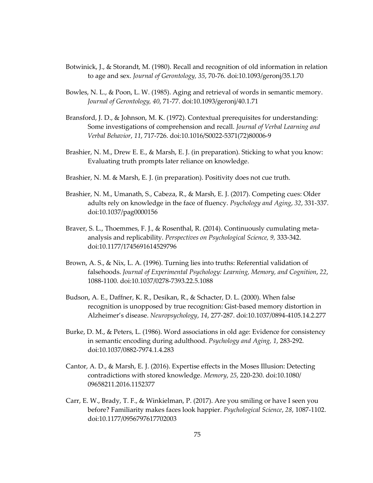- Botwinick, J., & Storandt, M. (1980). Recall and recognition of old information in relation to age and sex. *Journal of Gerontology, 35*, 70-76. doi:10.1093/geronj/35.1.70
- Bowles, N. L., & Poon, L. W. (1985). Aging and retrieval of words in semantic memory. *Journal of Gerontology, 40*, 71-77. doi:10.1093/geronj/40.1.71
- Bransford, J. D., & Johnson, M. K. (1972). Contextual prerequisites for understanding: Some investigations of comprehension and recall. *Journal of Verbal Learning and Verbal Behavior*, *11*, 717-726. doi:10.1016/S0022-5371(72)80006-9
- Brashier, N. M., Drew E. E., & Marsh, E. J. (in preparation). Sticking to what you know: Evaluating truth prompts later reliance on knowledge.
- Brashier, N. M. & Marsh, E. J. (in preparation). Positivity does not cue truth.
- Brashier, N. M., Umanath, S., Cabeza, R., & Marsh, E. J. (2017). Competing cues: Older adults rely on knowledge in the face of fluency. *Psychology and Aging*, *32*, 331-337. doi:10.1037/pag0000156
- Braver, S. L., Thoemmes, F. J., & Rosenthal, R. (2014). Continuously cumulating metaanalysis and replicability. *Perspectives on Psychological Science, 9,* 333-342. doi:10.1177/1745691614529796
- Brown, A. S., & Nix, L. A. (1996). Turning lies into truths: Referential validation of falsehoods. *Journal of Experimental Psychology: Learning, Memory, and Cognition*, *22*, 1088-1100. doi:10.1037/0278-7393.22.5.1088
- Budson, A. E., Daffner, K. R., Desikan, R., & Schacter, D. L. (2000). When false recognition is unopposed by true recognition: Gist-based memory distortion in Alzheimer's disease. *Neuropsychology*, *14*, 277-287. doi:10.1037/0894-4105.14.2.277
- Burke, D. M., & Peters, L. (1986). Word associations in old age: Evidence for consistency in semantic encoding during adulthood. *Psychology and Aging, 1*, 283-292. doi:10.1037/0882-7974.1.4.283
- Cantor, A. D., & Marsh, E. J. (2016). Expertise effects in the Moses Illusion: Detecting contradictions with stored knowledge. *Memory*, *25*, 220-230. doi:10.1080/ 09658211.2016.1152377
- Carr, E. W., Brady, T. F., & Winkielman, P. (2017). Are you smiling or have I seen you before? Familiarity makes faces look happier. *Psychological Science*, *28*, 1087-1102. doi:10.1177/0956797617702003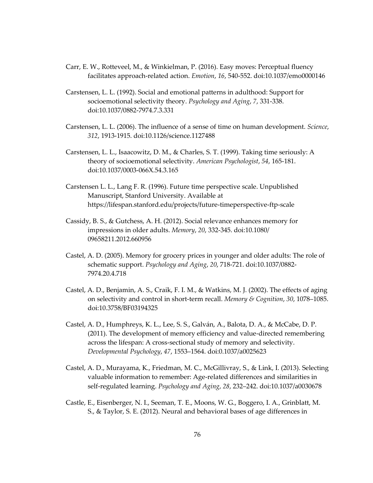- Carr, E. W., Rotteveel, M., & Winkielman, P. (2016). Easy moves: Perceptual fluency facilitates approach-related action. *Emotion*, *16*, 540-552. doi:10.1037/emo0000146
- Carstensen, L. L. (1992). Social and emotional patterns in adulthood: Support for socioemotional selectivity theory. *Psychology and Aging*, *7*, 331-338. doi:10.1037/0882-7974.7.3.331
- Carstensen, L. L. (2006). The influence of a sense of time on human development. *Science*, *312*, 1913-1915. doi:10.1126/science.1127488
- Carstensen, L. L., Isaacowitz, D. M., & Charles, S. T. (1999). Taking time seriously: A theory of socioemotional selectivity. *American Psychologist*, *54*, 165-181. doi:10.1037/0003-066X.54.3.165
- Carstensen L. L., Lang F. R. (1996). Future time perspective scale. Unpublished Manuscript, Stanford University. Available at https://lifespan.stanford.edu/projects/future-timeperspective-ftp-scale
- Cassidy, B. S., & Gutchess, A. H. (2012). Social relevance enhances memory for impressions in older adults. *Memory*, *20*, 332-345. doi:10.1080/ 09658211.2012.660956
- Castel, A. D. (2005). Memory for grocery prices in younger and older adults: The role of schematic support. *Psychology and Aging*, *20*, 718-721. doi:10.1037/0882- 7974.20.4.718
- Castel, A. D., Benjamin, A. S., Craik, F. I. M., & Watkins, M. J. (2002). The effects of aging on selectivity and control in short-term recall. *Memory & Cognition*, *30*, 1078–1085. doi:10.3758/BF03194325
- Castel, A. D., Humphreys, K. L., Lee, S. S., Galván, A., Balota, D. A., & McCabe, D. P. (2011). The development of memory efficiency and value-directed remembering across the lifespan: A cross-sectional study of memory and selectivity. *Developmental Psychology*, *47*, 1553–1564. doi:0.1037/a0025623
- Castel, A. D., Murayama, K., Friedman, M. C., McGillivray, S., & Link, I. (2013). Selecting valuable information to remember: Age-related differences and similarities in self-regulated learning. *Psychology and Aging*, *28*, 232–242. doi:10.1037/a0030678
- Castle, E., Eisenberger, N. I., Seeman, T. E., Moons, W. G., Boggero, I. A., Grinblatt, M. S., & Taylor, S. E. (2012). Neural and behavioral bases of age differences in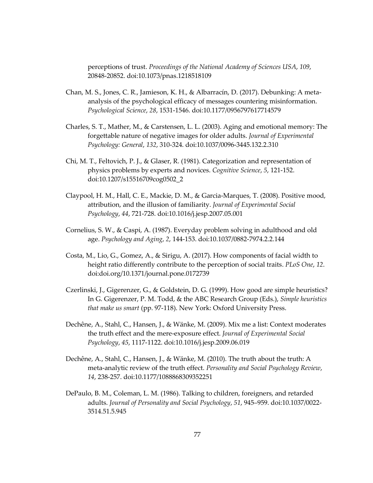perceptions of trust. *Proceedings of the National Academy of Sciences USA*, *109*, 20848-20852. doi:10.1073/pnas.1218518109

- Chan, M. S., Jones, C. R., Jamieson, K. H., & Albarracín, D. (2017). Debunking: A metaanalysis of the psychological efficacy of messages countering misinformation. *Psychological Science*, *28*, 1531-1546. doi:10.1177/0956797617714579
- Charles, S. T., Mather, M., & Carstensen, L. L. (2003). Aging and emotional memory: The forgettable nature of negative images for older adults. *Journal of Experimental Psychology: General*, *132*, 310-324. doi:10.1037/0096-3445.132.2.310
- Chi, M. T., Feltovich, P. J., & Glaser, R. (1981). Categorization and representation of physics problems by experts and novices. *Cognitive Science*, *5*, 121-152. doi:10.1207/s15516709cog0502\_2
- Claypool, H. M., Hall, C. E., Mackie, D. M., & Garcia-Marques, T. (2008). Positive mood, attribution, and the illusion of familiarity. *Journal of Experimental Social Psychology*, *44*, 721-728. doi:10.1016/j.jesp.2007.05.001
- Cornelius, S. W., & Caspi, A. (1987). Everyday problem solving in adulthood and old age. *Psychology and Aging*, *2*, 144-153. doi:10.1037/0882-7974.2.2.144
- Costa, M., Lio, G., Gomez, A., & Sirigu, A. (2017). How components of facial width to height ratio differently contribute to the perception of social traits. *PLoS One*, *12*. doi:doi.org/10.1371/journal.pone.0172739
- Czerlinski, J., Gigerenzer, G., & Goldstein, D. G. (1999). How good are simple heuristics? In G. Gigerenzer, P. M. Todd, & the ABC Research Group (Eds.), *Simple heuristics that make us smart* (pp. 97-118). New York: Oxford University Press.
- Dechêne, A., Stahl, C., Hansen, J., & Wänke, M. (2009). Mix me a list: Context moderates the truth effect and the mere-exposure effect. *Journal of Experimental Social Psychology*, *45*, 1117-1122. doi:10.1016/j.jesp.2009.06.019
- Dechêne, A., Stahl, C., Hansen, J., & Wänke, M. (2010). The truth about the truth: A meta-analytic review of the truth effect. *Personality and Social Psychology Review*, *14*, 238-257. doi:10.1177/1088868309352251
- DePaulo, B. M., Coleman, L. M. (1986). Talking to children, foreigners, and retarded adults. *Journal of Personality and Social Psychology*, *51*, 945–959. doi:10.1037/0022- 3514.51.5.945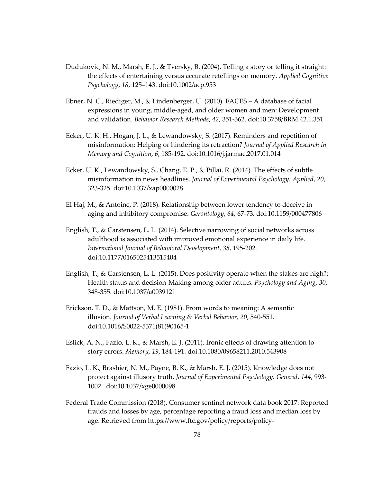- Dudukovic, N. M., Marsh, E. J., & Tversky, B. (2004). Telling a story or telling it straight: the effects of entertaining versus accurate retellings on memory. *Applied Cognitive Psychology*, *18*, 125–143. doi:10.1002/acp.953
- Ebner, N. C., Riediger, M., & Lindenberger, U. (2010). FACES A database of facial expressions in young, middle-aged, and older women and men: Development and validation. *Behavior Research Methods*, *42*, 351-362. doi:10.3758/BRM.42.1.351
- Ecker, U. K. H., Hogan, J. L., & Lewandowsky, S. (2017). Reminders and repetition of misinformation: Helping or hindering its retraction? *Journal of Applied Research in Memory and Cognition*, *6*, 185-192. doi:10.1016/j.jarmac.2017.01.014
- Ecker, U. K., Lewandowsky, S., Chang, E. P., & Pillai, R. (2014). The effects of subtle misinformation in news headlines. *Journal of Experimental Psychology: Applied*, *20*, 323-325. doi:10.1037/xap0000028
- El Haj, M., & Antoine, P. (2018). Relationship between lower tendency to deceive in aging and inhibitory compromise. *Gerontology*, *64*, 67-73. doi:10.1159/000477806
- English, T., & Carstensen, L. L. (2014). Selective narrowing of social networks across adulthood is associated with improved emotional experience in daily life. *International Journal of Behavioral Development*, *38*, 195-202. doi:10.1177/0165025413515404
- English, T., & Carstensen, L. L. (2015). Does positivity operate when the stakes are high?: Health status and decision-Making among older adults. *Psychology and Aging*, *30*, 348-355. doi:10.1037/a0039121
- Erickson, T. D., & Mattson, M. E. (1981). From words to meaning: A semantic illusion. *Journal of Verbal Learning & Verbal Behavior, 20*, 540-551. doi:10.1016/S0022-5371(81)90165-1
- Eslick, A. N., Fazio, L. K., & Marsh, E. J. (2011). Ironic effects of drawing attention to story errors. *Memory*, *19*, 184-191. doi:10.1080/09658211.2010.543908
- Fazio, L. K., Brashier, N. M., Payne, B. K., & Marsh, E. J. (2015). Knowledge does not protect against illusory truth. *Journal of Experimental Psychology: General*, *144*, 993- 1002. doi:10.1037/xge0000098
- Federal Trade Commission (2018). Consumer sentinel network data book 2017: Reported frauds and losses by age, percentage reporting a fraud loss and median loss by age. Retrieved from https://www.ftc.gov/policy/reports/policy-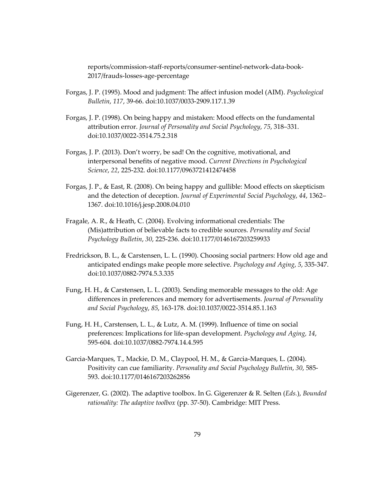reports/commission-staff-reports/consumer-sentinel-network-data-book-2017/frauds-losses-age-percentage

- Forgas, J. P. (1995). Mood and judgment: The affect infusion model (AIM). *Psychological Bulletin*, *117*, 39-66. doi:10.1037/0033-2909.117.1.39
- Forgas, J. P. (1998). On being happy and mistaken: Mood effects on the fundamental attribution error. *Journal of Personality and Social Psychology*, *75*, 318–331. doi:10.1037/0022-3514.75.2.318
- Forgas, J. P. (2013). Don't worry, be sad! On the cognitive, motivational, and interpersonal benefits of negative mood. *Current Directions in Psychological Science*, *22*, 225-232. doi:10.1177/0963721412474458
- Forgas, J. P., & East, R. (2008). On being happy and gullible: Mood effects on skepticism and the detection of deception. *Journal of Experimental Social Psychology*, *44*, 1362– 1367. doi:10.1016/j.jesp.2008.04.010
- Fragale, A. R., & Heath, C. (2004). Evolving informational credentials: The (Mis)attribution of believable facts to credible sources. *Personality and Social Psychology Bulletin*, *30*, 225-236. doi:10.1177/0146167203259933
- Fredrickson, B. L., & Carstensen, L. L. (1990). Choosing social partners: How old age and anticipated endings make people more selective. *Psychology and Aging*, *5*, 335-347. doi:10.1037/0882-7974.5.3.335
- Fung, H. H., & Carstensen, L. L. (2003). Sending memorable messages to the old: Age differences in preferences and memory for advertisements. *Journal of Personality and Social Psychology*, *85*, 163-178. doi:10.1037/0022-3514.85.1.163
- Fung, H. H., Carstensen, L. L., & Lutz, A. M. (1999). Influence of time on social preferences: Implications for life-span development. *Psychology and Aging, 14*, 595-604. doi:10.1037/0882-7974.14.4.595
- Garcia-Marques, T., Mackie, D. M., Claypool, H. M., & Garcia-Marques, L. (2004). Positivity can cue familiarity. *Personality and Social Psychology Bulletin*, *30*, 585- 593. doi:10.1177/0146167203262856
- Gigerenzer, G. (2002). The adaptive toolbox. In G. Gigerenzer & R. Selten (*Eds.*), *Bounded rationality: The adaptive toolbox* (pp. 37-50). Cambridge: MIT Press.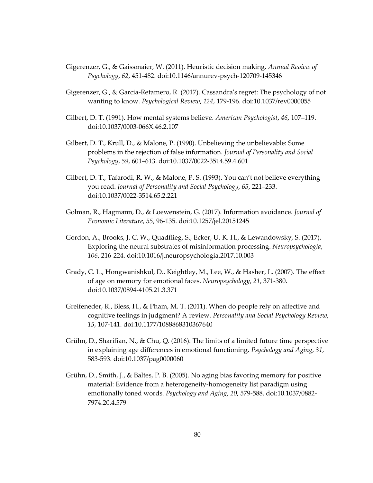- Gigerenzer, G., & Gaissmaier, W. (2011). Heuristic decision making. *Annual Review of Psychology*, *62*, 451-482. doi:10.1146/annurev-psych-120709-145346
- Gigerenzer, G., & Garcia-Retamero, R. (2017). Cassandra's regret: The psychology of not wanting to know. *Psychological Review*, *124*, 179-196. doi:10.1037/rev0000055
- Gilbert, D. T. (1991). How mental systems believe. *American Psychologist*, *46*, 107–119. doi:10.1037/0003-066X.46.2.107
- Gilbert, D. T., Krull, D., & Malone, P. (1990). Unbelieving the unbelievable: Some problems in the rejection of false information. *Journal of Personality and Social Psychology*, *59*, 601–613. doi:10.1037/0022-3514.59.4.601
- Gilbert, D. T., Tafarodi, R. W., & Malone, P. S. (1993). You can't not believe everything you read. *Journal of Personality and Social Psychology*, *65*, 221–233. doi:10.1037/0022-3514.65.2.221
- Golman, R., Hagmann, D., & Loewenstein, G. (2017). Information avoidance. *Journal of Economic Literature*, *55*, 96-135. doi:10.1257/jel.20151245
- Gordon, A., Brooks, J. C. W., Quadflieg, S., Ecker, U. K. H., & Lewandowsky, S. (2017). Exploring the neural substrates of misinformation processing. *Neuropsychologia*, *106*, 216-224. doi:10.1016/j.neuropsychologia.2017.10.003
- Grady, C. L., Hongwanishkul, D., Keightley, M., Lee, W., & Hasher, L. (2007). The effect of age on memory for emotional faces. *Neuropsychology*, *21*, 371-380. doi:10.1037/0894-4105.21.3.371
- Greifeneder, R., Bless, H., & Pham, M. T. (2011). When do people rely on affective and cognitive feelings in judgment? A review. *Personality and Social Psychology Review*, *15*, 107-141. doi:10.1177/1088868310367640
- Grühn, D., Sharifian, N., & Chu, Q. (2016). The limits of a limited future time perspective in explaining age differences in emotional functioning. *Psychology and Aging*, *31*, 583-593. doi:10.1037/pag0000060
- Grühn, D., Smith, J., & Baltes, P. B. (2005). No aging bias favoring memory for positive material: Evidence from a heterogeneity-homogeneity list paradigm using emotionally toned words. *Psychology and Aging*, *20*, 579-588. doi:10.1037/0882- 7974.20.4.579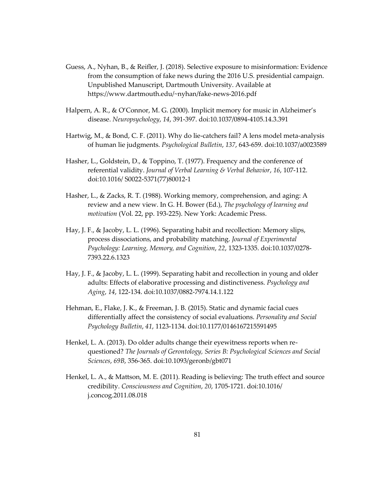- Guess, A., Nyhan, B., & Reifler, J. (2018). Selective exposure to misinformation: Evidence from the consumption of fake news during the 2016 U.S. presidential campaign. Unpublished Manuscript, Dartmouth University. Available at https://www.dartmouth.edu/~nyhan/fake-news-2016.pdf
- Halpern, A. R., & O'Connor, M. G. (2000). Implicit memory for music in Alzheimer's disease. *Neuropsychology*, *14*, 391-397. doi:10.1037/0894-4105.14.3.391
- Hartwig, M., & Bond, C. F. (2011). Why do lie-catchers fail? A lens model meta-analysis of human lie judgments. *Psychological Bulletin*, *137*, 643-659. doi:10.1037/a0023589
- Hasher, L., Goldstein, D., & Toppino, T. (1977). Frequency and the conference of referential validity. *Journal of Verbal Learning & Verbal Behavior*, *16*, 107-112. doi:10.1016/ S0022-5371(77)80012-1
- Hasher, L., & Zacks, R. T. (1988). Working memory, comprehension, and aging: A review and a new view. In G. H. Bower (Ed.), *The psychology of learning and motivation* (Vol. 22, pp. 193-225). New York: Academic Press.
- Hay, J. F., & Jacoby, L. L. (1996). Separating habit and recollection: Memory slips, process dissociations, and probability matching. *Journal of Experimental Psychology: Learning, Memory, and Cognition*, *22*, 1323-1335. doi:10.1037/0278- 7393.22.6.1323
- Hay, J. F., & Jacoby, L. L. (1999). Separating habit and recollection in young and older adults: Effects of elaborative processing and distinctiveness. *Psychology and Aging*, *14*, 122-134. doi:10.1037/0882-7974.14.1.122
- Hehman, E., Flake, J. K., & Freeman, J. B. (2015). Static and dynamic facial cues differentially affect the consistency of social evaluations. *Personality and Social Psychology Bulletin*, *41*, 1123-1134. doi:10.1177/0146167215591495
- Henkel, L. A. (2013). Do older adults change their eyewitness reports when requestioned? *The Journals of Gerontology, Series B: Psychological Sciences and Social Sciences*, *69B*, 356-365. doi:10.1093/geronb/gbt071
- Henkel, L. A., & Mattson, M. E. (2011). Reading is believing: The truth effect and source credibility. *Consciousness and Cognition*, *20*, 1705-1721. doi:10.1016/ j.concog.2011.08.018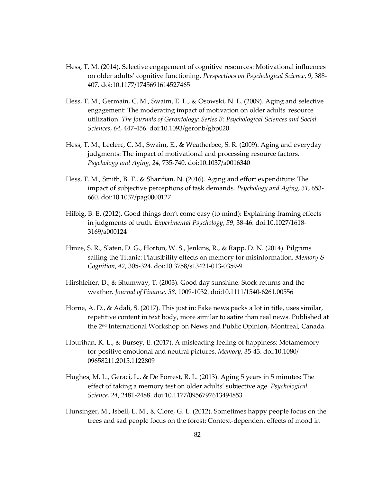- Hess, T. M. (2014). Selective engagement of cognitive resources: Motivational influences on older adults' cognitive functioning. *Perspectives on Psychological Science*, *9*, 388- 407. doi:10.1177/1745691614527465
- Hess, T. M., Germain, C. M., Swaim, E. L., & Osowski, N. L. (2009). Aging and selective engagement: The moderating impact of motivation on older adults' resource utilization. *The Journals of Gerontology: Series B: Psychological Sciences and Social Sciences*, *64*, 447-456. doi:10.1093/geronb/gbp020
- Hess, T. M., Leclerc, C. M., Swaim, E., & Weatherbee, S. R. (2009). Aging and everyday judgments: The impact of motivational and processing resource factors. *Psychology and Aging*, *24*, 735-740. doi:10.1037/a0016340
- Hess, T. M., Smith, B. T., & Sharifian, N. (2016). Aging and effort expenditure: The impact of subjective perceptions of task demands. *Psychology and Aging*, *31*, 653- 660. doi:10.1037/pag0000127
- Hilbig, B. E. (2012). Good things don't come easy (to mind): Explaining framing effects in judgments of truth. *Experimental Psychology*, *59*, 38-46. doi:10.1027/1618- 3169/a000124
- Hinze, S. R., Slaten, D. G., Horton, W. S., Jenkins, R., & Rapp, D. N. (2014). Pilgrims sailing the Titanic: Plausibility effects on memory for misinformation. *Memory & Cognition*, *42*, 305-324. doi:10.3758/s13421-013-0359-9
- Hirshleifer, D., & Shumway, T. (2003). Good day sunshine: Stock returns and the weather. *Journal of Finance, 58,* 1009-1032. doi:10.1111/1540-6261.00556
- Horne, A. D., & Adali, S. (2017). This just in: Fake news packs a lot in title, uses similar, repetitive content in text body, more similar to satire than real news. Published at the 2nd International Workshop on News and Public Opinion, Montreal, Canada.
- Hourihan, K. L., & Bursey, E. (2017). A misleading feeling of happiness: Metamemory for positive emotional and neutral pictures. *Memory*, 35-43. doi:10.1080/ 09658211.2015.1122809
- Hughes, M. L., Geraci, L., & De Forrest, R. L. (2013). Aging 5 years in 5 minutes: The effect of taking a memory test on older adults' subjective age. *Psychological Science, 24*, 2481-2488. doi:10.1177/0956797613494853
- Hunsinger, M., Isbell, L. M., & Clore, G. L. (2012). Sometimes happy people focus on the trees and sad people focus on the forest: Context-dependent effects of mood in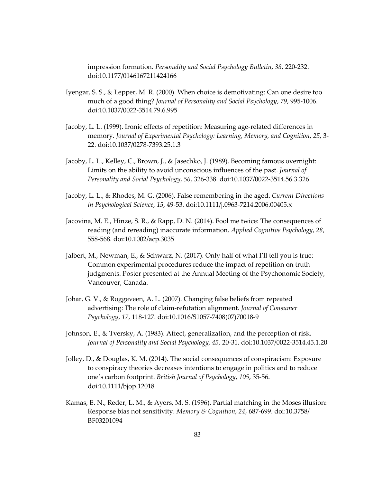impression formation. *Personality and Social Psychology Bulletin*, *38*, 220-232. doi:10.1177/0146167211424166

- Iyengar, S. S., & Lepper, M. R. (2000). When choice is demotivating: Can one desire too much of a good thing? *Journal of Personality and Social Psychology*, *79*, 995-1006. doi:10.1037/0022-3514.79.6.995
- Jacoby, L. L. (1999). Ironic effects of repetition: Measuring age-related differences in memory. *Journal of Experimental Psychology: Learning, Memory, and Cognition*, *25*, 3- 22. doi:10.1037/0278-7393.25.1.3
- Jacoby, L. L., Kelley, C., Brown, J., & Jasechko, J. (1989). Becoming famous overnight: Limits on the ability to avoid unconscious influences of the past. *Journal of Personality and Social Psychology*, *56*, 326-338. doi:10.1037/0022-3514.56.3.326
- Jacoby, L. L., & Rhodes, M. G. (2006). False remembering in the aged. *Current Directions in Psychological Science*, *15*, 49-53. doi:10.1111/j.0963-7214.2006.00405.x
- Jacovina, M. E., Hinze, S. R., & Rapp, D. N. (2014). Fool me twice: The consequences of reading (and rereading) inaccurate information. *Applied Cognitive Psychology*, *28*, 558-568. doi:10.1002/acp.3035
- Jalbert, M., Newman, E., & Schwarz, N. (2017). Only half of what I'll tell you is true: Common experimental procedures reduce the impact of repetition on truth judgments. Poster presented at the Annual Meeting of the Psychonomic Society, Vancouver, Canada.
- Johar, G. V., & Roggeveen, A. L. (2007). Changing false beliefs from repeated advertising: The role of claim-refutation alignment. *Journal of Consumer Psychology*, *17*, 118-127. doi:10.1016/S1057-7408(07)70018-9
- Johnson, E., & Tversky, A. (1983). Affect, generalization, and the perception of risk. *Journal of Personality and Social Psychology, 45,* 20-31. doi:10.1037/0022-3514.45.1.20
- Jolley, D., & Douglas, K. M. (2014). The social consequences of conspiracism: Exposure to conspiracy theories decreases intentions to engage in politics and to reduce one's carbon footprint. *British Journal of Psychology*, *105*, 35-56. doi:10.1111/bjop.12018
- Kamas, E. N., Reder, L. M., & Ayers, M. S. (1996). Partial matching in the Moses illusion: Response bias not sensitivity. *Memory & Cognition*, *24*, 687-699. doi:10.3758/ BF03201094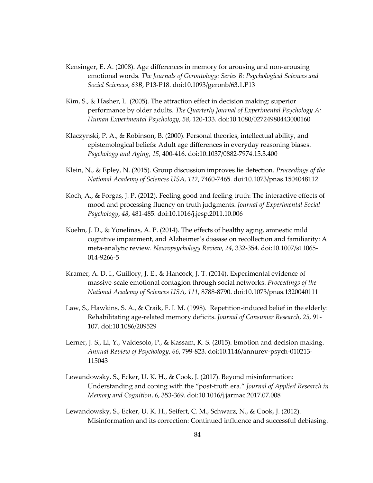- Kensinger, E. A. (2008). Age differences in memory for arousing and non-arousing emotional words. *The Journals of Gerontology: Series B: Psychological Sciences and Social Sciences*, *63B*, P13-P18. doi:10.1093/geronb/63.1.P13
- Kim, S., & Hasher, L. (2005). The attraction effect in decision making: superior performance by older adults. *The Quarterly Journal of Experimental Psychology A: Human Experimental Psychology*, *58*, 120-133. doi:10.1080/02724980443000160
- Klaczynski, P. A., & Robinson, B. (2000). Personal theories, intellectual ability, and epistemological beliefs: Adult age differences in everyday reasoning biases. *Psychology and Aging*, *15*, 400-416. doi:10.1037/0882-7974.15.3.400
- Klein, N., & Epley, N. (2015). Group discussion improves lie detection. *Proceedings of the National Academy of Sciences USA*, *112*, 7460-7465. doi:10.1073/pnas.1504048112
- Koch, A., & Forgas, J. P. (2012). Feeling good and feeling truth: The interactive effects of mood and processing fluency on truth judgments. *Journal of Experimental Social Psychology*, *48*, 481-485. doi:10.1016/j.jesp.2011.10.006
- Koehn, J. D., & Yonelinas, A. P. (2014). The effects of healthy aging, amnestic mild cognitive impairment, and Alzheimer's disease on recollection and familiarity: A meta-analytic review. *Neuropsychology Review*, *24*, 332-354. doi:10.1007/s11065- 014-9266-5
- Kramer, A. D. I., Guillory, J. E., & Hancock, J. T. (2014). Experimental evidence of massive-scale emotional contagion through social networks. *Proceedings of the National Academy of Sciences USA*, *111*, 8788-8790. doi:10.1073/pnas.1320040111
- Law, S., Hawkins, S. A., & Craik, F. I. M. (1998). Repetition-induced belief in the elderly: Rehabilitating age-related memory deficits. *Journal of Consumer Research*, *25*, 91- 107. doi:10.1086/209529
- Lerner, J. S., Li, Y., Valdesolo, P., & Kassam, K. S. (2015). Emotion and decision making. *Annual Review of Psychology*, *66*, 799-823. doi:10.1146/annurev-psych-010213- 115043
- Lewandowsky, S., Ecker, U. K. H., & Cook, J. (2017). Beyond misinformation: Understanding and coping with the "post-truth era." *Journal of Applied Research in Memory and Cognition*, *6*, 353-369. doi:10.1016/j.jarmac.2017.07.008
- Lewandowsky, S., Ecker, U. K. H., Seifert, C. M., Schwarz, N., & Cook, J. (2012). Misinformation and its correction: Continued influence and successful debiasing.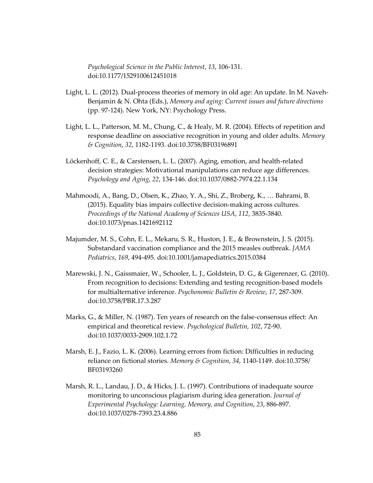*Psychological Science in the Public Interest*, *13*, 106-131. doi:10.1177/1529100612451018

- Light, L. L. (2012). Dual-process theories of memory in old age: An update. In M. Naveh-Benjamin & N. Ohta (Eds.), *Memory and aging: Current issues and future directions*  (pp. 97-124). New York, NY: Psychology Press.
- Light, L. L., Patterson, M. M., Chung, C., & Healy, M. R. (2004). Effects of repetition and response deadline on associative recognition in young and older adults. *Memory & Cognition*, *32*, 1182-1193. doi:10.3758/BF03196891
- Löckenhoff, C. E., & Carstensen, L. L. (2007). Aging, emotion, and health-related decision strategies: Motivational manipulations can reduce age differences. *Psychology and Aging*, *22*, 134-146. doi:10.1037/0882-7974.22.1.134
- Mahmoodi, A., Bang, D., Olsen, K., Zhao, Y. A., Shi, Z., Broberg, K., … Bahrami, B. (2015). Equality bias impairs collective decision-making across cultures. *Proceedings of the National Academy of Sciences USA*, *112*, 3835-3840. doi:10.1073/pnas.1421692112
- Majumder, M. S., Cohn, E. L., Mekaru, S. R., Huston, J. E., & Brownstein, J. S. (2015). Substandard vaccination compliance and the 2015 measles outbreak. *JAMA Pediatrics*, *169*, 494-495. doi:10.1001/jamapediatrics.2015.0384
- Marewski, J. N., Gaissmaier, W., Schooler, L. J., Goldstein, D. G., & Gigerenzer, G. (2010). From recognition to decisions: Extending and testing recognition-based models for multialternative inference. *Psychonomic Bulletin & Review*, *17*, 287-309. doi:10.3758/PBR.17.3.287
- Marks, G., & Miller, N. (1987). Ten years of research on the false-consensus effect: An empirical and theoretical review. *Psychological Bulletin, 102*, 72-90. doi:10.1037/0033-2909.102.1.72
- Marsh, E. J., Fazio, L. K. (2006). Learning errors from fiction: Difficulties in reducing reliance on fictional stories. *Memory & Cognition*, *34*, 1140-1149. doi:10.3758/ BF03193260
- Marsh, R. L., Landau, J. D., & Hicks, J. L. (1997). Contributions of inadequate source monitoring to unconscious plagiarism during idea generation. *Journal of Experimental Psychology: Learning, Memory, and Cognition*, *23*, 886-897. doi:10.1037/0278-7393.23.4.886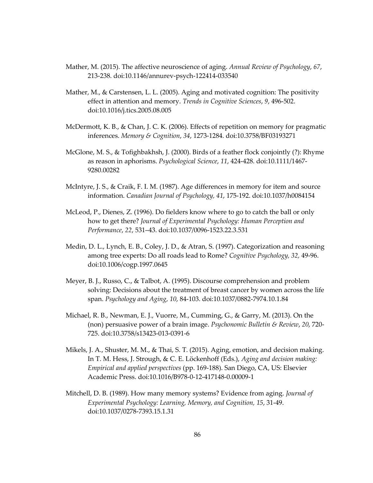- Mather, M. (2015). The affective neuroscience of aging. *Annual Review of Psychology*, *67*, 213-238. doi:10.1146/annurev-psych-122414-033540
- Mather, M., & Carstensen, L. L. (2005). Aging and motivated cognition: The positivity effect in attention and memory. *Trends in Cognitive Sciences*, *9*, 496-502. doi:10.1016/j.tics.2005.08.005
- McDermott, K. B., & Chan, J. C. K. (2006). Effects of repetition on memory for pragmatic inferences. *Memory & Cognition*, *34*, 1273-1284. doi:10.3758/BF03193271
- McGlone, M. S., & Tofighbakhsh, J. (2000). Birds of a feather flock conjointly (?): Rhyme as reason in aphorisms. *Psychological Science*, *11*, 424-428. doi:10.1111/1467- 9280.00282
- McIntyre, J. S., & Craik, F. I. M. (1987). Age differences in memory for item and source information. *Canadian Journal of Psychology, 41*, 175-192. doi:10.1037/h0084154
- McLeod, P., Dienes, Z. (1996). Do fielders know where to go to catch the ball or only how to get there? *Journal of Experimental Psychology: Human Perception and Performance*, *22*, 531–43. doi:10.1037/0096-1523.22.3.531
- Medin, D. L., Lynch, E. B., Coley, J. D., & Atran, S. (1997). Categorization and reasoning among tree experts: Do all roads lead to Rome? *Cognitive Psychology, 32,* 49-96. doi:10.1006/cogp.1997.0645
- Meyer, B. J., Russo, C., & Talbot, A. (1995). Discourse comprehension and problem solving: Decisions about the treatment of breast cancer by women across the life span. *Psychology and Aging*, *10*, 84-103. doi:10.1037/0882-7974.10.1.84
- Michael, R. B., Newman, E. J., Vuorre, M., Cumming, G., & Garry, M. (2013). On the (non) persuasive power of a brain image. *Psychonomic Bulletin & Review*, *20*, 720- 725. doi:10.3758/s13423-013-0391-6
- Mikels, J. A., Shuster, M. M., & Thai, S. T. (2015). Aging, emotion, and decision making. In T. M. Hess, J. Strough, & C. E. Löckenhoff (Eds.), *Aging and decision making: Empirical and applied perspectives* (pp. 169-188). San Diego, CA, US: Elsevier Academic Press. doi:10.1016/B978-0-12-417148-0.00009-1
- Mitchell, D. B. (1989). How many memory systems? Evidence from aging. *Journal of Experimental Psychology: Learning, Memory, and Cognition, 15*, 31-49. doi:10.1037/0278-7393.15.1.31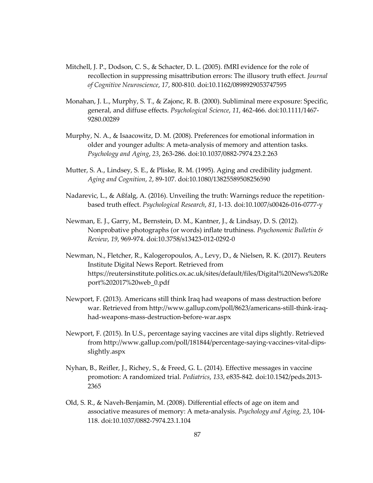- Mitchell, J. P., Dodson, C. S., & Schacter, D. L. (2005). fMRI evidence for the role of recollection in suppressing misattribution errors: The illusory truth effect. *Journal of Cognitive Neuroscience*, *17*, 800-810. doi:10.1162/0898929053747595
- Monahan, J. L., Murphy, S. T., & Zajonc, R. B. (2000). Subliminal mere exposure: Specific, general, and diffuse effects. *Psychological Science*, *11*, 462-466. doi:10.1111/1467- 9280.00289
- Murphy, N. A., & Isaacowitz, D. M. (2008). Preferences for emotional information in older and younger adults: A meta-analysis of memory and attention tasks. *Psychology and Aging*, *23*, 263-286. doi:10.1037/0882-7974.23.2.263
- Mutter, S. A., Lindsey, S. E., & Pliske, R. M. (1995). Aging and credibility judgment. *Aging and Cognition*, *2*, 89-107. doi:10.1080/13825589508256590
- Nadarevic, L., & Aßfalg, A. (2016). Unveiling the truth: Warnings reduce the repetitionbased truth effect. *Psychological Research*, *81*, 1-13. doi:10.1007/s00426-016-0777-y
- Newman, E. J., Garry, M., Bernstein, D. M., Kantner, J., & Lindsay, D. S. (2012). Nonprobative photographs (or words) inflate truthiness. *Psychonomic Bulletin & Review*, *19*, 969-974. doi:10.3758/s13423-012-0292-0
- Newman, N., Fletcher, R., Kalogeropoulos, A., Levy, D., & Nielsen, R. K. (2017). Reuters Institute Digital News Report. Retrieved from https://reutersinstitute.politics.ox.ac.uk/sites/default/files/Digital%20News%20Re port%202017%20web\_0.pdf
- Newport, F. (2013). Americans still think Iraq had weapons of mass destruction before war. Retrieved from http://www.gallup.com/poll/8623/americans-still-think-iraqhad-weapons-mass-destruction-before-war.aspx
- Newport, F. (2015). In U.S., percentage saying vaccines are vital dips slightly. Retrieved from http://www.gallup.com/poll/181844/percentage-saying-vaccines-vital-dipsslightly.aspx
- Nyhan, B., Reifler, J., Richey, S., & Freed, G. L. (2014). Effective messages in vaccine promotion: A randomized trial. *Pediatrics*, *133*, e835-842. doi:10.1542/peds.2013- 2365
- Old, S. R., & Naveh-Benjamin, M. (2008). Differential effects of age on item and associative measures of memory: A meta-analysis. *Psychology and Aging*, *23*, 104- 118. doi:10.1037/0882-7974.23.1.104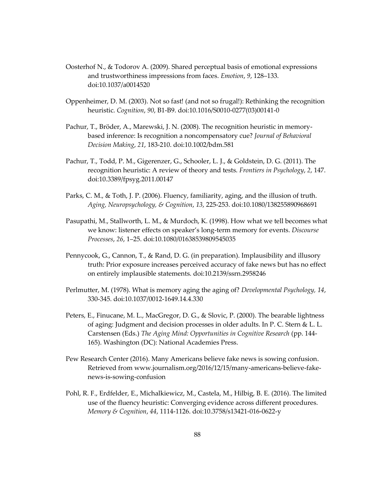- Oosterhof N., & Todorov A. (2009). Shared perceptual basis of emotional expressions and trustworthiness impressions from faces. *Emotion*, *9*, 128–133. doi:10.1037/a0014520
- Oppenheimer, D. M. (2003). Not so fast! (and not so frugal!): Rethinking the recognition heuristic. *Cognition*, *90*, B1-B9. doi:10.1016/S0010-0277(03)00141-0
- Pachur, T., Bröder, A., Marewski, J. N. (2008). The recognition heuristic in memorybased inference: Is recognition a noncompensatory cue? *Journal of Behavioral Decision Making*, *21*, 183-210. doi:10.1002/bdm.581
- Pachur, T., Todd, P. M., Gigerenzer, G., Schooler, L. J., & Goldstein, D. G. (2011). The recognition heuristic: A review of theory and tests. *Frontiers in Psychology*, *2*, 147. doi:10.3389/fpsyg.2011.00147
- Parks, C. M., & Toth, J. P. (2006). Fluency, familiarity, aging, and the illusion of truth. *Aging, Neuropsychology, & Cognition*, *13*, 225-253. doi:10.1080/138255890968691
- Pasupathi, M., Stallworth, L. M., & Murdoch, K. (1998). How what we tell becomes what we know: listener effects on speaker's long-term memory for events. *Discourse Processes*, *26*, 1–25. doi:10.1080/01638539809545035
- Pennycook, G., Cannon, T., & Rand, D. G. (in preparation). Implausibility and illusory truth: Prior exposure increases perceived accuracy of fake news but has no effect on entirely implausible statements. doi:10.2139/ssrn.2958246
- Perlmutter, M. (1978). What is memory aging the aging of? *Developmental Psychology, 14*, 330-345. doi:10.1037/0012-1649.14.4.330
- Peters, E., Finucane, M. L., MacGregor, D. G., & Slovic, P. (2000). The bearable lightness of aging: Judgment and decision processes in older adults. In P. C. Stern & L. L. Carstensen (Eds.) *The Aging Mind: Opportunities in Cognitive Research* (pp. 144- 165). Washington (DC): National Academies Press.
- Pew Research Center (2016). Many Americans believe fake news is sowing confusion. Retrieved from www.journalism.org/2016/12/15/many-americans-believe-fakenews-is-sowing-confusion
- Pohl, R. F., Erdfelder, E., Michalkiewicz, M., Castela, M., Hilbig, B. E. (2016). The limited use of the fluency heuristic: Converging evidence across different procedures. *Memory & Cognition*, *44*, 1114-1126. doi:10.3758/s13421-016-0622-y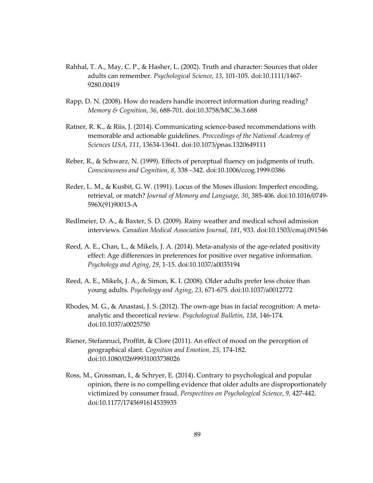- Rahhal, T. A., May, C. P., & Hasher, L. (2002). Truth and character: Sources that older adults can remember. *Psychological Science*, *13*, 101-105. doi:10.1111/1467- 9280.00419
- Rapp, D. N. (2008). How do readers handle incorrect information during reading? *Memory & Cognition*, *36*, 688-701. doi:10.3758/MC.36.3.688
- Ratner, R. K., & Riis, J. (2014). Communicating science-based recommendations with memorable and actionable guidelines. *Proccedings of the National Academy of Sciences USA*, *111*, 13634-13641. doi:10.1073/pnas.1320649111
- Reber, R., & Schwarz, N. (1999). Effects of perceptual fluency on judgments of truth. *Consciousness and Cognition*, *8*, 338 –342. doi:10.1006/ccog.1999.0386
- Reder, L. M., & Kusbit, G. W. (1991). Locus of the Moses illusion: Imperfect encoding, retrieval, or match? *Journal of Memory and Language, 30*, 385-406. doi:10.1016/0749- 596X(91)90013-A
- Redlmeier, D. A., & Baxter, S. D. (2009). Rainy weather and medical school admission interviews. *Canadian Medical Association Journal*, *181*, 933. doi:10.1503/cmaj.091546
- Reed, A. E., Chan, L., & Mikels, J. A. (2014). Meta-analysis of the age-related positivity effect: Age differences in preferences for positive over negative information. *Psychology and Aging*, *29*, 1-15. doi:10.1037/a0035194
- Reed, A. E., Mikels, J. A., & Simon, K. I. (2008). Older adults prefer less choice than young adults. *Psychology and Aging*, *23*, 671-675. doi:10.1037/a0012772
- Rhodes, M. G., & Anastasi, J. S. (2012). The own-age bias in facial recognition: A metaanalytic and theoretical review. *Psychological Bulletin*, *138*, 146-174. doi:10.1037/a0025750
- Riener, Stefannuci, Proffitt, & Clore (2011). An effect of mood on the perception of geographical slant. *Cognition and Emotion*, *25*, 174-182. doi:10.1080/02699931003738026
- Ross, M., Grossman, I., & Schryer, E. (2014). Contrary to psychological and popular opinion, there is no compelling evidence that older adults are disproportionately victimized by consumer fraud. *Perspectives on Psychological Science*, *9*, 427-442. doi:10.1177/1745691614535935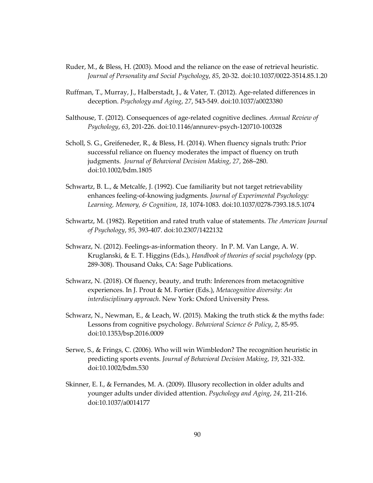- Ruder, M., & Bless, H. (2003). Mood and the reliance on the ease of retrieval heuristic. *Journal of Personality and Social Psychology*, *85*, 20-32. doi:10.1037/0022-3514.85.1.20
- Ruffman, T., Murray, J., Halberstadt, J., & Vater, T. (2012). Age-related differences in deception. *Psychology and Aging*, *27*, 543-549. doi:10.1037/a0023380
- Salthouse, T. (2012). Consequences of age-related cognitive declines. *Annual Review of Psychology*, *63*, 201-226. doi:10.1146/annurev-psych-120710-100328
- Scholl, S. G., Greifeneder, R., & Bless, H. (2014). When fluency signals truth: Prior successful reliance on fluency moderates the impact of fluency on truth judgments. *Journal of Behavioral Decision Making*, *27*, 268–280. doi:10.1002/bdm.1805
- Schwartz, B. L., & Metcalfe, J. (1992). Cue familiarity but not target retrievability enhances feeling-of-knowing judgments. *Journal of Experimental Psychology: Learning, Memory, & Cognition*, *18*, 1074-1083. doi:10.1037/0278-7393.18.5.1074
- Schwartz, M. (1982). Repetition and rated truth value of statements. *The American Journal of Psychology*, *95*, 393-407. doi:10.2307/1422132
- Schwarz, N. (2012). Feelings-as-information theory. In P. M. Van Lange, A. W. Kruglanski, & E. T. Higgins (Eds.), *Handbook of theories of social psychology* (pp. 289-308). Thousand Oaks, CA: Sage Publications.
- Schwarz, N. (2018). Of fluency, beauty, and truth: Inferences from metacognitive experiences. In J. Prout & M. Fortier (Eds.), *Metacognitive diversity: An interdisciplinary approach*. New York: Oxford University Press.
- Schwarz, N., Newman, E., & Leach, W. (2015). Making the truth stick & the myths fade: Lessons from cognitive psychology. *Behavioral Science & Policy*, *2*, 85-95. doi:10.1353/bsp.2016.0009
- Serwe, S., & Frings, C. (2006). Who will win Wimbledon? The recognition heuristic in predicting sports events. *Journal of Behavioral Decision Making*, *19*, 321-332. doi:10.1002/bdm.530
- Skinner, E. I., & Fernandes, M. A. (2009). Illusory recollection in older adults and younger adults under divided attention. *Psychology and Aging*, *24*, 211-216. doi:10.1037/a0014177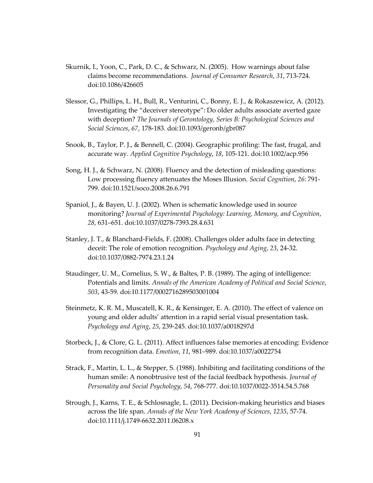- Skurnik, I., Yoon, C., Park, D. C., & Schwarz, N. (2005). How warnings about false claims become recommendations. *Journal of Consumer Research*, *31*, 713-724. doi:10.1086/426605
- Slessor, G., Phillips, L. H., Bull, R., Venturini, C., Bonny, E. J., & Rokaszewicz, A. (2012). Investigating the "deceiver stereotype": Do older adults associate averted gaze with deception? *The Journals of Gerontology, Series B: Psychological Sciences and Social Sciences*, *67*, 178-183. doi:10.1093/geronb/gbr087
- Snook, B., Taylor, P. J., & Bennell, C. (2004). Geographic profiling: The fast, frugal, and accurate way. *Applied Cognitive Psychology*, *18*, 105-121. doi:10.1002/acp.956
- Song, H. J., & Schwarz, N. (2008). Fluency and the detection of misleading questions: Low processing fluency attenuates the Moses Illusion. *Social Cognition*, *26*: 791- 799. doi:10.1521/soco.2008.26.6.791
- Spaniol, J., & Bayen, U. J. (2002). When is schematic knowledge used in source monitoring? *Journal of Experimental Psychology: Learning, Memory, and Cognition*, *28*, 631–651. doi:10.1037/0278-7393.28.4.631
- Stanley, J. T., & Blanchard-Fields, F. (2008). Challenges older adults face in detecting deceit: The role of emotion recognition. *Psychology and Aging*, *23*, 24-32. doi:10.1037/0882-7974.23.1.24
- Staudinger, U. M., Cornelius, S. W., & Baltes, P. B. (1989). The aging of intelligence: Potentials and limits. *Annals of the American Academy of Political and Social Science*, *503*, 43-59. doi:10.1177/0002716289503001004
- Steinmetz, K. R. M., Muscatell, K. R., & Kensinger, E. A. (2010). The effect of valence on young and older adults' attention in a rapid serial visual presentation task. *Psychology and Aging*, *25*, 239-245. doi:10.1037/a0018297d
- Storbeck, J., & Clore, G. L. (2011). Affect influences false memories at encoding: Evidence from recognition data. *Emotion*, *11*, 981–989. doi:10.1037/a0022754
- Strack, F., Martin, L. L., & Stepper, S. (1988). Inhibiting and facilitating conditions of the human smile: A nonobtrusive test of the facial feedback hypothesis. *Journal of Personality and Social Psychology*, *54*, 768-777. doi:10.1037/0022-3514.54.5.768
- Strough, J., Karns, T. E., & Schlosnagle, L. (2011). Decision-making heuristics and biases across the life span. *Annals of the New York Academy of Sciences*, *1235*, 57-74. doi:10.1111/j.1749-6632.2011.06208.x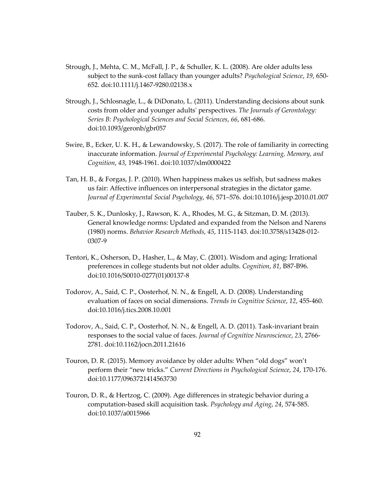- Strough, J., Mehta, C. M., McFall, J. P., & Schuller, K. L. (2008). Are older adults less subject to the sunk-cost fallacy than younger adults? *Psychological Science*, *19*, 650- 652. doi:10.1111/j.1467-9280.02138.x
- Strough, J., Schlosnagle, L., & DiDonato, L. (2011). Understanding decisions about sunk costs from older and younger adults' perspectives. *The Journals of Gerontology: Series B: Psychological Sciences and Social Sciences*, *66*, 681-686. doi:10.1093/geronb/gbr057
- Swire, B., Ecker, U. K. H., & Lewandowsky, S. (2017). The role of familiarity in correcting inaccurate information. *Journal of Experimental Psychology: Learning, Memory, and Cognition*, *43*, 1948-1961. doi:10.1037/xlm0000422
- Tan, H. B., & Forgas, J. P. (2010). When happiness makes us selfish, but sadness makes us fair: Affective influences on interpersonal strategies in the dictator game. *Journal of Experimental Social Psychology*, *46*, 571–576. doi:10.1016/j.jesp.2010.01.007
- Tauber, S. K., Dunlosky, J., Rawson, K. A., Rhodes, M. G., & Sitzman, D. M. (2013). General knowledge norms: Updated and expanded from the Nelson and Narens (1980) norms. *Behavior Research Methods*, *45*, 1115-1143. doi:10.3758/s13428-012- 0307-9
- Tentori, K., Osherson, D., Hasher, L., & May, C. (2001). Wisdom and aging: Irrational preferences in college students but not older adults. *Cognition*, *81*, B87-B96. doi:10.1016/S0010-0277(01)00137-8
- Todorov, A., Said, C. P., Oosterhof, N. N., & Engell, A. D. (2008). Understanding evaluation of faces on social dimensions. *Trends in Cognitive Science*, *12*, 455-460. doi:10.1016/j.tics.2008.10.001
- Todorov, A., Said, C. P., Oosterhof, N. N., & Engell, A. D. (2011). Task-invariant brain responses to the social value of faces. *Journal of Cognitive Neuroscience*, *23*, 2766- 2781. doi:10.1162/jocn.2011.21616
- Touron, D. R. (2015). Memory avoidance by older adults: When "old dogs" won't perform their "new tricks." *Current Directions in Psychological Science*, *24*, 170-176. doi:10.1177/0963721414563730
- Touron, D. R., & Hertzog, C. (2009). Age differences in strategic behavior during a computation-based skill acquisition task. *Psychology and Aging*, *24*, 574-585. doi:10.1037/a0015966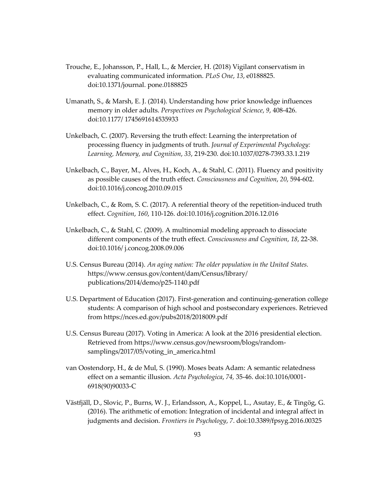- Trouche, E., Johansson, P., Hall, L., & Mercier, H. (2018) Vigilant conservatism in evaluating communicated information. *PLoS One*, *13*, e0188825. doi:10.1371/journal. pone.0188825
- Umanath, S., & Marsh, E. J. (2014). Understanding how prior knowledge influences memory in older adults. *Perspectives on Psychological Science*, *9*, 408-426. doi:10.1177/ 1745691614535933
- Unkelbach, C. (2007). Reversing the truth effect: Learning the interpretation of processing fluency in judgments of truth. *Journal of Experimental Psychology: Learning, Memory, and Cognition*, *33*, 219-230. doi:10.1037/0278-7393.33.1.219
- Unkelbach, C., Bayer, M., Alves, H., Koch, A., & Stahl, C. (2011). Fluency and positivity as possible causes of the truth effect. *Consciousness and Cognition*, *20*, 594-602. doi:10.1016/j.concog.2010.09.015
- Unkelbach, C., & Rom, S. C. (2017). A referential theory of the repetition-induced truth effect. *Cognition*, *160*, 110-126. doi:10.1016/j.cognition.2016.12.016
- Unkelbach, C., & Stahl, C. (2009). A multinomial modeling approach to dissociate different components of the truth effect. *Consciousness and Cognition*, *18*, 22-38. doi:10.1016/ j.concog.2008.09.006
- U.S. Census Bureau (2014). *An aging nation: The older population in the United States.* https://www.census.gov/content/dam/Census/library/ publications/2014/demo/p25-1140.pdf
- U.S. Department of Education (2017). First-generation and continuing-generation college students: A comparison of high school and postsecondary experiences. Retrieved from https://nces.ed.gov/pubs2018/2018009.pdf
- U.S. Census Bureau (2017). Voting in America: A look at the 2016 presidential election. Retrieved from https://www.census.gov/newsroom/blogs/randomsamplings/2017/05/voting\_in\_america.html
- van Oostendorp, H., & de Mul, S. (1990). Moses beats Adam: A semantic relatedness effect on a semantic illusion. *Acta Psychologica*, *74,* 35-46. doi:10.1016/0001- 6918(90)90033-C
- Västfjäll, D., Slovic, P., Burns, W. J., Erlandsson, A., Koppel, L., Asutay, E., & Tingög, G. (2016). The arithmetic of emotion: Integration of incidental and integral affect in judgments and decision. *Frontiers in Psychology*, *7*. doi:10.3389/fpsyg.2016.00325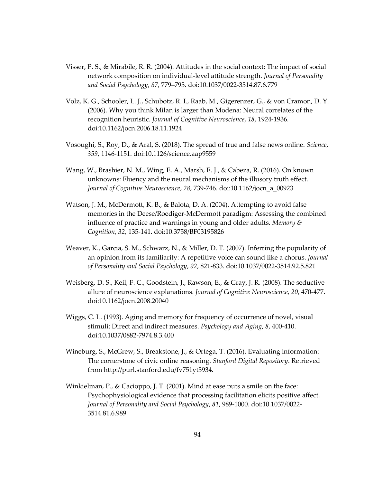- Visser, P. S., & Mirabile, R. R. (2004). Attitudes in the social context: The impact of social network composition on individual-level attitude strength. *Journal of Personality and Social Psychology*, *87*, 779–795. doi:10.1037/0022-3514.87.6.779
- Volz, K. G., Schooler, L. J., Schubotz, R. I., Raab, M., Gigerenzer, G., & von Cramon, D. Y. (2006). Why you think Milan is larger than Modena: Neural correlates of the recognition heuristic. *Journal of Cognitive Neuroscience*, *18*, 1924-1936. doi:10.1162/jocn.2006.18.11.1924
- Vosoughi, S., Roy, D., & Aral, S. (2018). The spread of true and false news online. *Science*, *359*, 1146-1151. doi:10.1126/science.aap9559
- Wang, W., Brashier, N. M., Wing, E. A., Marsh, E. J., & Cabeza, R. (2016). On known unknowns: Fluency and the neural mechanisms of the illusory truth effect. *Journal of Cognitive Neuroscience*, *28*, 739-746. doi:10.1162/jocn\_a\_00923
- Watson, J. M., McDermott, K. B., & Balota, D. A. (2004). Attempting to avoid false memories in the Deese/Roediger-McDermott paradigm: Assessing the combined influence of practice and warnings in young and older adults. *Memory & Cognition*, *32*, 135-141. doi:10.3758/BF03195826
- Weaver, K., Garcia, S. M., Schwarz, N., & Miller, D. T. (2007). Inferring the popularity of an opinion from its familiarity: A repetitive voice can sound like a chorus. *Journal of Personality and Social Psychology*, *92*, 821-833. doi:10.1037/0022-3514.92.5.821
- Weisberg, D. S., Keil, F. C., Goodstein, J., Rawson, E., & Gray, J. R. (2008). The seductive allure of neuroscience explanations. *Journal of Cognitive Neuroscience*, *20*, 470-477. doi:10.1162/jocn.2008.20040
- Wiggs, C. L. (1993). Aging and memory for frequency of occurrence of novel, visual stimuli: Direct and indirect measures. *Psychology and Aging*, *8*, 400-410. doi:10.1037/0882-7974.8.3.400
- Wineburg, S., McGrew, S., Breakstone, J., & Ortega, T. (2016). Evaluating information: The cornerstone of civic online reasoning. *Stanford Digital Repository*. Retrieved from http://purl.stanford.edu/fv751yt5934.
- Winkielman, P., & Cacioppo, J. T. (2001). Mind at ease puts a smile on the face: Psychophysiological evidence that processing facilitation elicits positive affect. *Journal of Personality and Social Psychology*, *81*, 989-1000. doi:10.1037/0022- 3514.81.6.989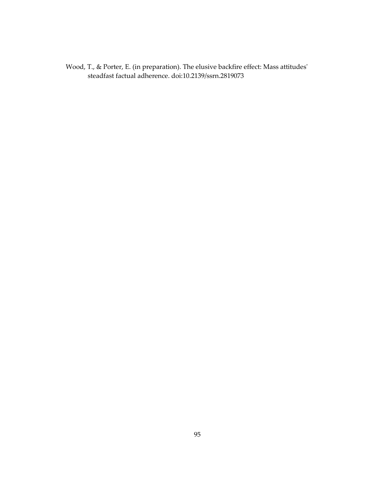Wood, T., & Porter, E. (in preparation). The elusive backfire effect: Mass attitudes' steadfast factual adherence. doi:10.2139/ssrn.2819073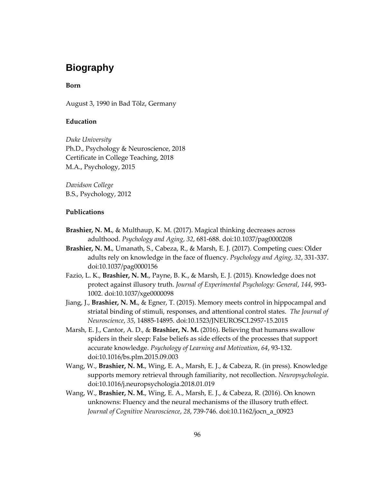# **Biography**

## **Born**

August 3, 1990 in Bad Tölz, Germany

# **Education**

*Duke University* Ph.D., Psychology & Neuroscience, 2018 Certificate in College Teaching, 2018 M.A., Psychology, 2015

*Davidson College* B.S., Psychology, 2012

#### **Publications**

- **Brashier, N. M.**, & Multhaup, K. M. (2017). Magical thinking decreases across adulthood. *Psychology and Aging*, *32*, 681-688. doi:10.1037/pag0000208
- **Brashier, N. M.**, Umanath, S., Cabeza, R., & Marsh, E. J. (2017). Competing cues: Older adults rely on knowledge in the face of fluency. *Psychology and Aging*, *32*, 331-337. doi:10.1037/pag0000156
- Fazio, L. K., **Brashier, N. M.**, Payne, B. K., & Marsh, E. J. (2015). Knowledge does not protect against illusory truth. *Journal of Experimental Psychology: General*, *144*, 993- 1002. doi:10.1037/xge0000098
- Jiang, J., **Brashier, N. M.**, & Egner, T. (2015). Memory meets control in hippocampal and striatal binding of stimuli, responses, and attentional control states. *The Journal of Neuroscience*, *35*, 14885-14895. doi:10.1523/JNEUROSCI.2957-15.2015
- Marsh, E. J., Cantor, A. D., & **Brashier, N. M.** (2016). Believing that humans swallow spiders in their sleep: False beliefs as side effects of the processes that support accurate knowledge. *Psychology of Learning and Motivation*, *64*, 93-132. doi:10.1016/bs.plm.2015.09.003
- Wang, W., **Brashier, N. M.**, Wing, E. A., Marsh, E. J., & Cabeza, R. (in press). Knowledge supports memory retrieval through familiarity, not recollection. *Neuropsychologia*. doi:10.1016/j.neuropsychologia.2018.01.019
- Wang, W., **Brashier, N. M.**, Wing, E. A., Marsh, E. J., & Cabeza, R. (2016). On known unknowns: Fluency and the neural mechanisms of the illusory truth effect. *Journal of Cognitive Neuroscience*, *28*, 739-746. doi:10.1162/jocn\_a\_00923